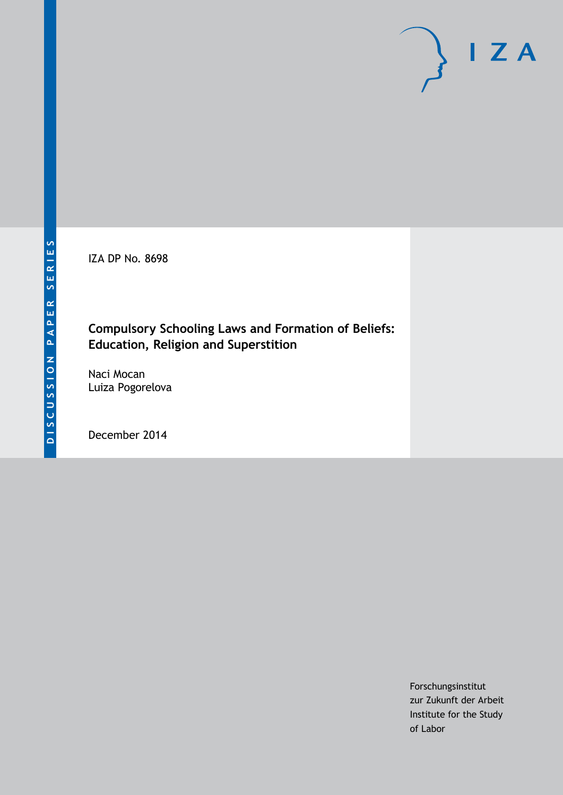IZA DP No. 8698

## **Compulsory Schooling Laws and Formation of Beliefs: Education, Religion and Superstition**

Naci Mocan Luiza Pogorelova

December 2014

Forschungsinstitut zur Zukunft der Arbeit Institute for the Study of Labor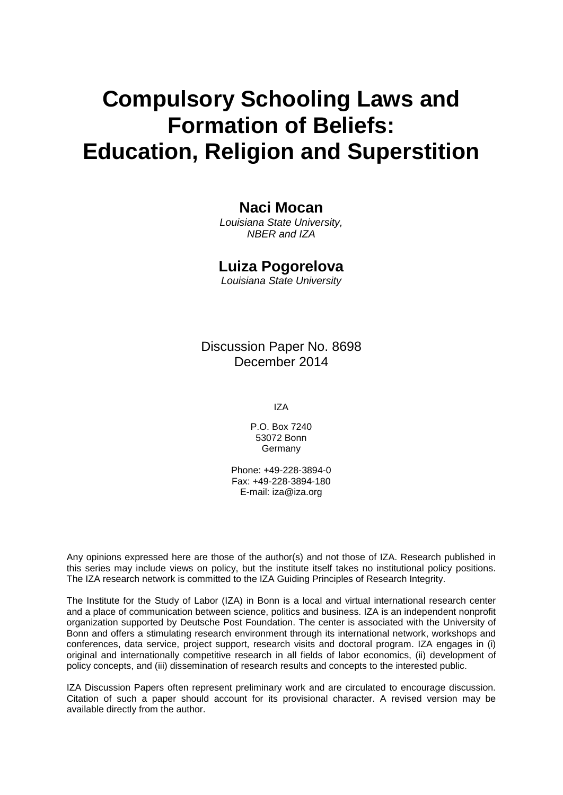# **Compulsory Schooling Laws and Formation of Beliefs: Education, Religion and Superstition**

## **Naci Mocan**

*Louisiana State University, NBER and IZA*

## **Luiza Pogorelova**

*Louisiana State University*

Discussion Paper No. 8698 December 2014

IZA

P.O. Box 7240 53072 Bonn **Germany** 

Phone: +49-228-3894-0 Fax: +49-228-3894-180 E-mail: [iza@iza.org](mailto:iza@iza.org)

Any opinions expressed here are those of the author(s) and not those of IZA. Research published in this series may include views on policy, but the institute itself takes no institutional policy positions. The IZA research network is committed to the IZA Guiding Principles of Research Integrity.

The Institute for the Study of Labor (IZA) in Bonn is a local and virtual international research center and a place of communication between science, politics and business. IZA is an independent nonprofit organization supported by Deutsche Post Foundation. The center is associated with the University of Bonn and offers a stimulating research environment through its international network, workshops and conferences, data service, project support, research visits and doctoral program. IZA engages in (i) original and internationally competitive research in all fields of labor economics, (ii) development of policy concepts, and (iii) dissemination of research results and concepts to the interested public.

<span id="page-1-0"></span>IZA Discussion Papers often represent preliminary work and are circulated to encourage discussion. Citation of such a paper should account for its provisional character. A revised version may be available directly from the author.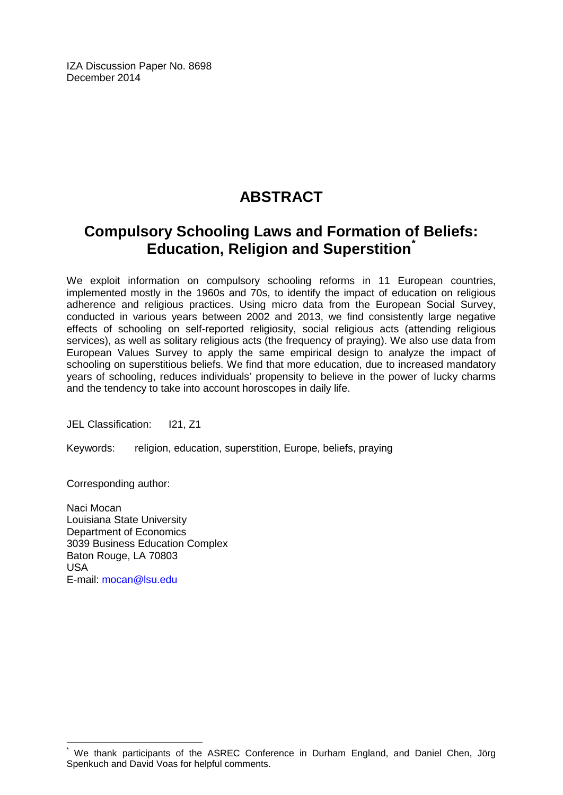IZA Discussion Paper No. 8698 December 2014

## **ABSTRACT**

## **Compulsory Schooling Laws and Formation of Beliefs: Education, Religion and Superstition[\\*](#page-1-0)**

We exploit information on compulsory schooling reforms in 11 European countries, implemented mostly in the 1960s and 70s, to identify the impact of education on religious adherence and religious practices. Using micro data from the European Social Survey, conducted in various years between 2002 and 2013, we find consistently large negative effects of schooling on self-reported religiosity, social religious acts (attending religious services), as well as solitary religious acts (the frequency of praying). We also use data from European Values Survey to apply the same empirical design to analyze the impact of schooling on superstitious beliefs. We find that more education, due to increased mandatory years of schooling, reduces individuals' propensity to believe in the power of lucky charms and the tendency to take into account horoscopes in daily life.

JEL Classification: I21, Z1

Keywords: religion, education, superstition, Europe, beliefs, praying

Corresponding author:

Naci Mocan Louisiana State University Department of Economics 3039 Business Education Complex Baton Rouge, LA 70803 USA E-mail: [mocan@lsu.edu](mailto:mocan@lsu.edu)

We thank participants of the ASREC Conference in Durham England, and Daniel Chen, Jörg Spenkuch and David Voas for helpful comments.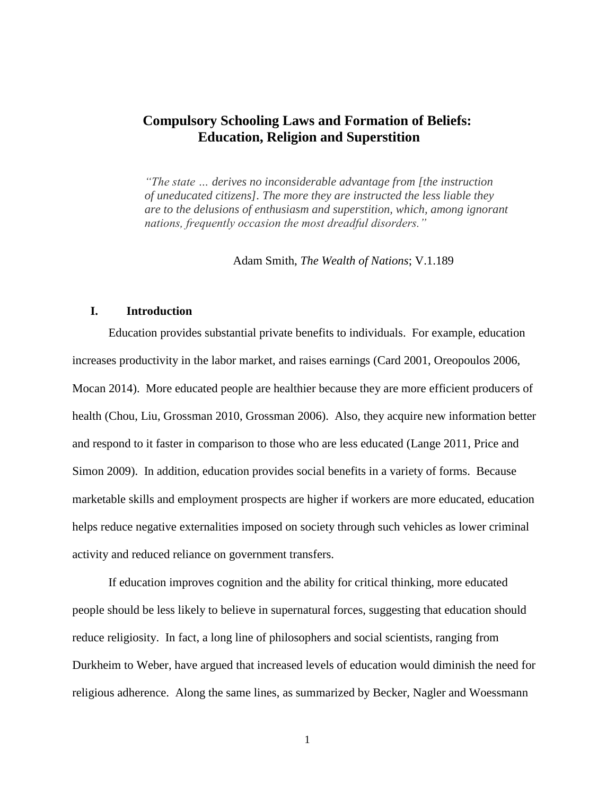## **Compulsory Schooling Laws and Formation of Beliefs: Education, Religion and Superstition**

*"The state … derives no inconsiderable advantage from [the instruction of uneducated citizens]. The more they are instructed the less liable they are to the delusions of enthusiasm and superstition, which, among ignorant nations, frequently occasion the most dreadful disorders."*

Adam Smith, *The Wealth of Nations*; V.1.189

## **I. Introduction**

Education provides substantial private benefits to individuals. For example, education increases productivity in the labor market, and raises earnings (Card 2001, Oreopoulos 2006, Mocan 2014). More educated people are healthier because they are more efficient producers of health (Chou, Liu, Grossman 2010, Grossman 2006). Also, they acquire new information better and respond to it faster in comparison to those who are less educated (Lange 2011, Price and Simon 2009). In addition, education provides social benefits in a variety of forms. Because marketable skills and employment prospects are higher if workers are more educated, education helps reduce negative externalities imposed on society through such vehicles as lower criminal activity and reduced reliance on government transfers.

If education improves cognition and the ability for critical thinking, more educated people should be less likely to believe in supernatural forces, suggesting that education should reduce religiosity. In fact, a long line of philosophers and social scientists, ranging from Durkheim to Weber, have argued that increased levels of education would diminish the need for religious adherence. Along the same lines, as summarized by Becker, Nagler and Woessmann

1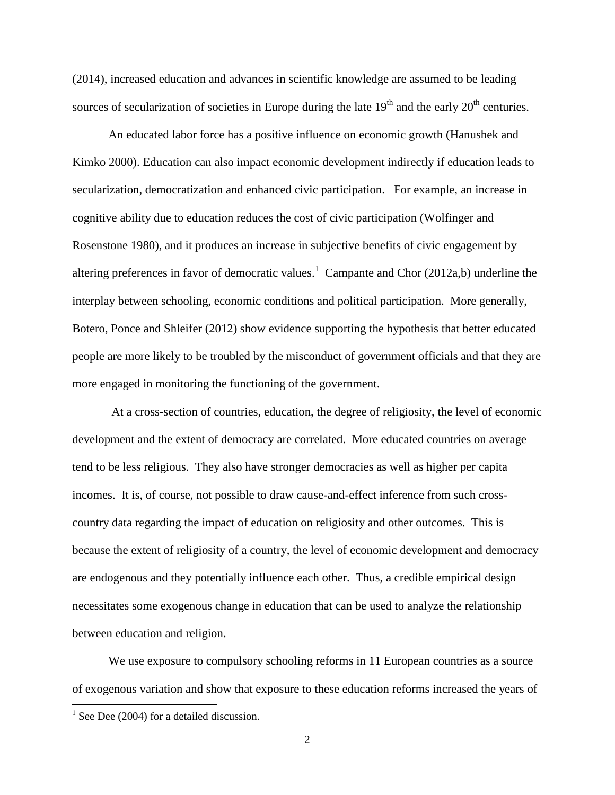(2014), increased education and advances in scientific knowledge are assumed to be leading sources of secularization of societies in Europe during the late  $19<sup>th</sup>$  and the early  $20<sup>th</sup>$  centuries.

An educated labor force has a positive influence on economic growth (Hanushek and Kimko 2000). Education can also impact economic development indirectly if education leads to secularization, democratization and enhanced civic participation. For example, an increase in cognitive ability due to education reduces the cost of civic participation (Wolfinger and Rosenstone 1980), and it produces an increase in subjective benefits of civic engagement by altering preferences in favor of democratic values.<sup>1</sup> Campante and Chor (2012a,b) underline the interplay between schooling, economic conditions and political participation. More generally, Botero, Ponce and Shleifer (2012) show evidence supporting the hypothesis that better educated people are more likely to be troubled by the misconduct of government officials and that they are more engaged in monitoring the functioning of the government.

At a cross-section of countries, education, the degree of religiosity, the level of economic development and the extent of democracy are correlated. More educated countries on average tend to be less religious. They also have stronger democracies as well as higher per capita incomes. It is, of course, not possible to draw cause-and-effect inference from such crosscountry data regarding the impact of education on religiosity and other outcomes. This is because the extent of religiosity of a country, the level of economic development and democracy are endogenous and they potentially influence each other. Thus, a credible empirical design necessitates some exogenous change in education that can be used to analyze the relationship between education and religion.

We use exposure to compulsory schooling reforms in 11 European countries as a source of exogenous variation and show that exposure to these education reforms increased the years of

 $\overline{\phantom{a}}$ 

 $1$  See Dee (2004) for a detailed discussion.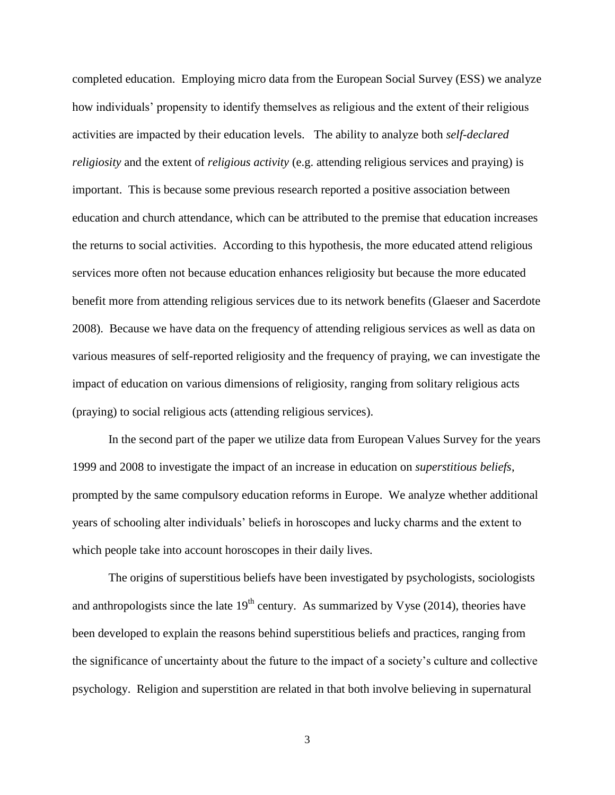completed education. Employing micro data from the European Social Survey (ESS) we analyze how individuals' propensity to identify themselves as religious and the extent of their religious activities are impacted by their education levels. The ability to analyze both *self-declared religiosity* and the extent of *religious activity* (e.g. attending religious services and praying) is important. This is because some previous research reported a positive association between education and church attendance, which can be attributed to the premise that education increases the returns to social activities. According to this hypothesis, the more educated attend religious services more often not because education enhances religiosity but because the more educated benefit more from attending religious services due to its network benefits (Glaeser and Sacerdote 2008). Because we have data on the frequency of attending religious services as well as data on various measures of self-reported religiosity and the frequency of praying, we can investigate the impact of education on various dimensions of religiosity, ranging from solitary religious acts (praying) to social religious acts (attending religious services).

In the second part of the paper we utilize data from European Values Survey for the years 1999 and 2008 to investigate the impact of an increase in education on *superstitious beliefs*, prompted by the same compulsory education reforms in Europe. We analyze whether additional years of schooling alter individuals' beliefs in horoscopes and lucky charms and the extent to which people take into account horoscopes in their daily lives.

The origins of superstitious beliefs have been investigated by psychologists, sociologists and anthropologists since the late  $19<sup>th</sup>$  century. As summarized by Vyse (2014), theories have been developed to explain the reasons behind superstitious beliefs and practices, ranging from the significance of uncertainty about the future to the impact of a society's culture and collective psychology. Religion and superstition are related in that both involve believing in supernatural

3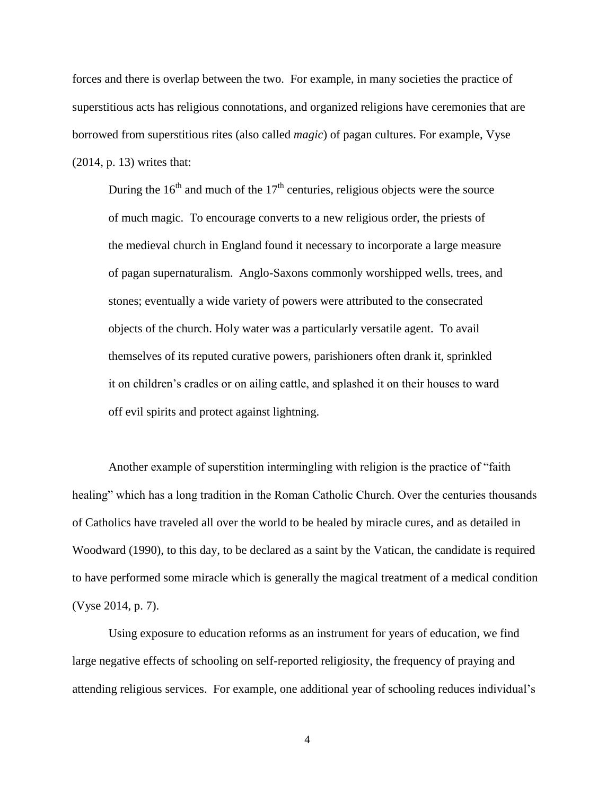forces and there is overlap between the two. For example, in many societies the practice of superstitious acts has religious connotations, and organized religions have ceremonies that are borrowed from superstitious rites (also called *magic*) of pagan cultures. For example, Vyse (2014, p. 13) writes that:

During the  $16<sup>th</sup>$  and much of the  $17<sup>th</sup>$  centuries, religious objects were the source of much magic. To encourage converts to a new religious order, the priests of the medieval church in England found it necessary to incorporate a large measure of pagan supernaturalism. Anglo-Saxons commonly worshipped wells, trees, and stones; eventually a wide variety of powers were attributed to the consecrated objects of the church. Holy water was a particularly versatile agent. To avail themselves of its reputed curative powers, parishioners often drank it, sprinkled it on children's cradles or on ailing cattle, and splashed it on their houses to ward off evil spirits and protect against lightning.

Another example of superstition intermingling with religion is the practice of "faith healing" which has a long tradition in the Roman Catholic Church. Over the centuries thousands of Catholics have traveled all over the world to be healed by miracle cures, and as detailed in Woodward (1990), to this day, to be declared as a saint by the Vatican, the candidate is required to have performed some miracle which is generally the magical treatment of a medical condition (Vyse 2014, p. 7).

Using exposure to education reforms as an instrument for years of education, we find large negative effects of schooling on self-reported religiosity, the frequency of praying and attending religious services. For example, one additional year of schooling reduces individual's

4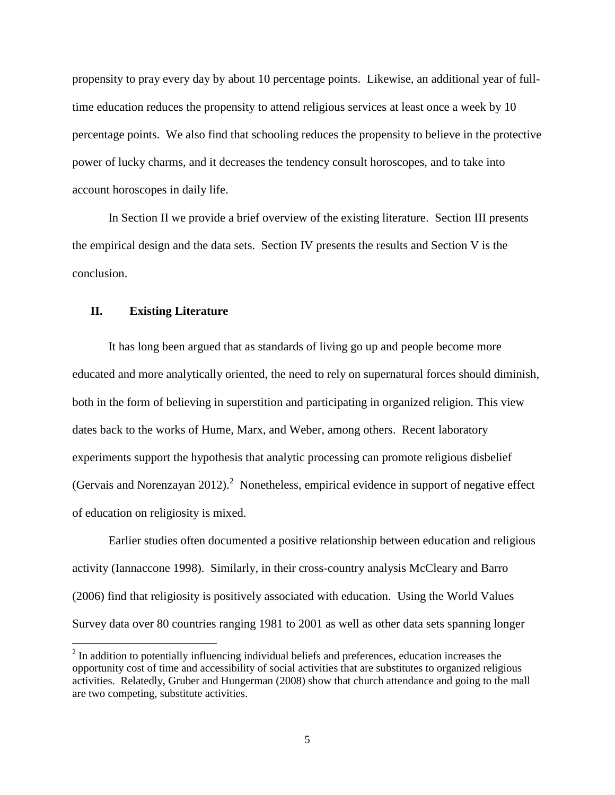propensity to pray every day by about 10 percentage points. Likewise, an additional year of fulltime education reduces the propensity to attend religious services at least once a week by 10 percentage points. We also find that schooling reduces the propensity to believe in the protective power of lucky charms, and it decreases the tendency consult horoscopes, and to take into account horoscopes in daily life.

In Section II we provide a brief overview of the existing literature. Section III presents the empirical design and the data sets. Section IV presents the results and Section V is the conclusion.

## **II. Existing Literature**

 $\overline{a}$ 

It has long been argued that as standards of living go up and people become more educated and more analytically oriented, the need to rely on supernatural forces should diminish, both in the form of believing in superstition and participating in organized religion. This view dates back to the works of Hume, Marx, and Weber, among others. Recent laboratory experiments support the hypothesis that analytic processing can promote religious disbelief (Gervais and Norenzayan 2012).<sup>2</sup> Nonetheless, empirical evidence in support of negative effect of education on religiosity is mixed.

Earlier studies often documented a positive relationship between education and religious activity (Iannaccone 1998). Similarly, in their cross-country analysis McCleary and Barro (2006) find that religiosity is positively associated with education. Using the World Values Survey data over 80 countries ranging 1981 to 2001 as well as other data sets spanning longer

 $2<sup>2</sup>$  In addition to potentially influencing individual beliefs and preferences, education increases the opportunity cost of time and accessibility of social activities that are substitutes to organized religious activities. Relatedly, Gruber and Hungerman (2008) show that church attendance and going to the mall are two competing, substitute activities.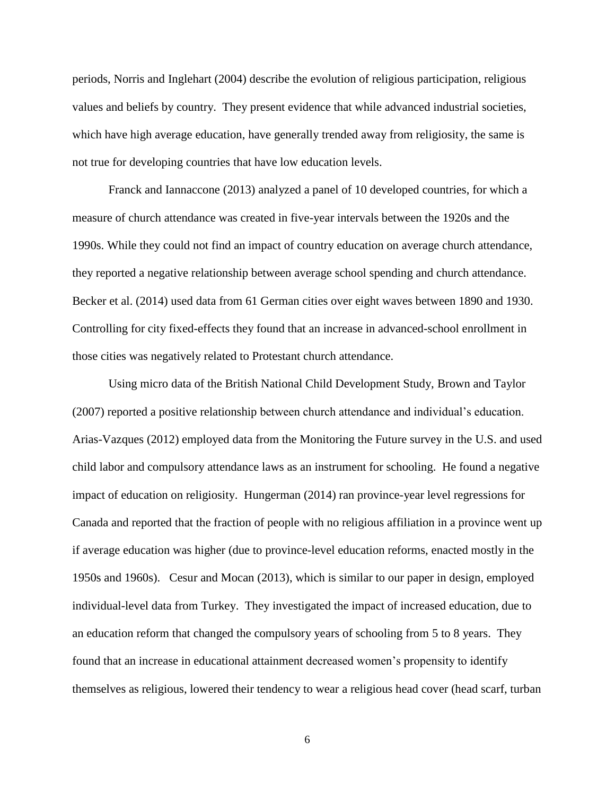periods, Norris and Inglehart (2004) describe the evolution of religious participation, religious values and beliefs by country. They present evidence that while advanced industrial societies, which have high average education, have generally trended away from religiosity, the same is not true for developing countries that have low education levels.

Franck and Iannaccone (2013) analyzed a panel of 10 developed countries, for which a measure of church attendance was created in five-year intervals between the 1920s and the 1990s. While they could not find an impact of country education on average church attendance, they reported a negative relationship between average school spending and church attendance. Becker et al. (2014) used data from 61 German cities over eight waves between 1890 and 1930. Controlling for city fixed-effects they found that an increase in advanced-school enrollment in those cities was negatively related to Protestant church attendance.

Using micro data of the British National Child Development Study, Brown and Taylor (2007) reported a positive relationship between church attendance and individual's education. Arias-Vazques (2012) employed data from the Monitoring the Future survey in the U.S. and used child labor and compulsory attendance laws as an instrument for schooling. He found a negative impact of education on religiosity. Hungerman (2014) ran province-year level regressions for Canada and reported that the fraction of people with no religious affiliation in a province went up if average education was higher (due to province-level education reforms, enacted mostly in the 1950s and 1960s). Cesur and Mocan (2013), which is similar to our paper in design, employed individual-level data from Turkey. They investigated the impact of increased education, due to an education reform that changed the compulsory years of schooling from 5 to 8 years. They found that an increase in educational attainment decreased women's propensity to identify themselves as religious, lowered their tendency to wear a religious head cover (head scarf, turban

6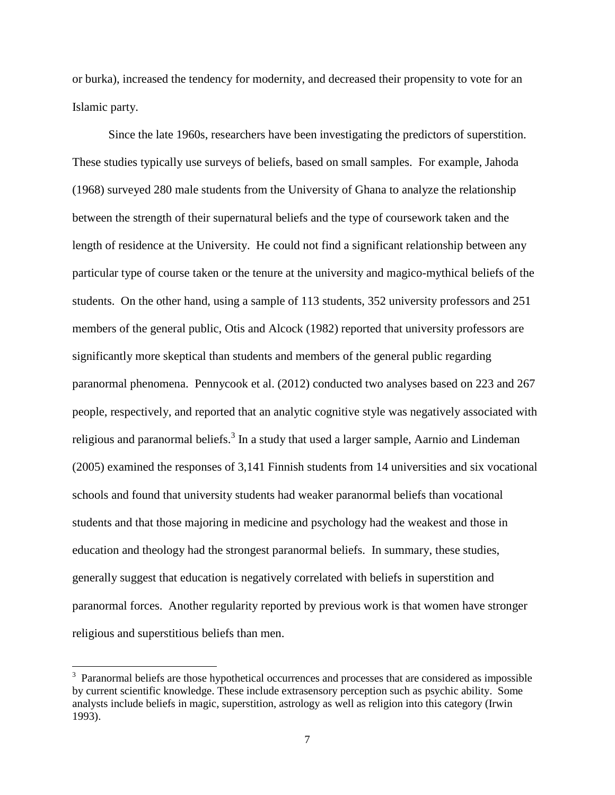or burka), increased the tendency for modernity, and decreased their propensity to vote for an Islamic party.

Since the late 1960s, researchers have been investigating the predictors of superstition. These studies typically use surveys of beliefs, based on small samples. For example, Jahoda (1968) surveyed 280 male students from the University of Ghana to analyze the relationship between the strength of their supernatural beliefs and the type of coursework taken and the length of residence at the University. He could not find a significant relationship between any particular type of course taken or the tenure at the university and magico-mythical beliefs of the students. On the other hand, using a sample of 113 students, 352 university professors and 251 members of the general public, Otis and Alcock (1982) reported that university professors are significantly more skeptical than students and members of the general public regarding paranormal phenomena. Pennycook et al. (2012) conducted two analyses based on 223 and 267 people, respectively, and reported that an analytic cognitive style was negatively associated with religious and paranormal beliefs.<sup>3</sup> In a study that used a larger sample, Aarnio and Lindeman (2005) examined the responses of 3,141 Finnish students from 14 universities and six vocational schools and found that university students had weaker paranormal beliefs than vocational students and that those majoring in medicine and psychology had the weakest and those in education and theology had the strongest paranormal beliefs. In summary, these studies, generally suggest that education is negatively correlated with beliefs in superstition and paranormal forces. Another regularity reported by previous work is that women have stronger religious and superstitious beliefs than men.

l

<sup>&</sup>lt;sup>3</sup> Paranormal beliefs are those hypothetical occurrences and processes that are considered as impossible by current scientific knowledge. These include extrasensory perception such as psychic ability. Some analysts include beliefs in magic, superstition, astrology as well as religion into this category (Irwin 1993).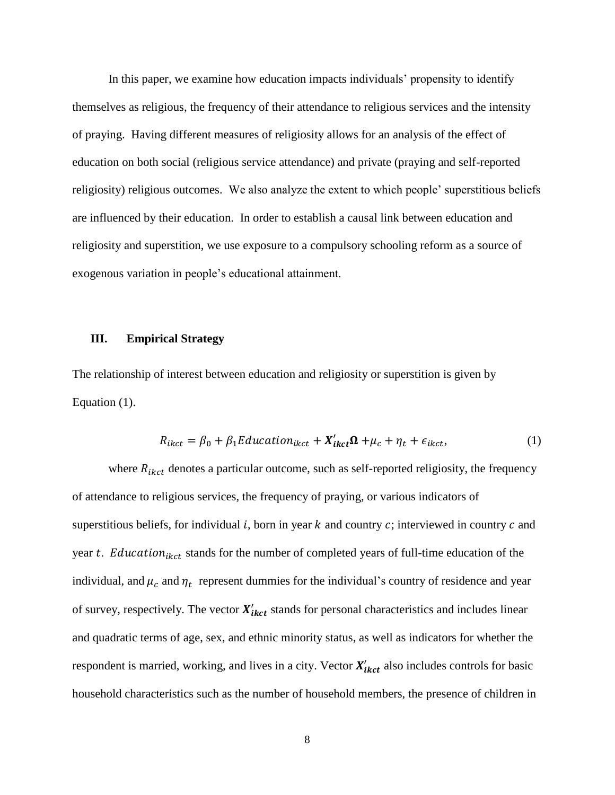In this paper, we examine how education impacts individuals' propensity to identify themselves as religious, the frequency of their attendance to religious services and the intensity of praying. Having different measures of religiosity allows for an analysis of the effect of education on both social (religious service attendance) and private (praying and self-reported religiosity) religious outcomes. We also analyze the extent to which people' superstitious beliefs are influenced by their education. In order to establish a causal link between education and religiosity and superstition, we use exposure to a compulsory schooling reform as a source of exogenous variation in people's educational attainment.

## **III. Empirical Strategy**

The relationship of interest between education and religiosity or superstition is given by Equation (1).

$$
R_{ikct} = \beta_0 + \beta_1 E ducation_{ikct} + X'_{ikct} \Omega + \mu_c + \eta_t + \epsilon_{ikct},
$$
\n(1)

where  $R_{ikct}$  denotes a particular outcome, such as self-reported religiosity, the frequency of attendance to religious services, the frequency of praying, or various indicators of superstitious beliefs, for individual  $i$ , born in year  $k$  and country  $c$ ; interviewed in country  $c$  and year  $t$ . Education<sub>ikct</sub> stands for the number of completed years of full-time education of the individual, and  $\mu_c$  and  $\eta_t$  represent dummies for the individual's country of residence and year of survey, respectively. The vector  $X'_{ikct}$  stands for personal characteristics and includes linear and quadratic terms of age, sex, and ethnic minority status, as well as indicators for whether the respondent is married, working, and lives in a city. Vector  $X'_{ikct}$  also includes controls for basic household characteristics such as the number of household members, the presence of children in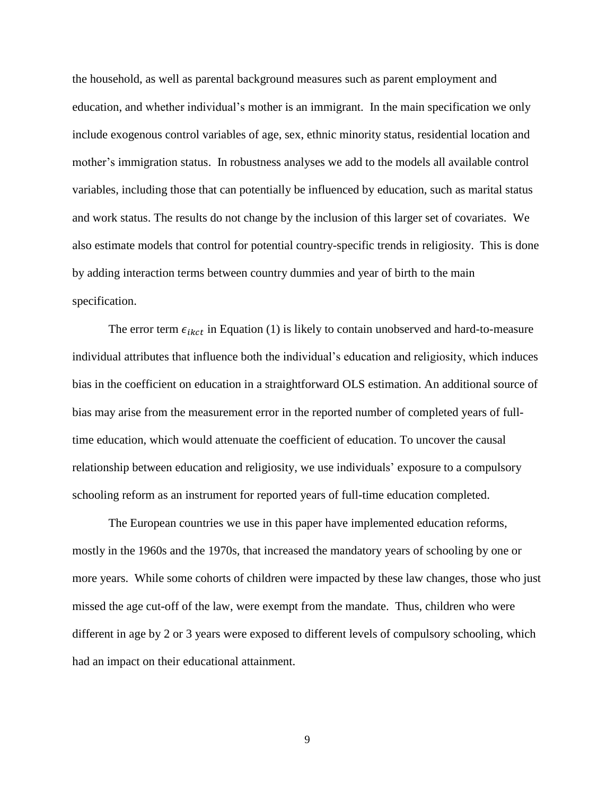the household, as well as parental background measures such as parent employment and education, and whether individual's mother is an immigrant. In the main specification we only include exogenous control variables of age, sex, ethnic minority status, residential location and mother's immigration status. In robustness analyses we add to the models all available control variables, including those that can potentially be influenced by education, such as marital status and work status. The results do not change by the inclusion of this larger set of covariates. We also estimate models that control for potential country-specific trends in religiosity. This is done by adding interaction terms between country dummies and year of birth to the main specification.

The error term  $\epsilon_{ikct}$  in Equation (1) is likely to contain unobserved and hard-to-measure individual attributes that influence both the individual's education and religiosity, which induces bias in the coefficient on education in a straightforward OLS estimation. An additional source of bias may arise from the measurement error in the reported number of completed years of fulltime education, which would attenuate the coefficient of education. To uncover the causal relationship between education and religiosity, we use individuals' exposure to a compulsory schooling reform as an instrument for reported years of full-time education completed.

The European countries we use in this paper have implemented education reforms, mostly in the 1960s and the 1970s, that increased the mandatory years of schooling by one or more years. While some cohorts of children were impacted by these law changes, those who just missed the age cut-off of the law, were exempt from the mandate. Thus, children who were different in age by 2 or 3 years were exposed to different levels of compulsory schooling, which had an impact on their educational attainment.

9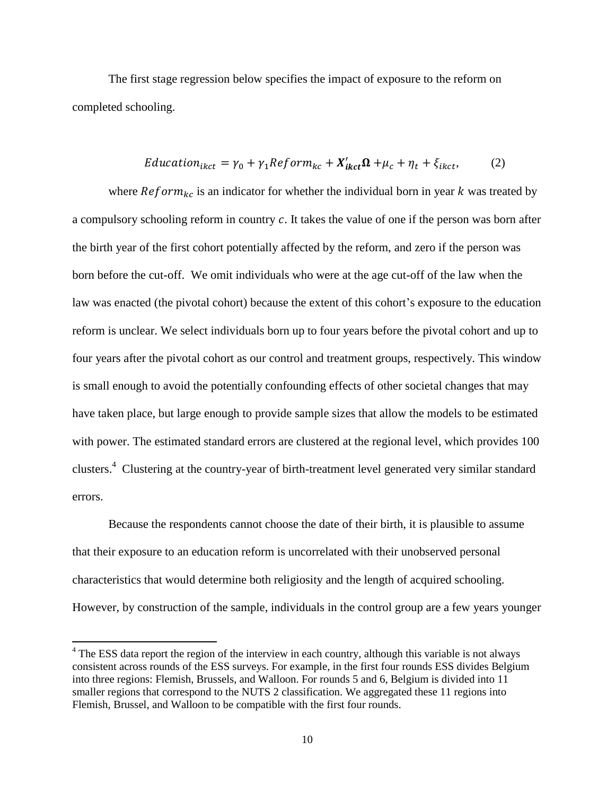The first stage regression below specifies the impact of exposure to the reform on completed schooling.

$$
Education_{ikct} = \gamma_0 + \gamma_1 Reform_{kc} + X'_{ikct} \Omega + \mu_c + \eta_t + \xi_{ikct}, \tag{2}
$$

where  $Reform_{kc}$  is an indicator for whether the individual born in year k was treated by a compulsory schooling reform in country  $c$ . It takes the value of one if the person was born after the birth year of the first cohort potentially affected by the reform, and zero if the person was born before the cut-off. We omit individuals who were at the age cut-off of the law when the law was enacted (the pivotal cohort) because the extent of this cohort's exposure to the education reform is unclear. We select individuals born up to four years before the pivotal cohort and up to four years after the pivotal cohort as our control and treatment groups, respectively. This window is small enough to avoid the potentially confounding effects of other societal changes that may have taken place, but large enough to provide sample sizes that allow the models to be estimated with power. The estimated standard errors are clustered at the regional level, which provides 100 clusters.<sup>4</sup> Clustering at the country-year of birth-treatment level generated very similar standard errors.

Because the respondents cannot choose the date of their birth, it is plausible to assume that their exposure to an education reform is uncorrelated with their unobserved personal characteristics that would determine both religiosity and the length of acquired schooling. However, by construction of the sample, individuals in the control group are a few years younger

 $\overline{\phantom{a}}$ 

<sup>&</sup>lt;sup>4</sup> The ESS data report the region of the interview in each country, although this variable is not always consistent across rounds of the ESS surveys. For example, in the first four rounds ESS divides Belgium into three regions: Flemish, Brussels, and Walloon. For rounds 5 and 6, Belgium is divided into 11 smaller regions that correspond to the NUTS 2 classification. We aggregated these 11 regions into Flemish, Brussel, and Walloon to be compatible with the first four rounds.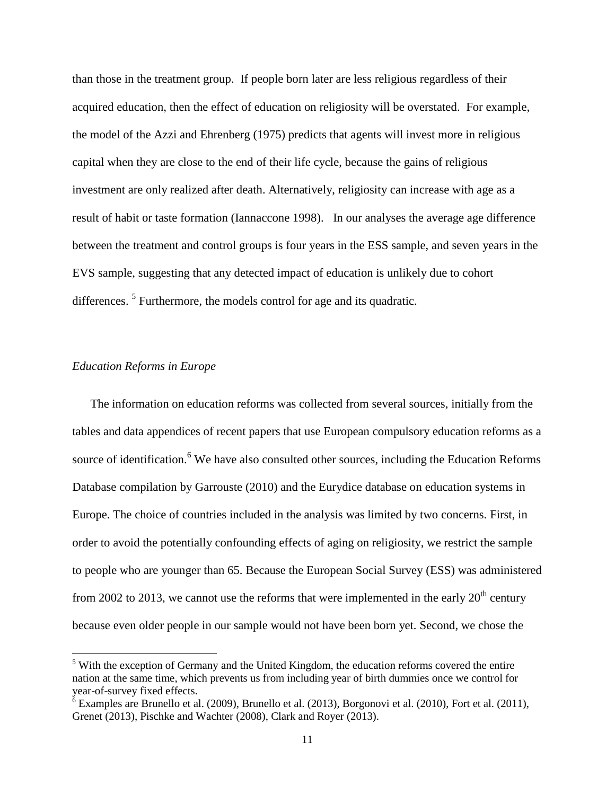than those in the treatment group. If people born later are less religious regardless of their acquired education, then the effect of education on religiosity will be overstated. For example, the model of the Azzi and Ehrenberg (1975) predicts that agents will invest more in religious capital when they are close to the end of their life cycle, because the gains of religious investment are only realized after death. Alternatively, religiosity can increase with age as a result of habit or taste formation (Iannaccone 1998). In our analyses the average age difference between the treatment and control groups is four years in the ESS sample, and seven years in the EVS sample, suggesting that any detected impact of education is unlikely due to cohort differences.<sup>5</sup> Furthermore, the models control for age and its quadratic.

## *Education Reforms in Europe*

 $\overline{\phantom{a}}$ 

The information on education reforms was collected from several sources, initially from the tables and data appendices of recent papers that use European compulsory education reforms as a source of identification.<sup>6</sup> We have also consulted other sources, including the Education Reforms Database compilation by Garrouste (2010) and the Eurydice database on education systems in Europe. The choice of countries included in the analysis was limited by two concerns. First, in order to avoid the potentially confounding effects of aging on religiosity, we restrict the sample to people who are younger than 65. Because the European Social Survey (ESS) was administered from 2002 to 2013, we cannot use the reforms that were implemented in the early  $20<sup>th</sup>$  century because even older people in our sample would not have been born yet. Second, we chose the

<sup>&</sup>lt;sup>5</sup> With the exception of Germany and the United Kingdom, the education reforms covered the entire nation at the same time, which prevents us from including year of birth dummies once we control for year-of-survey fixed effects.

<sup>&</sup>lt;sup>6</sup> Examples are Brunello et al. (2009), Brunello et al. (2013), Borgonovi et al. (2010), Fort et al. (2011), Grenet (2013), Pischke and Wachter (2008), Clark and Royer (2013).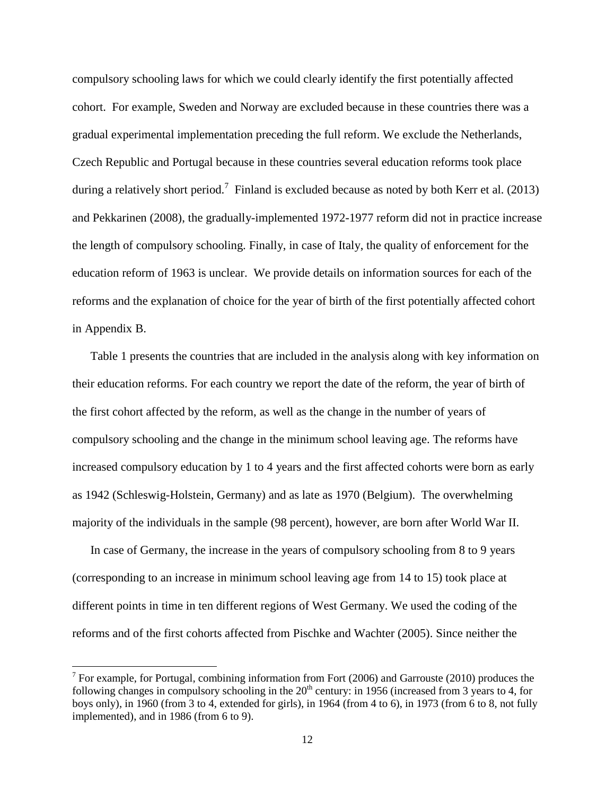compulsory schooling laws for which we could clearly identify the first potentially affected cohort. For example, Sweden and Norway are excluded because in these countries there was a gradual experimental implementation preceding the full reform. We exclude the Netherlands, Czech Republic and Portugal because in these countries several education reforms took place during a relatively short period.<sup>7</sup> Finland is excluded because as noted by both Kerr et al. (2013) and Pekkarinen (2008), the gradually-implemented 1972-1977 reform did not in practice increase the length of compulsory schooling. Finally, in case of Italy, the quality of enforcement for the education reform of 1963 is unclear. We provide details on information sources for each of the reforms and the explanation of choice for the year of birth of the first potentially affected cohort in Appendix B.

Table 1 presents the countries that are included in the analysis along with key information on their education reforms. For each country we report the date of the reform, the year of birth of the first cohort affected by the reform, as well as the change in the number of years of compulsory schooling and the change in the minimum school leaving age. The reforms have increased compulsory education by 1 to 4 years and the first affected cohorts were born as early as 1942 (Schleswig-Holstein, Germany) and as late as 1970 (Belgium). The overwhelming majority of the individuals in the sample (98 percent), however, are born after World War II.

In case of Germany, the increase in the years of compulsory schooling from 8 to 9 years (corresponding to an increase in minimum school leaving age from 14 to 15) took place at different points in time in ten different regions of West Germany. We used the coding of the reforms and of the first cohorts affected from Pischke and Wachter (2005). Since neither the

l

<sup>&</sup>lt;sup>7</sup> For example, for Portugal, combining information from Fort (2006) and Garrouste (2010) produces the following changes in compulsory schooling in the  $20<sup>th</sup>$  century: in 1956 (increased from 3 years to 4, for boys only), in 1960 (from 3 to 4, extended for girls), in 1964 (from 4 to 6), in 1973 (from 6 to 8, not fully implemented), and in 1986 (from 6 to 9).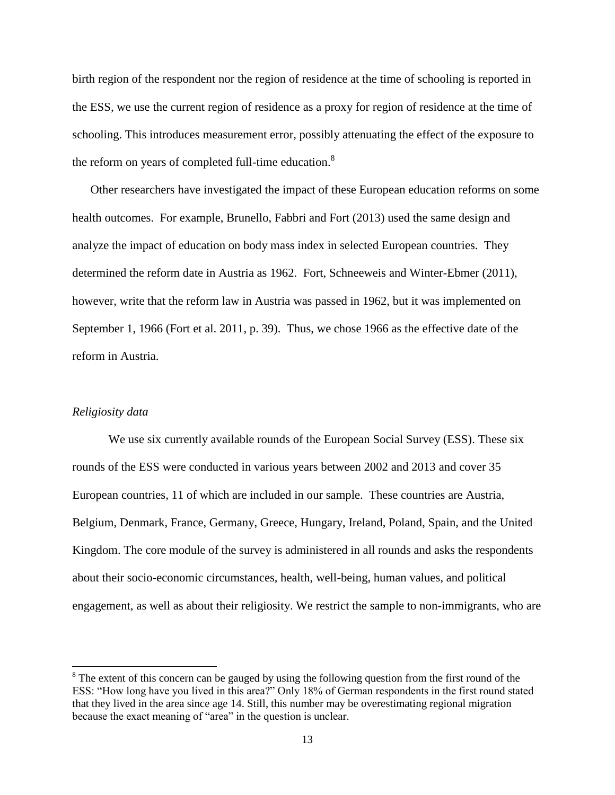birth region of the respondent nor the region of residence at the time of schooling is reported in the ESS, we use the current region of residence as a proxy for region of residence at the time of schooling. This introduces measurement error, possibly attenuating the effect of the exposure to the reform on years of completed full-time education.<sup>8</sup>

Other researchers have investigated the impact of these European education reforms on some health outcomes. For example, Brunello, Fabbri and Fort (2013) used the same design and analyze the impact of education on body mass index in selected European countries. They determined the reform date in Austria as 1962. Fort, Schneeweis and Winter-Ebmer (2011), however, write that the reform law in Austria was passed in 1962, but it was implemented on September 1, 1966 (Fort et al. 2011, p. 39). Thus, we chose 1966 as the effective date of the reform in Austria.

## *Religiosity data*

l

We use six currently available rounds of the European Social Survey (ESS). These six rounds of the ESS were conducted in various years between 2002 and 2013 and cover 35 European countries, 11 of which are included in our sample. These countries are Austria, Belgium, Denmark, France, Germany, Greece, Hungary, Ireland, Poland, Spain, and the United Kingdom. The core module of the survey is administered in all rounds and asks the respondents about their socio-economic circumstances, health, well-being, human values, and political engagement, as well as about their religiosity. We restrict the sample to non-immigrants, who are

<sup>&</sup>lt;sup>8</sup> The extent of this concern can be gauged by using the following question from the first round of the ESS: "How long have you lived in this area?" Only 18% of German respondents in the first round stated that they lived in the area since age 14. Still, this number may be overestimating regional migration because the exact meaning of "area" in the question is unclear.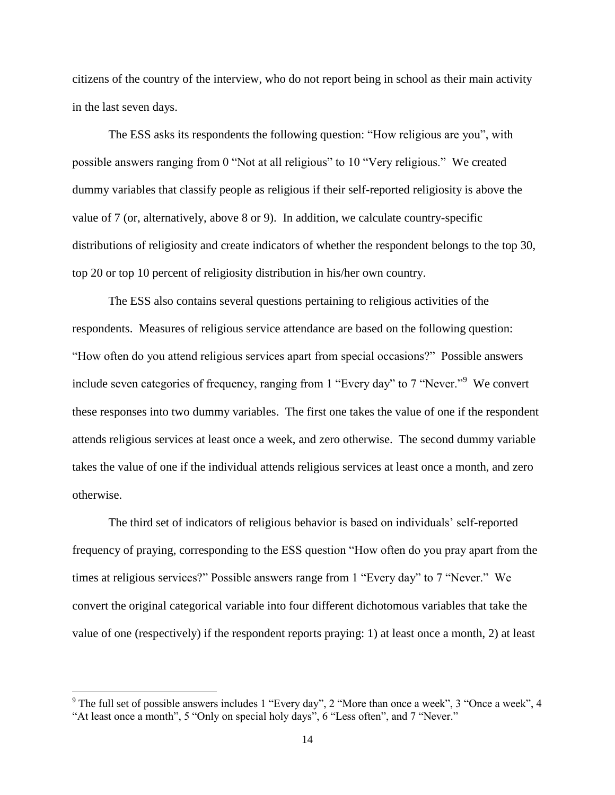citizens of the country of the interview, who do not report being in school as their main activity in the last seven days.

The ESS asks its respondents the following question: "How religious are you", with possible answers ranging from 0 "Not at all religious" to 10 "Very religious." We created dummy variables that classify people as religious if their self-reported religiosity is above the value of 7 (or, alternatively, above 8 or 9). In addition, we calculate country-specific distributions of religiosity and create indicators of whether the respondent belongs to the top 30, top 20 or top 10 percent of religiosity distribution in his/her own country.

The ESS also contains several questions pertaining to religious activities of the respondents. Measures of religious service attendance are based on the following question: "How often do you attend religious services apart from special occasions?" Possible answers include seven categories of frequency, ranging from 1 "Every day" to 7 "Never."<sup>9</sup> We convert these responses into two dummy variables. The first one takes the value of one if the respondent attends religious services at least once a week, and zero otherwise. The second dummy variable takes the value of one if the individual attends religious services at least once a month, and zero otherwise.

The third set of indicators of religious behavior is based on individuals' self-reported frequency of praying, corresponding to the ESS question "How often do you pray apart from the times at religious services?" Possible answers range from 1 "Every day" to 7 "Never." We convert the original categorical variable into four different dichotomous variables that take the value of one (respectively) if the respondent reports praying: 1) at least once a month, 2) at least

 $\overline{\phantom{a}}$ 

 $9$  The full set of possible answers includes 1 "Every day", 2 "More than once a week", 3 "Once a week", 4 "At least once a month", 5 "Only on special holy days", 6 "Less often", and 7 "Never."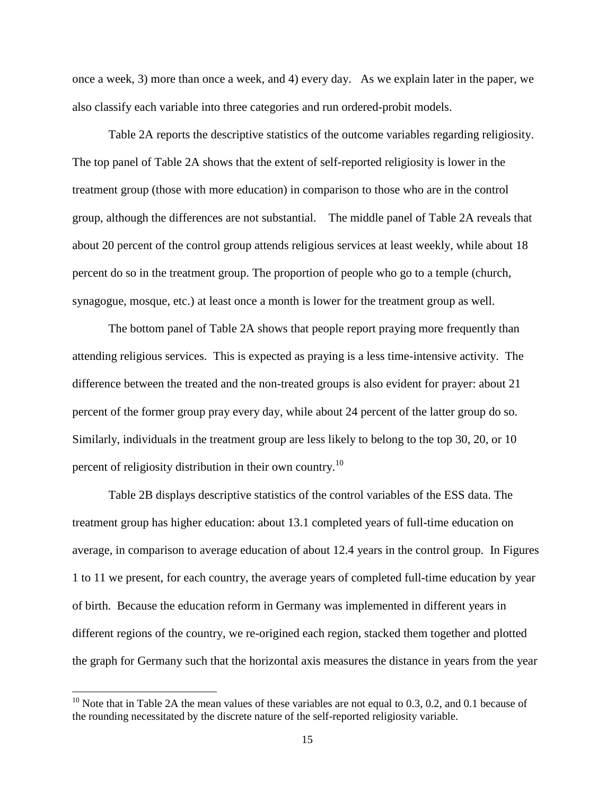once a week, 3) more than once a week, and 4) every day. As we explain later in the paper, we also classify each variable into three categories and run ordered-probit models.

Table 2A reports the descriptive statistics of the outcome variables regarding religiosity. The top panel of Table 2A shows that the extent of self-reported religiosity is lower in the treatment group (those with more education) in comparison to those who are in the control group, although the differences are not substantial. The middle panel of Table 2A reveals that about 20 percent of the control group attends religious services at least weekly, while about 18 percent do so in the treatment group. The proportion of people who go to a temple (church, synagogue, mosque, etc.) at least once a month is lower for the treatment group as well.

The bottom panel of Table 2A shows that people report praying more frequently than attending religious services. This is expected as praying is a less time-intensive activity. The difference between the treated and the non-treated groups is also evident for prayer: about 21 percent of the former group pray every day, while about 24 percent of the latter group do so. Similarly, individuals in the treatment group are less likely to belong to the top 30, 20, or 10 percent of religiosity distribution in their own country.<sup>10</sup>

Table 2B displays descriptive statistics of the control variables of the ESS data. The treatment group has higher education: about 13.1 completed years of full-time education on average, in comparison to average education of about 12.4 years in the control group. In Figures 1 to 11 we present, for each country, the average years of completed full-time education by year of birth. Because the education reform in Germany was implemented in different years in different regions of the country, we re-origined each region, stacked them together and plotted the graph for Germany such that the horizontal axis measures the distance in years from the year

 $\overline{\phantom{a}}$ 

<sup>&</sup>lt;sup>10</sup> Note that in Table 2A the mean values of these variables are not equal to 0.3, 0.2, and 0.1 because of the rounding necessitated by the discrete nature of the self-reported religiosity variable.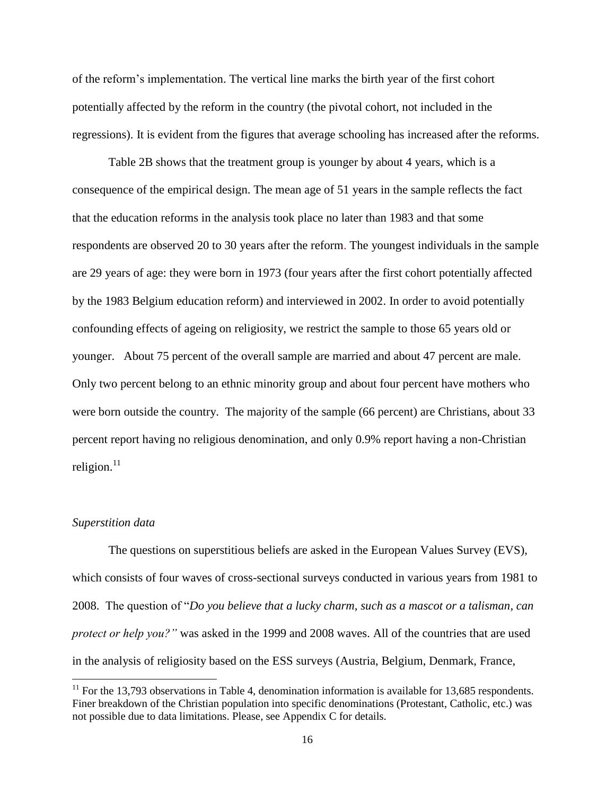of the reform's implementation. The vertical line marks the birth year of the first cohort potentially affected by the reform in the country (the pivotal cohort, not included in the regressions). It is evident from the figures that average schooling has increased after the reforms.

Table 2B shows that the treatment group is younger by about 4 years, which is a consequence of the empirical design. The mean age of 51 years in the sample reflects the fact that the education reforms in the analysis took place no later than 1983 and that some respondents are observed 20 to 30 years after the reform. The youngest individuals in the sample are 29 years of age: they were born in 1973 (four years after the first cohort potentially affected by the 1983 Belgium education reform) and interviewed in 2002. In order to avoid potentially confounding effects of ageing on religiosity, we restrict the sample to those 65 years old or younger. About 75 percent of the overall sample are married and about 47 percent are male. Only two percent belong to an ethnic minority group and about four percent have mothers who were born outside the country. The majority of the sample (66 percent) are Christians, about 33 percent report having no religious denomination, and only 0.9% report having a non-Christian religion. $11$ 

#### *Superstition data*

 $\overline{a}$ 

The questions on superstitious beliefs are asked in the European Values Survey (EVS), which consists of four waves of cross-sectional surveys conducted in various years from 1981 to 2008. The question of "*Do you believe that a lucky charm, such as a mascot or a talisman, can protect or help you?"* was asked in the 1999 and 2008 waves. All of the countries that are used in the analysis of religiosity based on the ESS surveys (Austria, Belgium, Denmark, France,

 $11$  For the 13,793 observations in Table 4, denomination information is available for 13,685 respondents. Finer breakdown of the Christian population into specific denominations (Protestant, Catholic, etc.) was not possible due to data limitations. Please, see Appendix C for details.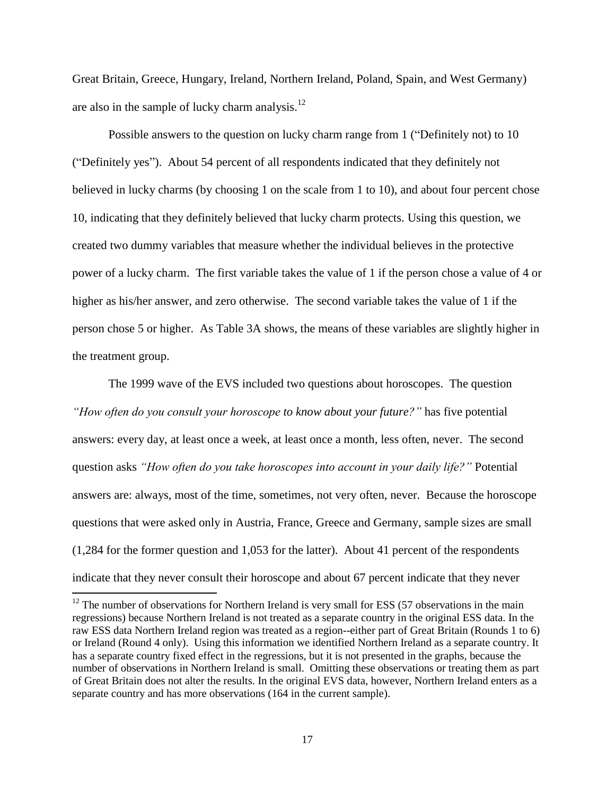Great Britain, Greece, Hungary, Ireland, Northern Ireland, Poland, Spain, and West Germany) are also in the sample of lucky charm analysis. $^{12}$ 

Possible answers to the question on lucky charm range from 1 ("Definitely not) to 10 ("Definitely yes"). About 54 percent of all respondents indicated that they definitely not believed in lucky charms (by choosing 1 on the scale from 1 to 10), and about four percent chose 10, indicating that they definitely believed that lucky charm protects. Using this question, we created two dummy variables that measure whether the individual believes in the protective power of a lucky charm. The first variable takes the value of 1 if the person chose a value of 4 or higher as his/her answer, and zero otherwise. The second variable takes the value of 1 if the person chose 5 or higher. As Table 3A shows, the means of these variables are slightly higher in the treatment group.

The 1999 wave of the EVS included two questions about horoscopes. The question *"How often do you consult your horoscope to know about your future?"* has five potential answers: every day, at least once a week, at least once a month, less often, never. The second question asks *"How often do you take horoscopes into account in your daily life?"* Potential answers are: always, most of the time, sometimes, not very often, never. Because the horoscope questions that were asked only in Austria, France, Greece and Germany, sample sizes are small (1,284 for the former question and 1,053 for the latter). About 41 percent of the respondents indicate that they never consult their horoscope and about 67 percent indicate that they never

 $\overline{a}$ 

 $12$  The number of observations for Northern Ireland is very small for ESS (57 observations in the main regressions) because Northern Ireland is not treated as a separate country in the original ESS data. In the raw ESS data Northern Ireland region was treated as a region--either part of Great Britain (Rounds 1 to 6) or Ireland (Round 4 only). Using this information we identified Northern Ireland as a separate country. It has a separate country fixed effect in the regressions, but it is not presented in the graphs, because the number of observations in Northern Ireland is small. Omitting these observations or treating them as part of Great Britain does not alter the results. In the original EVS data, however, Northern Ireland enters as a separate country and has more observations (164 in the current sample).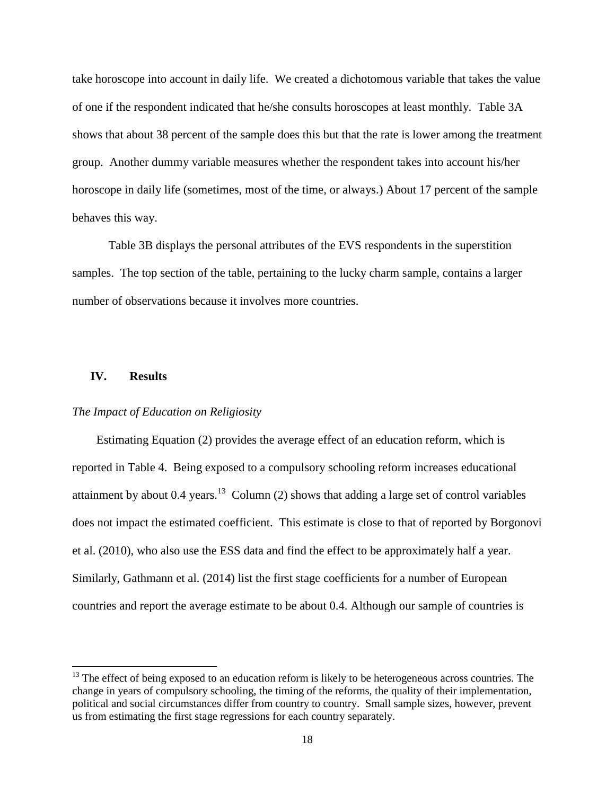take horoscope into account in daily life. We created a dichotomous variable that takes the value of one if the respondent indicated that he/she consults horoscopes at least monthly. Table 3A shows that about 38 percent of the sample does this but that the rate is lower among the treatment group. Another dummy variable measures whether the respondent takes into account his/her horoscope in daily life (sometimes, most of the time, or always.) About 17 percent of the sample behaves this way.

Table 3B displays the personal attributes of the EVS respondents in the superstition samples. The top section of the table, pertaining to the lucky charm sample, contains a larger number of observations because it involves more countries.

## **IV. Results**

l

## *The Impact of Education on Religiosity*

Estimating Equation (2) provides the average effect of an education reform, which is reported in Table 4. Being exposed to a compulsory schooling reform increases educational attainment by about 0.4 years.<sup>13</sup> Column (2) shows that adding a large set of control variables does not impact the estimated coefficient. This estimate is close to that of reported by Borgonovi et al. (2010), who also use the ESS data and find the effect to be approximately half a year. Similarly, Gathmann et al. (2014) list the first stage coefficients for a number of European countries and report the average estimate to be about 0.4. Although our sample of countries is

 $13$  The effect of being exposed to an education reform is likely to be heterogeneous across countries. The change in years of compulsory schooling, the timing of the reforms, the quality of their implementation, political and social circumstances differ from country to country. Small sample sizes, however, prevent us from estimating the first stage regressions for each country separately.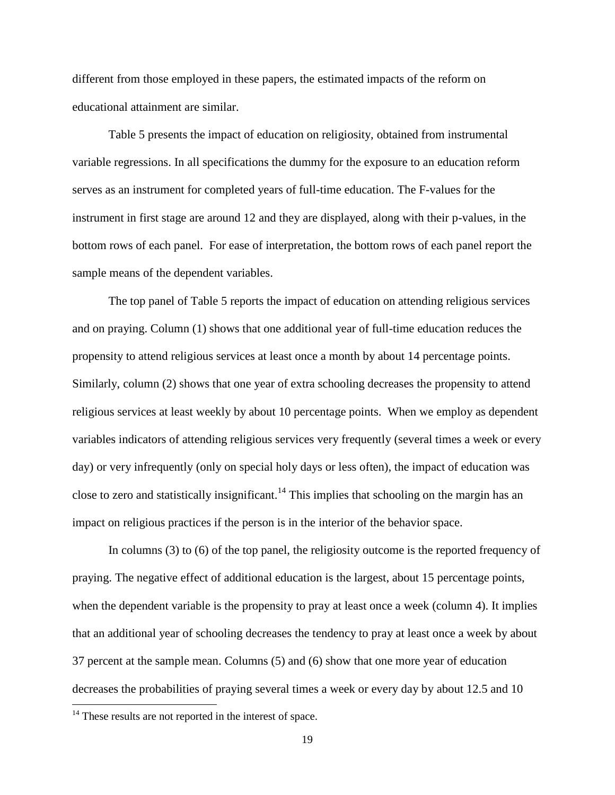different from those employed in these papers, the estimated impacts of the reform on educational attainment are similar.

Table 5 presents the impact of education on religiosity, obtained from instrumental variable regressions. In all specifications the dummy for the exposure to an education reform serves as an instrument for completed years of full-time education. The F-values for the instrument in first stage are around 12 and they are displayed, along with their p-values, in the bottom rows of each panel. For ease of interpretation, the bottom rows of each panel report the sample means of the dependent variables.

The top panel of Table 5 reports the impact of education on attending religious services and on praying. Column (1) shows that one additional year of full-time education reduces the propensity to attend religious services at least once a month by about 14 percentage points. Similarly, column (2) shows that one year of extra schooling decreases the propensity to attend religious services at least weekly by about 10 percentage points. When we employ as dependent variables indicators of attending religious services very frequently (several times a week or every day) or very infrequently (only on special holy days or less often), the impact of education was close to zero and statistically insignificant.<sup>14</sup> This implies that schooling on the margin has an impact on religious practices if the person is in the interior of the behavior space.

In columns (3) to (6) of the top panel, the religiosity outcome is the reported frequency of praying. The negative effect of additional education is the largest, about 15 percentage points, when the dependent variable is the propensity to pray at least once a week (column 4). It implies that an additional year of schooling decreases the tendency to pray at least once a week by about 37 percent at the sample mean. Columns (5) and (6) show that one more year of education decreases the probabilities of praying several times a week or every day by about 12.5 and 10

 $\overline{\phantom{a}}$ 

<sup>&</sup>lt;sup>14</sup> These results are not reported in the interest of space.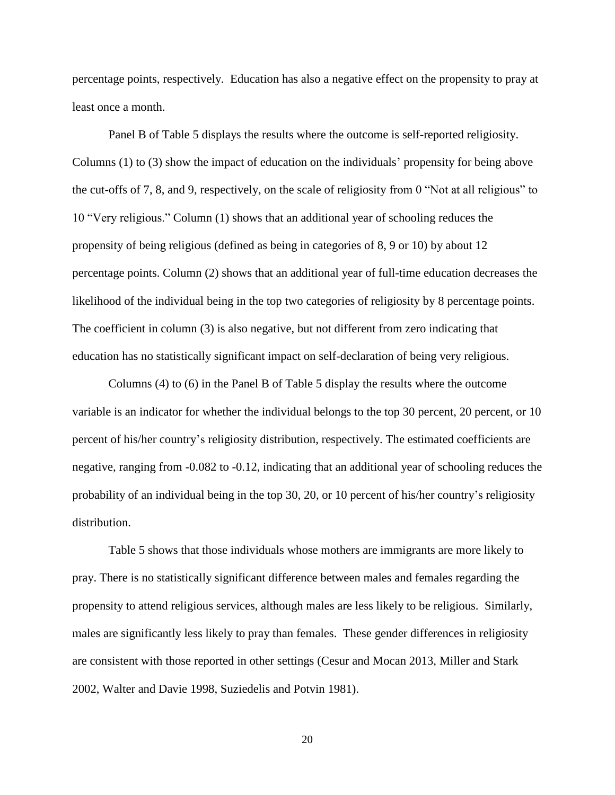percentage points, respectively. Education has also a negative effect on the propensity to pray at least once a month.

Panel B of Table 5 displays the results where the outcome is self-reported religiosity. Columns (1) to (3) show the impact of education on the individuals' propensity for being above the cut-offs of 7, 8, and 9, respectively, on the scale of religiosity from 0 "Not at all religious" to 10 "Very religious." Column (1) shows that an additional year of schooling reduces the propensity of being religious (defined as being in categories of 8, 9 or 10) by about 12 percentage points. Column (2) shows that an additional year of full-time education decreases the likelihood of the individual being in the top two categories of religiosity by 8 percentage points. The coefficient in column (3) is also negative, but not different from zero indicating that education has no statistically significant impact on self-declaration of being very religious.

Columns (4) to (6) in the Panel B of Table 5 display the results where the outcome variable is an indicator for whether the individual belongs to the top 30 percent, 20 percent, or 10 percent of his/her country's religiosity distribution, respectively. The estimated coefficients are negative, ranging from -0.082 to -0.12, indicating that an additional year of schooling reduces the probability of an individual being in the top 30, 20, or 10 percent of his/her country's religiosity distribution.

Table 5 shows that those individuals whose mothers are immigrants are more likely to pray. There is no statistically significant difference between males and females regarding the propensity to attend religious services, although males are less likely to be religious. Similarly, males are significantly less likely to pray than females. These gender differences in religiosity are consistent with those reported in other settings (Cesur and Mocan 2013, Miller and Stark 2002, Walter and Davie 1998, Suziedelis and Potvin 1981).

20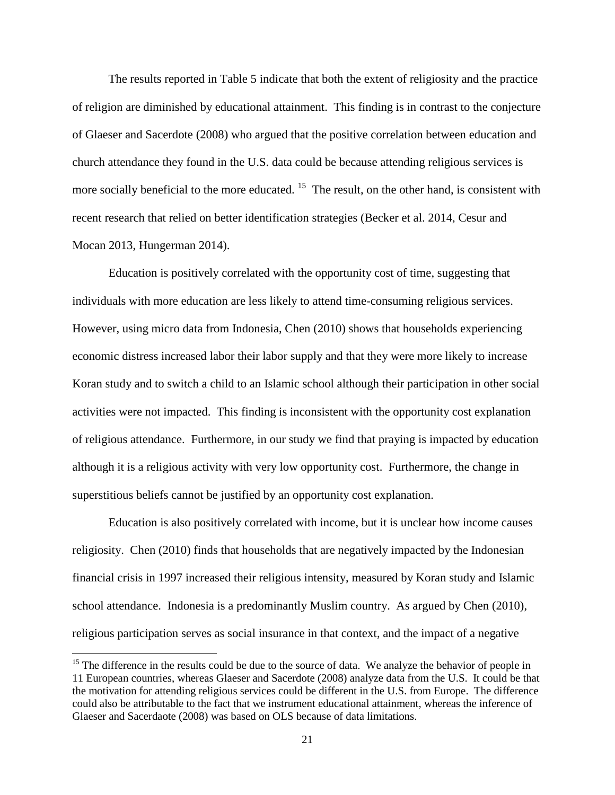The results reported in Table 5 indicate that both the extent of religiosity and the practice of religion are diminished by educational attainment. This finding is in contrast to the conjecture of Glaeser and Sacerdote (2008) who argued that the positive correlation between education and church attendance they found in the U.S. data could be because attending religious services is more socially beneficial to the more educated. <sup>15</sup> The result, on the other hand, is consistent with recent research that relied on better identification strategies (Becker et al. 2014, Cesur and Mocan 2013, Hungerman 2014).

Education is positively correlated with the opportunity cost of time, suggesting that individuals with more education are less likely to attend time-consuming religious services. However, using micro data from Indonesia, Chen (2010) shows that households experiencing economic distress increased labor their labor supply and that they were more likely to increase Koran study and to switch a child to an Islamic school although their participation in other social activities were not impacted. This finding is inconsistent with the opportunity cost explanation of religious attendance. Furthermore, in our study we find that praying is impacted by education although it is a religious activity with very low opportunity cost. Furthermore, the change in superstitious beliefs cannot be justified by an opportunity cost explanation.

Education is also positively correlated with income, but it is unclear how income causes religiosity. Chen (2010) finds that households that are negatively impacted by the Indonesian financial crisis in 1997 increased their religious intensity, measured by Koran study and Islamic school attendance. Indonesia is a predominantly Muslim country. As argued by Chen (2010), religious participation serves as social insurance in that context, and the impact of a negative

 $\overline{\phantom{a}}$ 

 $15$  The difference in the results could be due to the source of data. We analyze the behavior of people in 11 European countries, whereas Glaeser and Sacerdote (2008) analyze data from the U.S. It could be that the motivation for attending religious services could be different in the U.S. from Europe. The difference could also be attributable to the fact that we instrument educational attainment, whereas the inference of Glaeser and Sacerdaote (2008) was based on OLS because of data limitations.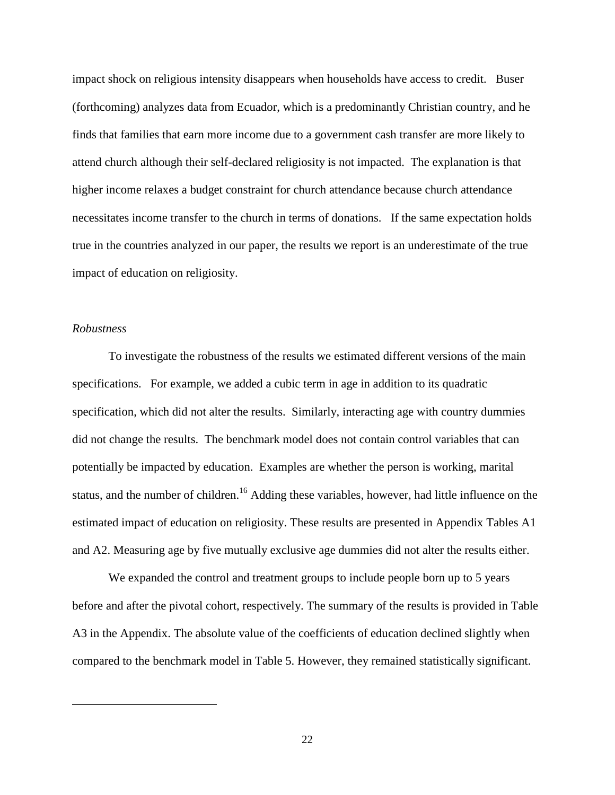impact shock on religious intensity disappears when households have access to credit. Buser (forthcoming) analyzes data from Ecuador, which is a predominantly Christian country, and he finds that families that earn more income due to a government cash transfer are more likely to attend church although their self-declared religiosity is not impacted. The explanation is that higher income relaxes a budget constraint for church attendance because church attendance necessitates income transfer to the church in terms of donations. If the same expectation holds true in the countries analyzed in our paper, the results we report is an underestimate of the true impact of education on religiosity.

## *Robustness*

 $\overline{\phantom{a}}$ 

To investigate the robustness of the results we estimated different versions of the main specifications. For example, we added a cubic term in age in addition to its quadratic specification, which did not alter the results. Similarly, interacting age with country dummies did not change the results. The benchmark model does not contain control variables that can potentially be impacted by education. Examples are whether the person is working, marital status, and the number of children.<sup>16</sup> Adding these variables, however, had little influence on the estimated impact of education on religiosity. These results are presented in Appendix Tables A1 and A2. Measuring age by five mutually exclusive age dummies did not alter the results either.

We expanded the control and treatment groups to include people born up to 5 years before and after the pivotal cohort, respectively. The summary of the results is provided in Table A3 in the Appendix. The absolute value of the coefficients of education declined slightly when compared to the benchmark model in Table 5. However, they remained statistically significant.

22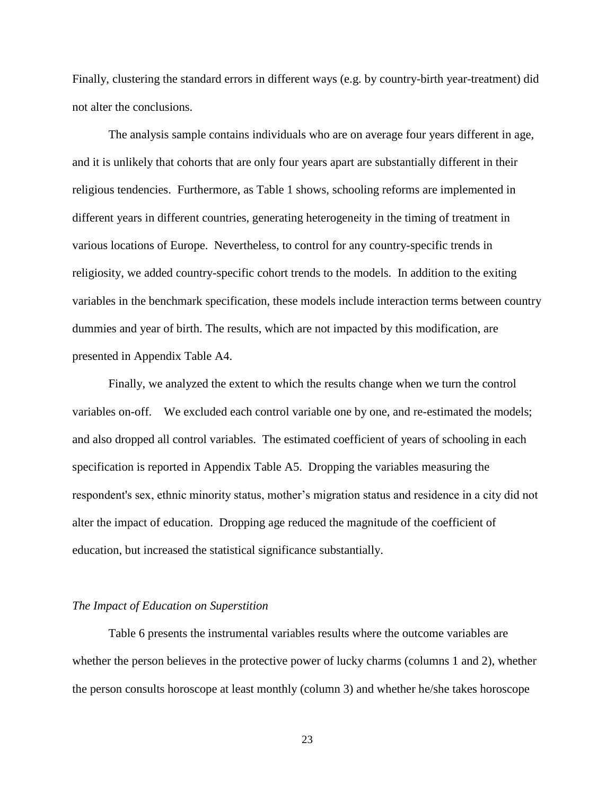Finally, clustering the standard errors in different ways (e.g. by country-birth year-treatment) did not alter the conclusions.

The analysis sample contains individuals who are on average four years different in age, and it is unlikely that cohorts that are only four years apart are substantially different in their religious tendencies. Furthermore, as Table 1 shows, schooling reforms are implemented in different years in different countries, generating heterogeneity in the timing of treatment in various locations of Europe. Nevertheless, to control for any country-specific trends in religiosity, we added country-specific cohort trends to the models. In addition to the exiting variables in the benchmark specification, these models include interaction terms between country dummies and year of birth. The results, which are not impacted by this modification, are presented in Appendix Table A4.

Finally, we analyzed the extent to which the results change when we turn the control variables on-off. We excluded each control variable one by one, and re-estimated the models; and also dropped all control variables. The estimated coefficient of years of schooling in each specification is reported in Appendix Table A5. Dropping the variables measuring the respondent's sex, ethnic minority status, mother's migration status and residence in a city did not alter the impact of education. Dropping age reduced the magnitude of the coefficient of education, but increased the statistical significance substantially.

#### *The Impact of Education on Superstition*

Table 6 presents the instrumental variables results where the outcome variables are whether the person believes in the protective power of lucky charms (columns 1 and 2), whether the person consults horoscope at least monthly (column 3) and whether he/she takes horoscope

23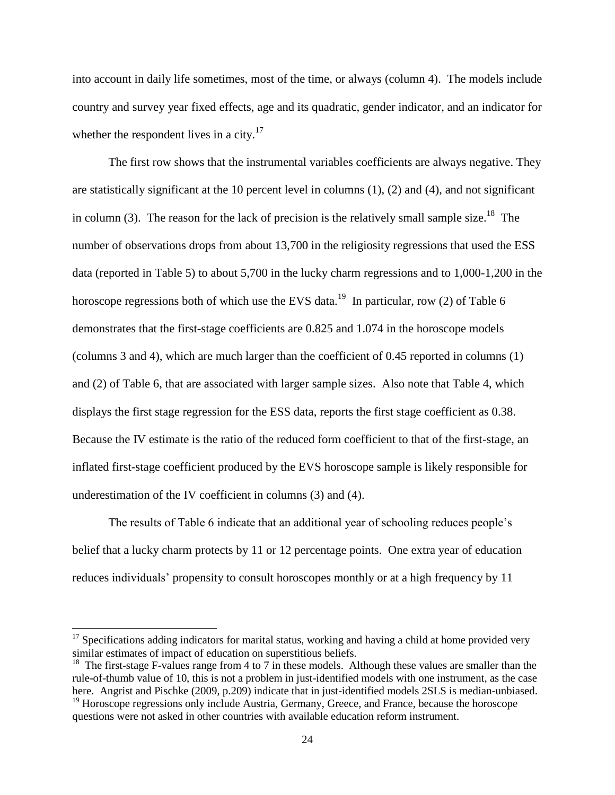into account in daily life sometimes, most of the time, or always (column 4). The models include country and survey year fixed effects, age and its quadratic, gender indicator, and an indicator for whether the respondent lives in a city.<sup>17</sup>

The first row shows that the instrumental variables coefficients are always negative. They are statistically significant at the 10 percent level in columns  $(1)$ ,  $(2)$  and  $(4)$ , and not significant in column (3). The reason for the lack of precision is the relatively small sample size.<sup>18</sup> The number of observations drops from about 13,700 in the religiosity regressions that used the ESS data (reported in Table 5) to about 5,700 in the lucky charm regressions and to 1,000-1,200 in the horoscope regressions both of which use the EVS data.<sup>19</sup> In particular, row (2) of Table 6 demonstrates that the first-stage coefficients are 0.825 and 1.074 in the horoscope models (columns 3 and 4), which are much larger than the coefficient of 0.45 reported in columns (1) and (2) of Table 6, that are associated with larger sample sizes. Also note that Table 4, which displays the first stage regression for the ESS data, reports the first stage coefficient as 0.38. Because the IV estimate is the ratio of the reduced form coefficient to that of the first-stage, an inflated first-stage coefficient produced by the EVS horoscope sample is likely responsible for underestimation of the IV coefficient in columns (3) and (4).

The results of Table 6 indicate that an additional year of schooling reduces people's belief that a lucky charm protects by 11 or 12 percentage points. One extra year of education reduces individuals' propensity to consult horoscopes monthly or at a high frequency by 11

 $\overline{a}$ 

 $17$  Specifications adding indicators for marital status, working and having a child at home provided very similar estimates of impact of education on superstitious beliefs.

<sup>&</sup>lt;sup>18</sup> The first-stage F-values range from 4 to 7 in these models. Although these values are smaller than the rule-of-thumb value of 10, this is not a problem in just-identified models with one instrument, as the case here. Angrist and Pischke (2009, p.209) indicate that in just-identified models 2SLS is median-unbiased. <sup>19</sup> Horoscope regressions only include Austria, Germany, Greece, and France, because the horoscope

questions were not asked in other countries with available education reform instrument.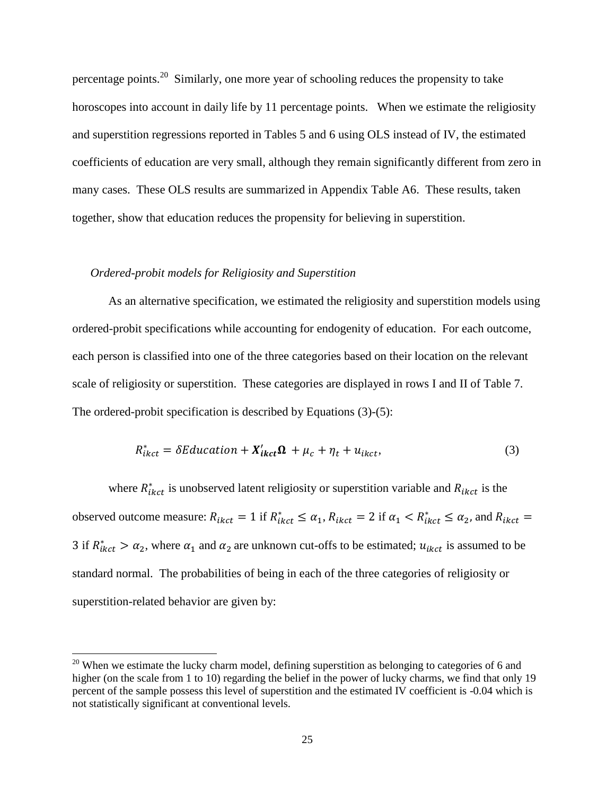percentage points.<sup>20</sup> Similarly, one more year of schooling reduces the propensity to take horoscopes into account in daily life by 11 percentage points. When we estimate the religiosity and superstition regressions reported in Tables 5 and 6 using OLS instead of IV, the estimated coefficients of education are very small, although they remain significantly different from zero in many cases. These OLS results are summarized in Appendix Table A6. These results, taken together, show that education reduces the propensity for believing in superstition.

## *Ordered-probit models for Religiosity and Superstition*

 $\overline{\phantom{a}}$ 

As an alternative specification, we estimated the religiosity and superstition models using ordered-probit specifications while accounting for endogenity of education. For each outcome, each person is classified into one of the three categories based on their location on the relevant scale of religiosity or superstition. These categories are displayed in rows I and II of Table 7. The ordered-probit specification is described by Equations (3)-(5):

$$
R_{ikct}^* = \delta E \, \text{diication} + X_{ikct}' \, \Omega \, + \mu_c + \eta_t + u_{ikct}, \tag{3}
$$

where  $R_{ikct}^{*}$  is unobserved latent religiosity or superstition variable and  $R_{ikct}$  is the observed outcome measure:  $R_{ikct} = 1$  if  $R_{ikct}^* \le \alpha_1$ ,  $R_{ikct} = 2$  if  $\alpha_1 < R_{ikct}^* \le \alpha_2$ , and 3 if  $R_{ikct}^* > \alpha_2$ , where  $\alpha_1$  and  $\alpha_2$  are unknown cut-offs to be estimated;  $u_{ikct}$  is assumed to be standard normal. The probabilities of being in each of the three categories of religiosity or superstition-related behavior are given by:

 $20$  When we estimate the lucky charm model, defining superstition as belonging to categories of 6 and higher (on the scale from 1 to 10) regarding the belief in the power of lucky charms, we find that only 19 percent of the sample possess this level of superstition and the estimated IV coefficient is -0.04 which is not statistically significant at conventional levels.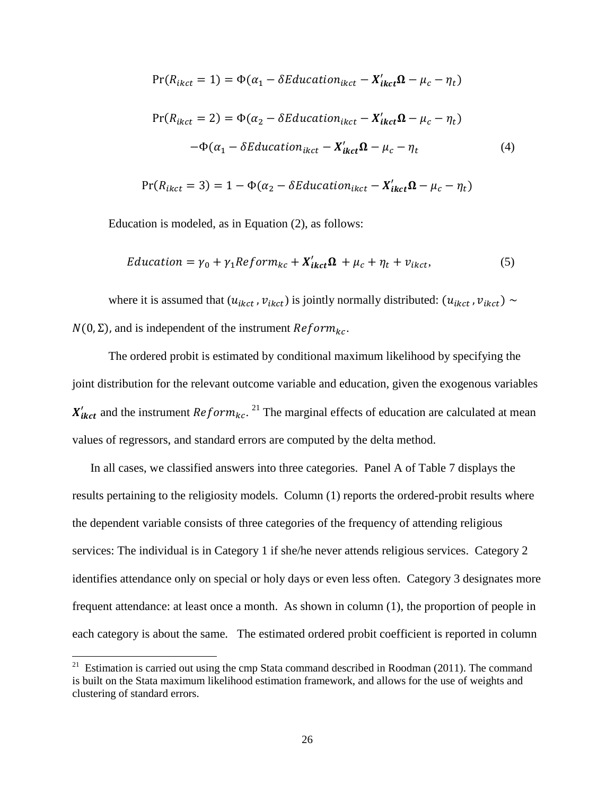$$
Pr(R_{ikct} = 1) = \Phi(\alpha_1 - \delta Education_{ikct} - X'_{ikct} \Omega - \mu_c - \eta_t)
$$
  

$$
Pr(R_{ikct} = 2) = \Phi(\alpha_2 - \delta Education_{ikct} - X'_{ikct} \Omega - \mu_c - \eta_t)
$$
  

$$
-\Phi(\alpha_1 - \delta Education_{ikct} - X'_{ikct} \Omega - \mu_c - \eta_t)
$$
 (4)

$$
Pr(R_{ikct} = 3) = 1 - \Phi(\alpha_2 - \delta \text{Education}_{ikct} - \textbf{X}'_{ikct} \Omega - \mu_c - \eta_t)
$$

Education is modeled, as in Equation (2), as follows:

$$
Education = \gamma_0 + \gamma_1 Reform_{kc} + X'_{ikct} \Omega + \mu_c + \eta_t + \nu_{ikct},
$$
\n(5)

where it is assumed that  $(u_{ikct}, v_{ikct})$  is jointly normally distributed:  $(u_{ikct}, v_{ikct}) \sim$  $N(0, \Sigma)$ , and is independent of the instrument  $Reform_{kc}$ .

The ordered probit is estimated by conditional maximum likelihood by specifying the joint distribution for the relevant outcome variable and education, given the exogenous variables  $X'_{ikct}$  and the instrument  $Reform_{kc}$ . <sup>21</sup> The marginal effects of education are calculated at mean values of regressors, and standard errors are computed by the delta method.

In all cases, we classified answers into three categories. Panel A of Table 7 displays the results pertaining to the religiosity models. Column (1) reports the ordered-probit results where the dependent variable consists of three categories of the frequency of attending religious services: The individual is in Category 1 if she/he never attends religious services. Category 2 identifies attendance only on special or holy days or even less often. Category 3 designates more frequent attendance: at least once a month. As shown in column (1), the proportion of people in each category is about the same. The estimated ordered probit coefficient is reported in column

 $\overline{\phantom{a}}$ 

<sup>&</sup>lt;sup>21</sup> Estimation is carried out using the cmp Stata command described in Roodman (2011). The command is built on the Stata maximum likelihood estimation framework, and allows for the use of weights and clustering of standard errors.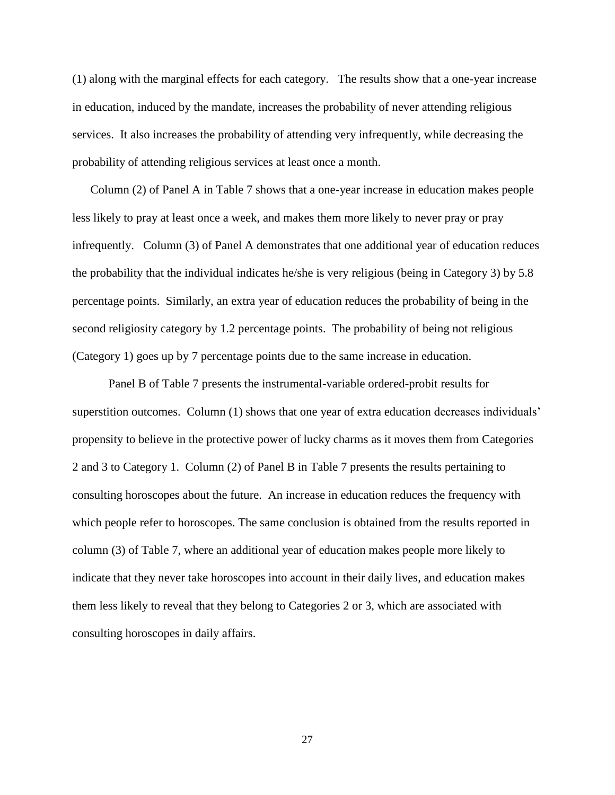(1) along with the marginal effects for each category. The results show that a one-year increase in education, induced by the mandate, increases the probability of never attending religious services. It also increases the probability of attending very infrequently, while decreasing the probability of attending religious services at least once a month.

Column (2) of Panel A in Table 7 shows that a one-year increase in education makes people less likely to pray at least once a week, and makes them more likely to never pray or pray infrequently. Column (3) of Panel A demonstrates that one additional year of education reduces the probability that the individual indicates he/she is very religious (being in Category 3) by 5.8 percentage points. Similarly, an extra year of education reduces the probability of being in the second religiosity category by 1.2 percentage points. The probability of being not religious (Category 1) goes up by 7 percentage points due to the same increase in education.

Panel B of Table 7 presents the instrumental-variable ordered-probit results for superstition outcomes. Column (1) shows that one year of extra education decreases individuals' propensity to believe in the protective power of lucky charms as it moves them from Categories 2 and 3 to Category 1. Column (2) of Panel B in Table 7 presents the results pertaining to consulting horoscopes about the future. An increase in education reduces the frequency with which people refer to horoscopes. The same conclusion is obtained from the results reported in column (3) of Table 7, where an additional year of education makes people more likely to indicate that they never take horoscopes into account in their daily lives, and education makes them less likely to reveal that they belong to Categories 2 or 3, which are associated with consulting horoscopes in daily affairs.

27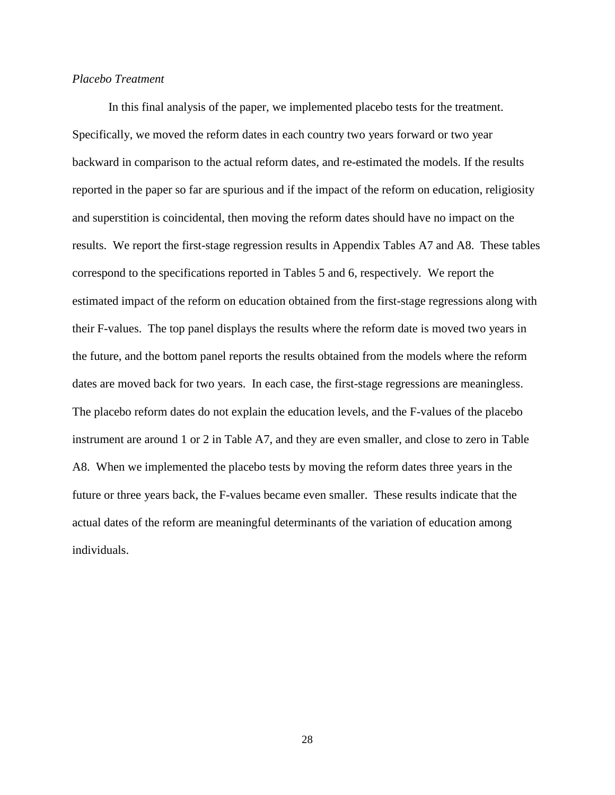## *Placebo Treatment*

In this final analysis of the paper, we implemented placebo tests for the treatment. Specifically, we moved the reform dates in each country two years forward or two year backward in comparison to the actual reform dates, and re-estimated the models. If the results reported in the paper so far are spurious and if the impact of the reform on education, religiosity and superstition is coincidental, then moving the reform dates should have no impact on the results. We report the first-stage regression results in Appendix Tables A7 and A8. These tables correspond to the specifications reported in Tables 5 and 6, respectively. We report the estimated impact of the reform on education obtained from the first-stage regressions along with their F-values. The top panel displays the results where the reform date is moved two years in the future, and the bottom panel reports the results obtained from the models where the reform dates are moved back for two years. In each case, the first-stage regressions are meaningless. The placebo reform dates do not explain the education levels, and the F-values of the placebo instrument are around 1 or 2 in Table A7, and they are even smaller, and close to zero in Table A8. When we implemented the placebo tests by moving the reform dates three years in the future or three years back, the F-values became even smaller. These results indicate that the actual dates of the reform are meaningful determinants of the variation of education among individuals.

28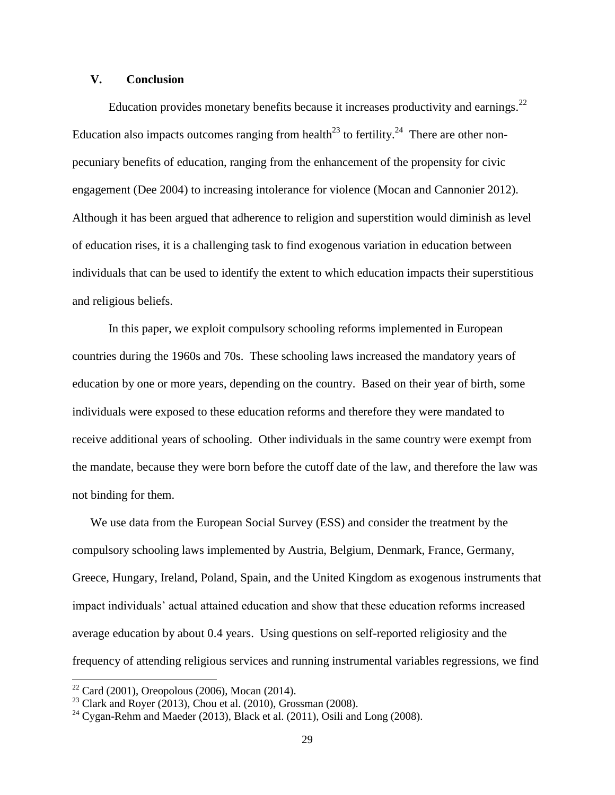## **V. Conclusion**

Education provides monetary benefits because it increases productivity and earnings.<sup>22</sup> Education also impacts outcomes ranging from health<sup>23</sup> to fertility.<sup>24</sup> There are other nonpecuniary benefits of education, ranging from the enhancement of the propensity for civic engagement (Dee 2004) to increasing intolerance for violence (Mocan and Cannonier 2012). Although it has been argued that adherence to religion and superstition would diminish as level of education rises, it is a challenging task to find exogenous variation in education between individuals that can be used to identify the extent to which education impacts their superstitious and religious beliefs.

In this paper, we exploit compulsory schooling reforms implemented in European countries during the 1960s and 70s. These schooling laws increased the mandatory years of education by one or more years, depending on the country. Based on their year of birth, some individuals were exposed to these education reforms and therefore they were mandated to receive additional years of schooling. Other individuals in the same country were exempt from the mandate, because they were born before the cutoff date of the law, and therefore the law was not binding for them.

We use data from the European Social Survey (ESS) and consider the treatment by the compulsory schooling laws implemented by Austria, Belgium, Denmark, France, Germany, Greece, Hungary, Ireland, Poland, Spain, and the United Kingdom as exogenous instruments that impact individuals' actual attained education and show that these education reforms increased average education by about 0.4 years. Using questions on self-reported religiosity and the frequency of attending religious services and running instrumental variables regressions, we find

 $\overline{a}$ 

 $22$  Card (2001), Oreopolous (2006), Mocan (2014).

 $23$  Clark and Royer (2013), Chou et al. (2010), Grossman (2008).

 $24$  Cygan-Rehm and Maeder (2013), Black et al. (2011), Osili and Long (2008).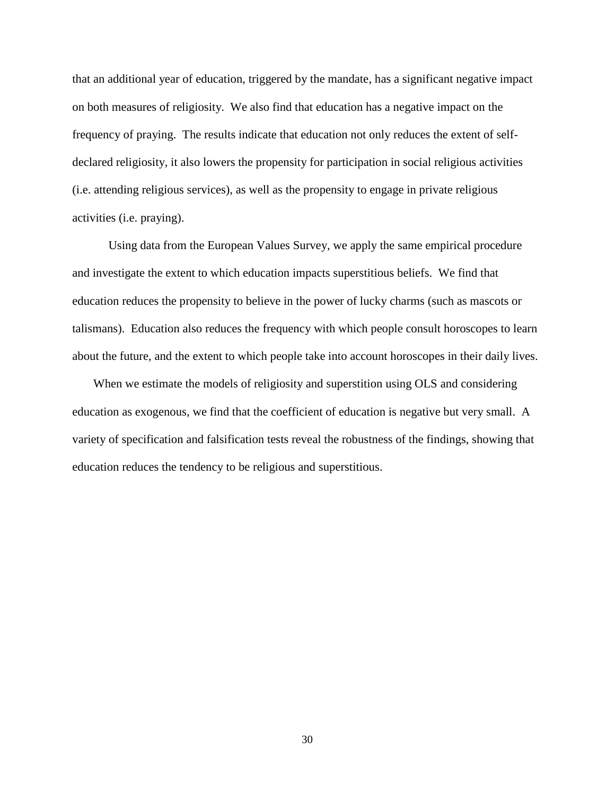that an additional year of education, triggered by the mandate, has a significant negative impact on both measures of religiosity. We also find that education has a negative impact on the frequency of praying. The results indicate that education not only reduces the extent of selfdeclared religiosity, it also lowers the propensity for participation in social religious activities (i.e. attending religious services), as well as the propensity to engage in private religious activities (i.e. praying).

Using data from the European Values Survey, we apply the same empirical procedure and investigate the extent to which education impacts superstitious beliefs. We find that education reduces the propensity to believe in the power of lucky charms (such as mascots or talismans). Education also reduces the frequency with which people consult horoscopes to learn about the future, and the extent to which people take into account horoscopes in their daily lives.

When we estimate the models of religiosity and superstition using OLS and considering education as exogenous, we find that the coefficient of education is negative but very small. A variety of specification and falsification tests reveal the robustness of the findings, showing that education reduces the tendency to be religious and superstitious.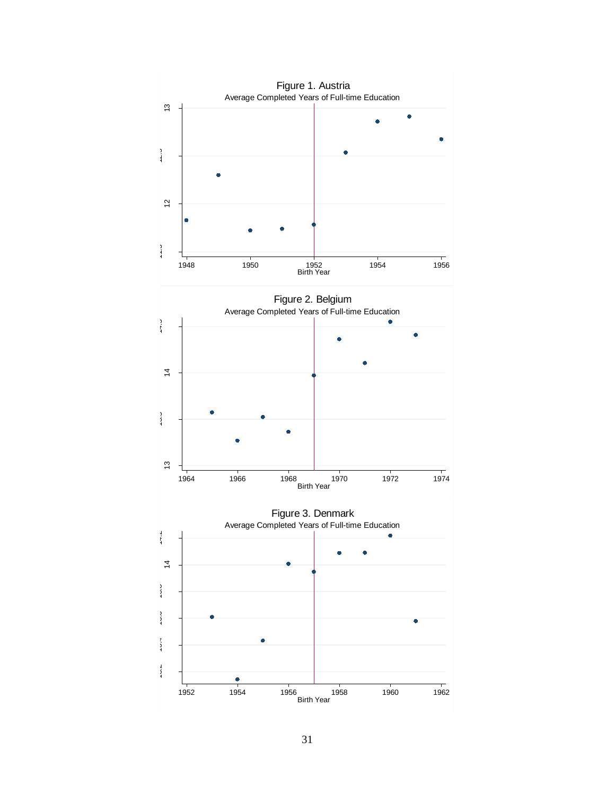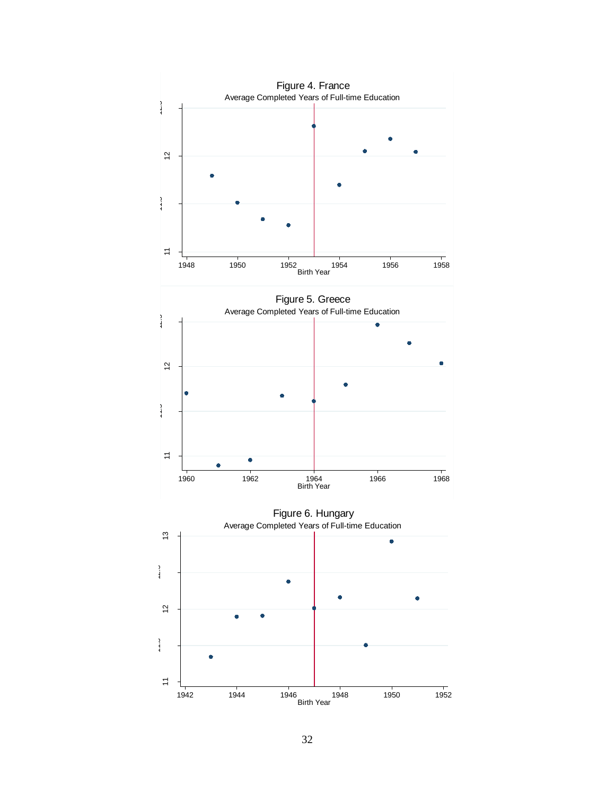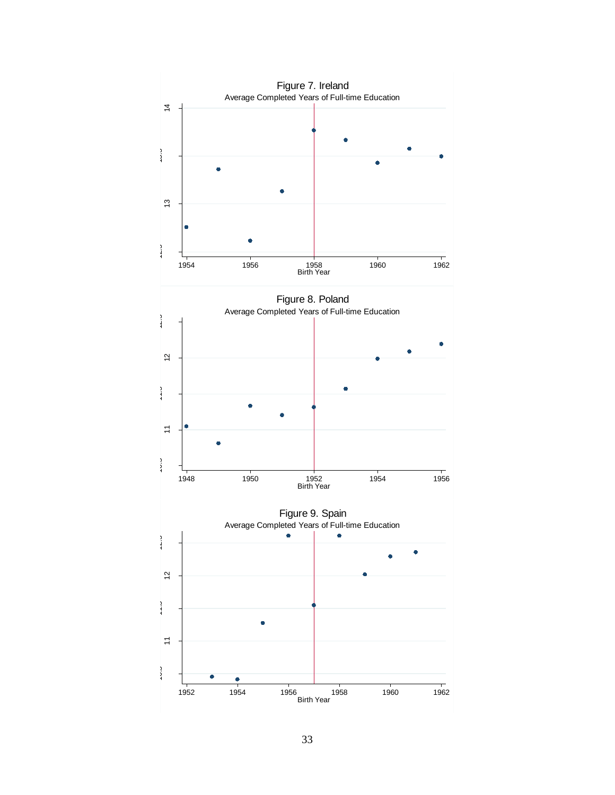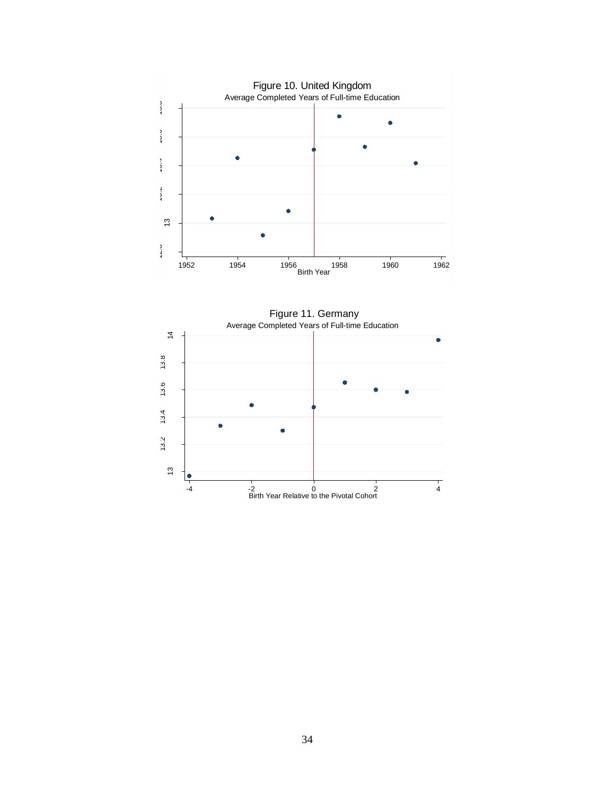

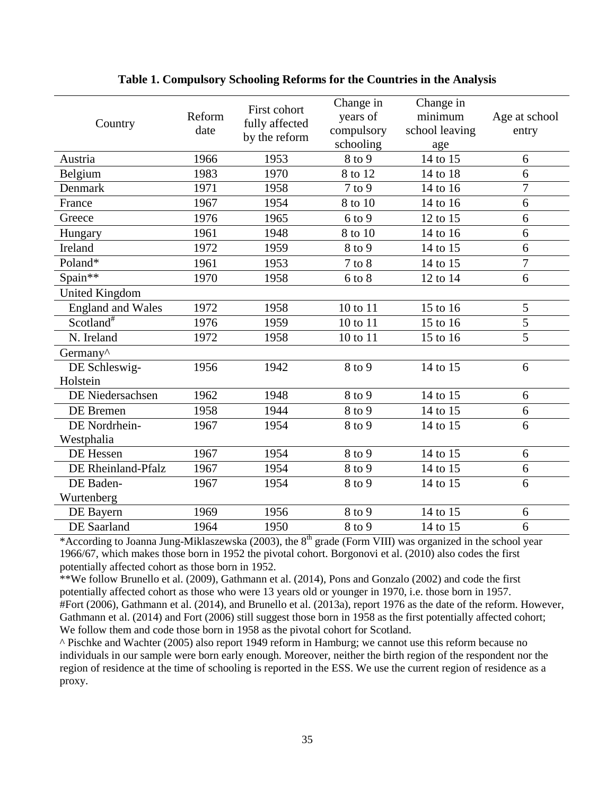| Country                  | Reform<br>date | First cohort<br>fully affected<br>by the reform | Change in<br>years of<br>compulsory<br>schooling | Change in<br>minimum<br>school leaving<br>age | Age at school<br>entry |
|--------------------------|----------------|-------------------------------------------------|--------------------------------------------------|-----------------------------------------------|------------------------|
| Austria                  | 1966           | 1953                                            | 8 to 9                                           | 14 to 15                                      | 6                      |
| Belgium                  | 1983           | 1970                                            | 8 to 12                                          | 14 to 18                                      | 6                      |
| Denmark                  | 1971           | 1958                                            | $7$ to $9$                                       | 14 to 16                                      | $\overline{7}$         |
| France                   | 1967           | 1954                                            | 8 to 10                                          | 14 to 16                                      | 6                      |
| Greece                   | 1976           | 1965                                            | $6$ to $9$                                       | 12 to 15                                      | 6                      |
| Hungary                  | 1961           | 1948                                            | 8 to 10                                          | 14 to 16                                      | 6                      |
| Ireland                  | 1972           | 1959                                            | 8 to 9                                           | 14 to 15                                      | 6                      |
| Poland*                  | 1961           | 1953                                            | $7$ to $8$                                       | 14 to 15                                      | $\overline{7}$         |
| Spain**                  | 1970           | 1958                                            | $6$ to $8$                                       | 12 to 14                                      | 6                      |
| <b>United Kingdom</b>    |                |                                                 |                                                  |                                               |                        |
| <b>England and Wales</b> | 1972           | 1958                                            | 10 to 11                                         | 15 to 16                                      | 5                      |
| Scotland <sup>#</sup>    | 1976           | 1959                                            | 10 to 11                                         | 15 to 16                                      | 5                      |
| N. Ireland               | 1972           | 1958                                            | 10 to 11                                         | 15 to 16                                      | $\overline{5}$         |
| Germany <sup>^</sup>     |                |                                                 |                                                  |                                               |                        |
| DE Schleswig-            | 1956           | 1942                                            | 8 to 9                                           | 14 to 15                                      | 6                      |
| Holstein                 |                |                                                 |                                                  |                                               |                        |
| DE Niedersachsen         | 1962           | 1948                                            | 8 to 9                                           | 14 to 15                                      | 6                      |
| DE Bremen                | 1958           | 1944                                            | 8 to 9                                           | 14 to 15                                      | 6                      |
| DE Nordrhein-            | 1967           | 1954                                            | 8 to 9                                           | 14 to 15                                      | 6                      |
| Westphalia               |                |                                                 |                                                  |                                               |                        |
| DE Hessen                | 1967           | 1954                                            | 8 to 9                                           | 14 to 15                                      | 6                      |
| DE Rheinland-Pfalz       | 1967           | 1954                                            | 8 to 9                                           | 14 to 15                                      | 6                      |
| DE Baden-                | 1967           | 1954                                            | 8 to 9                                           | 14 to 15                                      | 6                      |
| Wurtenberg               |                |                                                 |                                                  |                                               |                        |
| DE Bayern                | 1969           | 1956                                            | 8 to 9                                           | 14 to 15                                      | 6                      |
| DE Saarland              | 1964           | 1950                                            | 8 to 9                                           | 14 to 15                                      | 6                      |

## **Table 1. Compulsory Schooling Reforms for the Countries in the Analysis**

\*According to Joanna Jung-Miklaszewska (2003), the 8<sup>th</sup> grade (Form VIII) was organized in the school year 1966/67, which makes those born in 1952 the pivotal cohort. Borgonovi et al. (2010) also codes the first potentially affected cohort as those born in 1952.

\*\*We follow Brunello et al. (2009), Gathmann et al. (2014), Pons and Gonzalo (2002) and code the first potentially affected cohort as those who were 13 years old or younger in 1970, i.e. those born in 1957. #Fort (2006), Gathmann et al. (2014), and Brunello et al. (2013a), report 1976 as the date of the reform. However, Gathmann et al. (2014) and Fort (2006) still suggest those born in 1958 as the first potentially affected cohort; We follow them and code those born in 1958 as the pivotal cohort for Scotland.

^ Pischke and Wachter (2005) also report 1949 reform in Hamburg; we cannot use this reform because no individuals in our sample were born early enough. Moreover, neither the birth region of the respondent nor the region of residence at the time of schooling is reported in the ESS. We use the current region of residence as a proxy.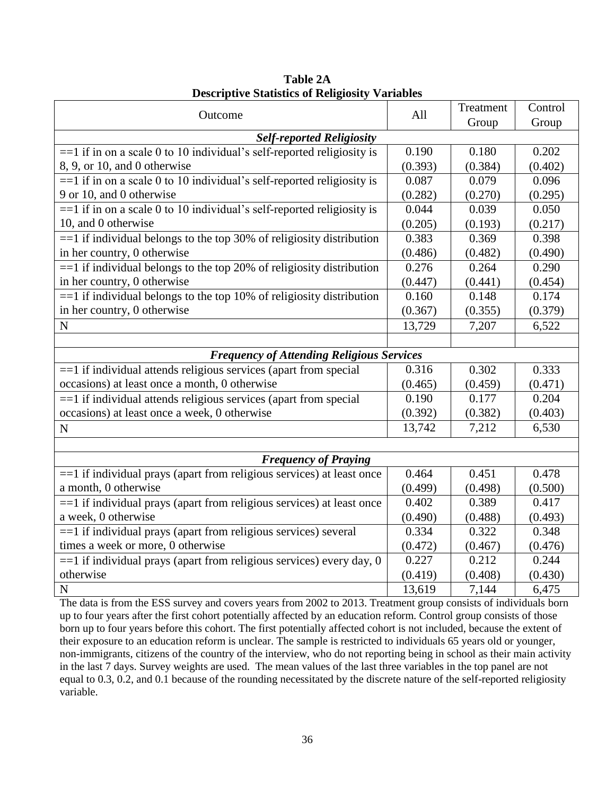| Outcome                                                                  | All     | Treatment | Control |
|--------------------------------------------------------------------------|---------|-----------|---------|
|                                                                          |         | Group     | Group   |
| <b>Self-reported Religiosity</b>                                         |         |           |         |
| $==1$ if in on a scale 0 to 10 individual's self-reported religiosity is | 0.190   | 0.180     | 0.202   |
| 8, 9, or 10, and 0 otherwise                                             | (0.393) | (0.384)   | (0.402) |
| $==1$ if in on a scale 0 to 10 individual's self-reported religiosity is | 0.087   | 0.079     | 0.096   |
| 9 or 10, and 0 otherwise                                                 | (0.282) | (0.270)   | (0.295) |
| $==1$ if in on a scale 0 to 10 individual's self-reported religiosity is | 0.044   | 0.039     | 0.050   |
| 10, and 0 otherwise                                                      | (0.205) | (0.193)   | (0.217) |
| $==1$ if individual belongs to the top 30% of religiosity distribution   | 0.383   | 0.369     | 0.398   |
| in her country, 0 otherwise                                              | (0.486) | (0.482)   | (0.490) |
| $==1$ if individual belongs to the top 20% of religiosity distribution   | 0.276   | 0.264     | 0.290   |
| in her country, 0 otherwise                                              | (0.447) | (0.441)   | (0.454) |
| $==1$ if individual belongs to the top 10% of religiosity distribution   | 0.160   | 0.148     | 0.174   |
| in her country, 0 otherwise                                              | (0.367) | (0.355)   | (0.379) |
| $\mathbf N$                                                              | 13,729  | 7,207     | 6,522   |
|                                                                          |         |           |         |
| <b>Frequency of Attending Religious Services</b>                         |         |           |         |
| == 1 if individual attends religious services (apart from special        | 0.316   | 0.302     | 0.333   |
| occasions) at least once a month, 0 otherwise                            | (0.465) | (0.459)   | (0.471) |
| $==1$ if individual attends religious services (apart from special       | 0.190   | 0.177     | 0.204   |
| occasions) at least once a week, 0 otherwise                             | (0.392) | (0.382)   | (0.403) |
| $\mathbf N$                                                              | 13,742  | 7,212     | 6,530   |
|                                                                          |         |           |         |
| <b>Frequency of Praying</b>                                              |         |           |         |
| == 1 if individual prays (apart from religious services) at least once   | 0.464   | 0.451     | 0.478   |
| a month, 0 otherwise                                                     | (0.499) | (0.498)   | (0.500) |
| $==1$ if individual prays (apart from religious services) at least once  | 0.402   | 0.389     | 0.417   |
| a week, 0 otherwise                                                      | (0.490) | (0.488)   | (0.493) |
| == 1 if individual prays (apart from religious services) several         | 0.334   | 0.322     | 0.348   |
| times a week or more, 0 otherwise                                        | (0.472) | (0.467)   | (0.476) |
| $==1$ if individual prays (apart from religious services) every day, 0   | 0.227   | 0.212     | 0.244   |
| otherwise                                                                | (0.419) | (0.408)   | (0.430) |
| N                                                                        | 13,619  | 7,144     | 6,475   |

**Table 2A Descriptive Statistics of Religiosity Variables**

The data is from the ESS survey and covers years from 2002 to 2013. Treatment group consists of individuals born up to four years after the first cohort potentially affected by an education reform. Control group consists of those born up to four years before this cohort. The first potentially affected cohort is not included, because the extent of their exposure to an education reform is unclear. The sample is restricted to individuals 65 years old or younger, non-immigrants, citizens of the country of the interview, who do not reporting being in school as their main activity in the last 7 days. Survey weights are used. The mean values of the last three variables in the top panel are not equal to 0.3, 0.2, and 0.1 because of the rounding necessitated by the discrete nature of the self-reported religiosity variable.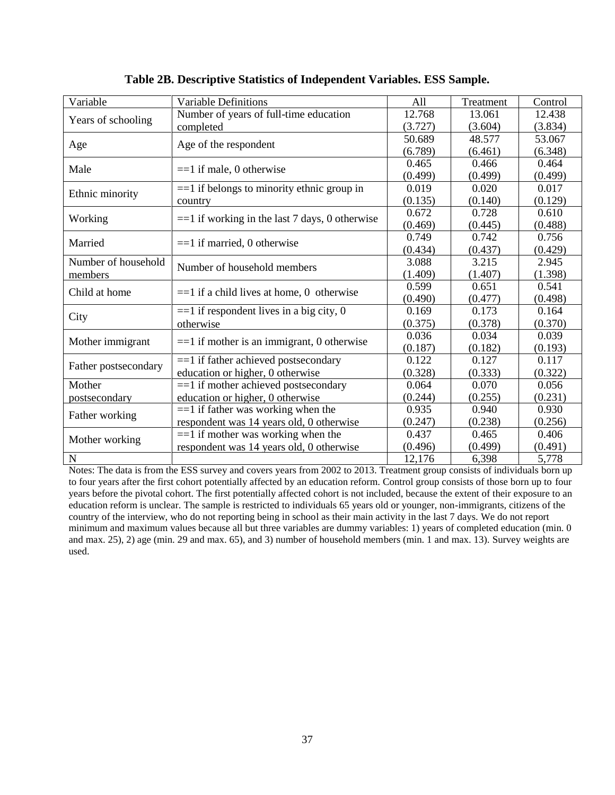| Variable             | Variable Definitions                             | All     | Treatment | Control |
|----------------------|--------------------------------------------------|---------|-----------|---------|
|                      | Number of years of full-time education           | 12.768  | 13.061    | 12.438  |
| Years of schooling   | completed                                        | (3.727) | (3.604)   | (3.834) |
|                      |                                                  | 50.689  | 48.577    | 53.067  |
| Age                  | Age of the respondent                            | (6.789) | (6.461)   | (6.348) |
| Male                 | $==1$ if male, 0 otherwise                       | 0.465   | 0.466     | 0.464   |
|                      |                                                  | (0.499) | (0.499)   | (0.499) |
| Ethnic minority      | $==1$ if belongs to minority ethnic group in     | 0.019   | 0.020     | 0.017   |
|                      | country                                          | (0.135) | (0.140)   | (0.129) |
| Working              | $==1$ if working in the last 7 days, 0 otherwise | 0.672   | 0.728     | 0.610   |
|                      |                                                  | (0.469) | (0.445)   | (0.488) |
| Married              | $==1$ if married, 0 otherwise                    | 0.749   | 0.742     | 0.756   |
|                      |                                                  | (0.434) | (0.437)   | (0.429) |
| Number of household  | Number of household members                      | 3.088   | 3.215     | 2.945   |
| members              |                                                  | (1.409) | (1.407)   | (1.398) |
| Child at home        | $==1$ if a child lives at home, 0 otherwise      | 0.599   | 0.651     | 0.541   |
|                      |                                                  | (0.490) | (0.477)   | (0.498) |
| City                 | $==1$ if respondent lives in a big city, 0       | 0.169   | 0.173     | 0.164   |
|                      | otherwise                                        | (0.375) | (0.378)   | (0.370) |
| Mother immigrant     | $==1$ if mother is an immigrant, 0 otherwise     | 0.036   | 0.034     | 0.039   |
|                      |                                                  | (0.187) | (0.182)   | (0.193) |
| Father postsecondary | $==1$ if father achieved postsecondary           | 0.122   | 0.127     | 0.117   |
|                      | education or higher, 0 otherwise                 | (0.328) | (0.333)   | (0.322) |
| Mother               | $==1$ if mother achieved postsecondary           | 0.064   | 0.070     | 0.056   |
| postsecondary        | education or higher, 0 otherwise                 | (0.244) | (0.255)   | (0.231) |
| Father working       | $==1$ if father was working when the             | 0.935   | 0.940     | 0.930   |
|                      | respondent was 14 years old, 0 otherwise         | (0.247) | (0.238)   | (0.256) |
|                      | $==1$ if mother was working when the             | 0.437   | 0.465     | 0.406   |
| Mother working       | respondent was 14 years old, 0 otherwise         | (0.496) | (0.499)   | (0.491) |
| $\mathbf N$          |                                                  | 12,176  | 6,398     | 5,778   |

**Table 2B. Descriptive Statistics of Independent Variables. ESS Sample.**

Notes: The data is from the ESS survey and covers years from 2002 to 2013. Treatment group consists of individuals born up to four years after the first cohort potentially affected by an education reform. Control group consists of those born up to four years before the pivotal cohort. The first potentially affected cohort is not included, because the extent of their exposure to an education reform is unclear. The sample is restricted to individuals 65 years old or younger, non-immigrants, citizens of the country of the interview, who do not reporting being in school as their main activity in the last 7 days. We do not report minimum and maximum values because all but three variables are dummy variables: 1) years of completed education (min. 0 and max. 25), 2) age (min. 29 and max. 65), and 3) number of household members (min. 1 and max. 13). Survey weights are used.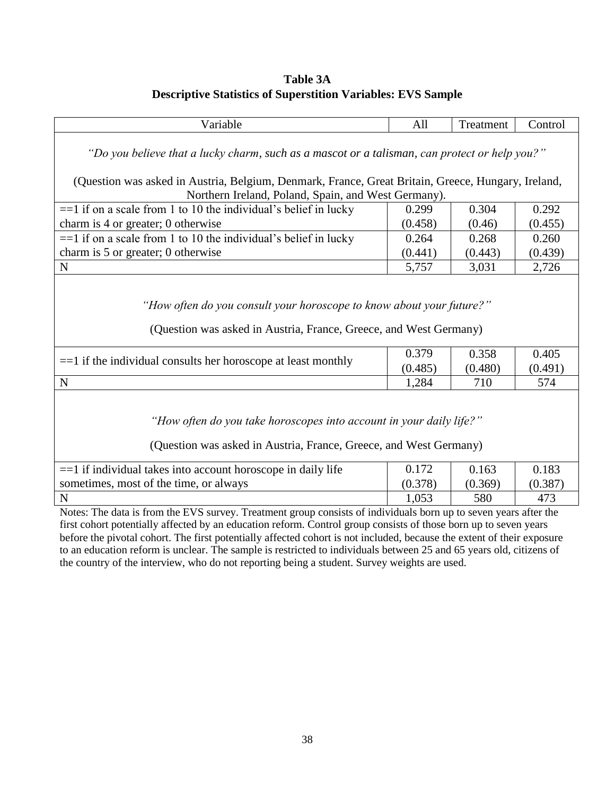## **Table 3A Descriptive Statistics of Superstition Variables: EVS Sample**

| Variable                                                                                                                                                  | All              | Treatment        | Control          |  |  |  |  |
|-----------------------------------------------------------------------------------------------------------------------------------------------------------|------------------|------------------|------------------|--|--|--|--|
| "Do you believe that a lucky charm, such as a mascot or a talisman, can protect or help you?"                                                             |                  |                  |                  |  |  |  |  |
| (Question was asked in Austria, Belgium, Denmark, France, Great Britain, Greece, Hungary, Ireland,<br>Northern Ireland, Poland, Spain, and West Germany). |                  |                  |                  |  |  |  |  |
| $==1$ if on a scale from 1 to 10 the individual's belief in lucky                                                                                         | 0.299            | 0.304            | 0.292            |  |  |  |  |
| charm is 4 or greater; 0 otherwise                                                                                                                        | (0.458)          | (0.46)           | (0.455)          |  |  |  |  |
| $==1$ if on a scale from 1 to 10 the individual's belief in lucky                                                                                         | 0.264            | 0.268            | 0.260            |  |  |  |  |
| charm is 5 or greater; 0 otherwise                                                                                                                        | (0.441)          | (0.443)          | (0.439)          |  |  |  |  |
| N                                                                                                                                                         | 5,757            | 3,031            | 2,726            |  |  |  |  |
| "How often do you consult your horoscope to know about your future?"<br>(Question was asked in Austria, France, Greece, and West Germany)                 |                  |                  |                  |  |  |  |  |
| $==1$ if the individual consults her horoscope at least monthly                                                                                           | 0.379<br>(0.485) | 0.358<br>(0.480) | 0.405<br>(0.491) |  |  |  |  |
| N                                                                                                                                                         | 1,284            | 710              | 574              |  |  |  |  |
| "How often do you take horoscopes into account in your daily life?"<br>(Question was asked in Austria, France, Greece, and West Germany)                  |                  |                  |                  |  |  |  |  |
| == 1 if individual takes into account horoscope in daily life                                                                                             | 0.172            | 0.163            | 0.183            |  |  |  |  |
| sometimes, most of the time, or always                                                                                                                    | (0.378)          | (0.369)          | (0.387)          |  |  |  |  |
| N                                                                                                                                                         | 1,053            | 580              | 473              |  |  |  |  |
| Notes: The data is from the EVS survey. Treatment group consists of individuals born up to seven years after the                                          |                  |                  |                  |  |  |  |  |

first cohort potentially affected by an education reform. Control group consists of those born up to seven years before the pivotal cohort. The first potentially affected cohort is not included, because the extent of their exposure to an education reform is unclear. The sample is restricted to individuals between 25 and 65 years old, citizens of the country of the interview, who do not reporting being a student. Survey weights are used.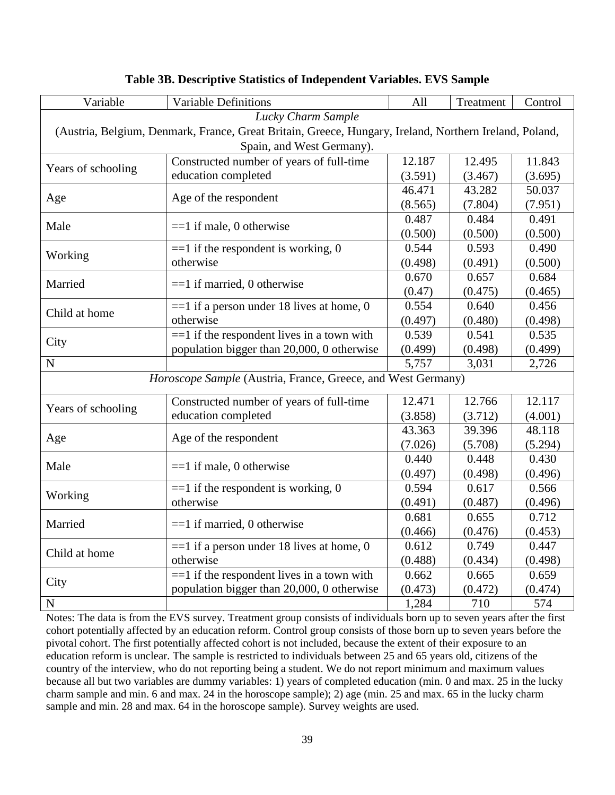| Variable           | <b>Variable Definitions</b>                                                                            | All     | Treatment | Control |  |  |  |  |
|--------------------|--------------------------------------------------------------------------------------------------------|---------|-----------|---------|--|--|--|--|
| Lucky Charm Sample |                                                                                                        |         |           |         |  |  |  |  |
|                    | (Austria, Belgium, Denmark, France, Great Britain, Greece, Hungary, Ireland, Northern Ireland, Poland, |         |           |         |  |  |  |  |
|                    | Spain, and West Germany).                                                                              |         |           |         |  |  |  |  |
| Years of schooling | Constructed number of years of full-time                                                               | 12.187  | 12.495    | 11.843  |  |  |  |  |
|                    | education completed                                                                                    | (3.591) | (3.467)   | (3.695) |  |  |  |  |
|                    | Age of the respondent                                                                                  | 46.471  | 43.282    | 50.037  |  |  |  |  |
| Age                |                                                                                                        | (8.565) | (7.804)   | (7.951) |  |  |  |  |
| Male               | $==1$ if male, 0 otherwise                                                                             | 0.487   | 0.484     | 0.491   |  |  |  |  |
|                    |                                                                                                        | (0.500) | (0.500)   | (0.500) |  |  |  |  |
| Working            | $==1$ if the respondent is working, 0                                                                  | 0.544   | 0.593     | 0.490   |  |  |  |  |
|                    | otherwise                                                                                              | (0.498) | (0.491)   | (0.500) |  |  |  |  |
| Married            | $==1$ if married, 0 otherwise                                                                          | 0.670   | 0.657     | 0.684   |  |  |  |  |
|                    |                                                                                                        | (0.47)  | (0.475)   | (0.465) |  |  |  |  |
| Child at home      | $==1$ if a person under 18 lives at home, 0                                                            | 0.554   | 0.640     | 0.456   |  |  |  |  |
|                    | otherwise                                                                                              | (0.497) | (0.480)   | (0.498) |  |  |  |  |
| City               | $==1$ if the respondent lives in a town with                                                           | 0.539   | 0.541     | 0.535   |  |  |  |  |
|                    | population bigger than 20,000, 0 otherwise                                                             | (0.499) | (0.498)   | (0.499) |  |  |  |  |
| $\mathbf N$        |                                                                                                        | 5,757   | 3,031     | 2,726   |  |  |  |  |
|                    | Horoscope Sample (Austria, France, Greece, and West Germany)                                           |         |           |         |  |  |  |  |
|                    | Constructed number of years of full-time                                                               | 12.471  | 12.766    | 12.117  |  |  |  |  |
| Years of schooling | education completed                                                                                    | (3.858) | (3.712)   | (4.001) |  |  |  |  |
|                    |                                                                                                        | 43.363  | 39.396    | 48.118  |  |  |  |  |
| Age                | Age of the respondent                                                                                  | (7.026) | (5.708)   | (5.294) |  |  |  |  |
|                    |                                                                                                        | 0.440   | 0.448     | 0.430   |  |  |  |  |
| Male               | $==1$ if male, 0 otherwise                                                                             | (0.497) | (0.498)   | (0.496) |  |  |  |  |
|                    | $==1$ if the respondent is working, 0                                                                  | 0.594   | 0.617     | 0.566   |  |  |  |  |
| Working            | otherwise                                                                                              | (0.491) | (0.487)   | (0.496) |  |  |  |  |
|                    |                                                                                                        | 0.681   | 0.655     | 0.712   |  |  |  |  |
| Married            | $==1$ if married, 0 otherwise                                                                          | (0.466) | (0.476)   | (0.453) |  |  |  |  |
|                    | $==1$ if a person under 18 lives at home, 0                                                            | 0.612   | 0.749     | 0.447   |  |  |  |  |
| Child at home      | otherwise                                                                                              | (0.488) | (0.434)   | (0.498) |  |  |  |  |
|                    | $==1$ if the respondent lives in a town with                                                           | 0.662   | 0.665     | 0.659   |  |  |  |  |
| City               | population bigger than 20,000, 0 otherwise                                                             | (0.473) | (0.472)   | (0.474) |  |  |  |  |
| $\mathbf N$        |                                                                                                        | 1,284   | 710       | 574     |  |  |  |  |

## **Table 3B. Descriptive Statistics of Independent Variables. EVS Sample**

Notes: The data is from the EVS survey. Treatment group consists of individuals born up to seven years after the first cohort potentially affected by an education reform. Control group consists of those born up to seven years before the pivotal cohort. The first potentially affected cohort is not included, because the extent of their exposure to an education reform is unclear. The sample is restricted to individuals between 25 and 65 years old, citizens of the country of the interview, who do not reporting being a student. We do not report minimum and maximum values because all but two variables are dummy variables: 1) years of completed education (min. 0 and max. 25 in the lucky charm sample and min. 6 and max. 24 in the horoscope sample); 2) age (min. 25 and max. 65 in the lucky charm sample and min. 28 and max. 64 in the horoscope sample). Survey weights are used.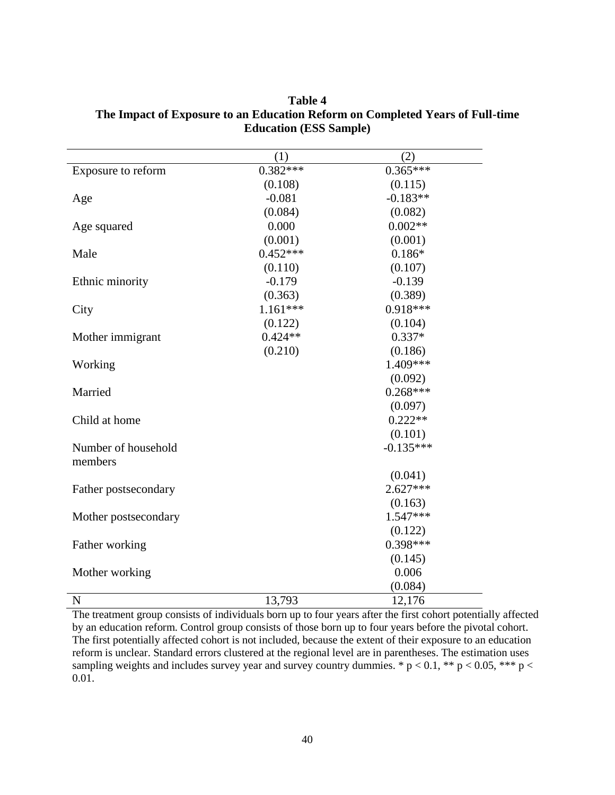$(1)$  (2) Exposure to reform  $0.382***$   $0.365***$  $(0.108)$   $(0.115)$ Age  $-0.081$   $-0.183**$  $(0.084)$   $(0.082)$ Age squared  $0.000$   $0.002**$  $(0.001)$   $(0.001)$ Male 0.452\*\*\* 0.186\*  $(0.110)$   $(0.107)$ Ethnic minority -0.179 -0.139  $(0.363)$   $(0.389)$ City 1.161\*\*\* 0.918\*\*\*  $(0.122)$   $(0.104)$ Mother immigrant  $0.424**$  0.337\*  $(0.210)$   $(0.186)$ Working 1.409\*\*\* (0.092) Married 0.268\*\*\* (0.097) Child at home  $0.222**$ (0.101) Number of household members -0.135\*\*\* (0.041) Father postsecondary 2.627\*\*\*  $(0.163)$ Mother postsecondary 1.547\*\*\* (0.122) Father working 0.398\*\*\*  $(0.145)$ Mother working 0.006 (0.084) N 13,793 12,176

**Table 4 The Impact of Exposure to an Education Reform on Completed Years of Full-time Education (ESS Sample)**

The treatment group consists of individuals born up to four years after the first cohort potentially affected by an education reform. Control group consists of those born up to four years before the pivotal cohort. The first potentially affected cohort is not included, because the extent of their exposure to an education reform is unclear. Standard errors clustered at the regional level are in parentheses. The estimation uses sampling weights and includes survey year and survey country dummies. \*  $p < 0.1$ , \*\*  $p < 0.05$ , \*\*\*  $p <$ 0.01.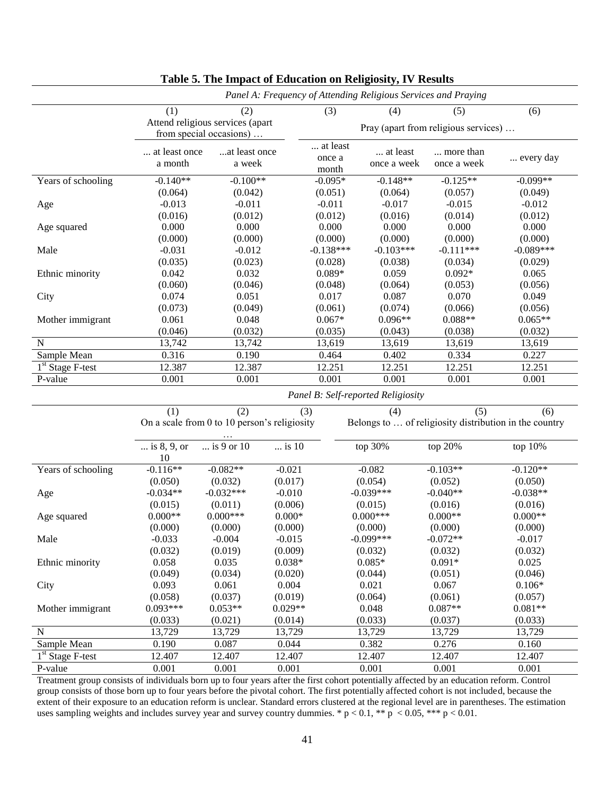|                    | Panel A: Frequency of Attending Religious Services and Praying |                                                             |                 |                                      |                                    |                          |                                                        |  |
|--------------------|----------------------------------------------------------------|-------------------------------------------------------------|-----------------|--------------------------------------|------------------------------------|--------------------------|--------------------------------------------------------|--|
|                    | (1)                                                            |                                                             | (3)             | (4)                                  | (5)                                | (6)                      |                                                        |  |
|                    |                                                                | Attend religious services (apart<br>from special occasions) |                 | Pray (apart from religious services) |                                    |                          |                                                        |  |
|                    | at least once<br>a month                                       | at least once<br>a week                                     |                 | at least<br>once a<br>month          | at least<br>once a week            | more than<br>once a week | every day                                              |  |
| Years of schooling | $-0.140**$                                                     | $-0.100**$                                                  |                 | $-0.095*$                            | $-0.148**$                         | $-0.125**$               | $-0.099**$                                             |  |
|                    | (0.064)                                                        | (0.042)                                                     |                 | (0.051)                              | (0.064)                            | (0.057)                  | (0.049)                                                |  |
| Age                | $-0.013$                                                       | $-0.011$                                                    |                 | $-0.011$                             | $-0.017$                           | $-0.015$                 | $-0.012$                                               |  |
|                    | (0.016)                                                        | (0.012)                                                     |                 | (0.012)                              | (0.016)                            | (0.014)                  | (0.012)                                                |  |
| Age squared        | 0.000                                                          | 0.000                                                       |                 | 0.000                                | $0.000\,$                          | 0.000                    | 0.000                                                  |  |
|                    | (0.000)                                                        | (0.000)                                                     |                 | (0.000)                              | (0.000)                            | (0.000)                  | (0.000)                                                |  |
| Male               | $-0.031$                                                       | $-0.012$                                                    |                 | $-0.138***$                          | $-0.103***$                        | $-0.111***$              | $-0.089***$                                            |  |
|                    | (0.035)                                                        | (0.023)                                                     |                 | (0.028)                              | (0.038)                            | (0.034)                  | (0.029)                                                |  |
| Ethnic minority    | 0.042                                                          | 0.032                                                       |                 | $0.089*$                             | 0.059                              | $0.092*$                 | 0.065                                                  |  |
|                    | (0.060)                                                        | (0.046)                                                     |                 | (0.048)                              | (0.064)                            | (0.053)                  | (0.056)                                                |  |
| City               | 0.074                                                          | 0.051                                                       |                 | 0.017                                | 0.087                              | 0.070                    | 0.049                                                  |  |
|                    | (0.073)                                                        | (0.049)                                                     |                 | (0.061)                              | (0.074)                            | (0.066)                  | (0.056)                                                |  |
| Mother immigrant   | 0.061                                                          | 0.048                                                       |                 | $0.067*$                             | $0.096**$                          | $0.088**$                | $0.065**$                                              |  |
|                    | (0.046)                                                        | (0.032)                                                     |                 | (0.035)                              | (0.043)                            | (0.038)                  | (0.032)                                                |  |
| $\mathbf N$        | 13,742                                                         | 13,742                                                      |                 | 13,619                               | 13,619                             | 13,619                   | 13,619                                                 |  |
| Sample Mean        | 0.316                                                          | 0.190                                                       |                 | 0.464                                | 0.402                              | 0.334                    | 0.227                                                  |  |
| $1st$ Stage F-test | 12.387                                                         | 12.387                                                      |                 | 12.251                               | 12.251                             | 12.251                   | 12.251                                                 |  |
| P-value            | 0.001                                                          | 0.001                                                       |                 | 0.001                                | 0.001                              | 0.001                    | 0.001                                                  |  |
|                    |                                                                |                                                             |                 |                                      | Panel B: Self-reported Religiosity |                          |                                                        |  |
|                    | (1)                                                            | (2)                                                         | (3)             |                                      | (4)                                | (5)                      | (6)                                                    |  |
|                    |                                                                | On a scale from 0 to 10 person's religiosity                |                 |                                      |                                    |                          | Belongs to  of religiosity distribution in the country |  |
|                    | is 8, 9, or<br>10                                              | is 9 or 10                                                  | $\ldots$ is 10  |                                      | top 30%                            | top 20%                  | top 10%                                                |  |
| Years of schooling | $-0.116**$                                                     | $-0.082**$                                                  | $-0.021$        |                                      | $-0.082$                           | $-0.103**$               | $-0.120**$                                             |  |
|                    | (0.050)                                                        | (0.032)                                                     | (0.017)         |                                      | (0.054)                            | (0.052)                  | (0.050)                                                |  |
| Age                | $-0.034**$                                                     | $-0.032***$                                                 | $-0.010$        |                                      | $-0.039***$                        | $-0.040**$               | $-0.038**$                                             |  |
|                    | (0.015)                                                        | (0.011)                                                     | (0.006)         |                                      | (0.015)                            | (0.016)                  | (0.016)                                                |  |
| Age squared        | $0.000**$                                                      | $0.000***$                                                  | $0.000\text{*}$ |                                      | $0.000***$                         | $0.000**$                | $0.000**$                                              |  |
|                    | (0.000)                                                        | (0.000)                                                     | (0.000)         |                                      | (0.000)                            | (0.000)                  | (0.000)                                                |  |
| Male               | $-0.033$                                                       | $-0.004$                                                    | $-0.015$        |                                      | $-0.099***$                        | $-0.072**$               | $-0.017$                                               |  |
|                    | (0.032)                                                        | (0.019)                                                     | (0.009)         |                                      | (0.032)                            | (0.032)                  | (0.032)                                                |  |
| Ethnic minority    | 0.058                                                          | 0.035                                                       | $0.038*$        |                                      | $0.085*$                           | $0.091*$                 | 0.025                                                  |  |
|                    | (0.049)                                                        | (0.034)                                                     | (0.020)         |                                      | (0.044)                            | (0.051)                  | (0.046)                                                |  |
| City               | 0.093                                                          | 0.061                                                       | 0.004           |                                      | 0.021                              | 0.067                    | $0.106*$                                               |  |
|                    | (0.058)                                                        | (0.037)                                                     | (0.019)         |                                      | (0.064)                            | (0.061)                  | (0.057)                                                |  |
| Mother immigrant   | $0.093***$                                                     | $0.053**$                                                   | $0.029**$       |                                      | 0.048                              | $0.087**$                | $0.081**$                                              |  |
|                    | (0.033)                                                        | (0.021)                                                     | (0.014)         |                                      | (0.033)                            | (0.037)                  | (0.033)                                                |  |
| ${\bf N}$          | 13,729                                                         | 13,729                                                      | 13,729          |                                      | 13,729                             | 13,729                   | 13,729                                                 |  |
| Sample Mean        | 0.190                                                          | 0.087                                                       | 0.044           |                                      | 0.382                              | 0.276                    | 0.160                                                  |  |
| $1st$ Stage F-test | 12.407                                                         | 12.407                                                      | 12.407          |                                      | 12.407                             | 12.407                   | 12.407                                                 |  |
| P-value            | 0.001                                                          | 0.001                                                       | 0.001           |                                      | 0.001                              | 0.001                    | 0.001                                                  |  |

## **Table 5. The Impact of Education on Religiosity, IV Results**

Treatment group consists of individuals born up to four years after the first cohort potentially affected by an education reform. Control group consists of those born up to four years before the pivotal cohort. The first potentially affected cohort is not included, because the extent of their exposure to an education reform is unclear. Standard errors clustered at the regional level are in parentheses. The estimation uses sampling weights and includes survey year and survey country dummies. \*  $p < 0.1$ , \*\*  $p < 0.05$ , \*\*\*  $p < 0.01$ .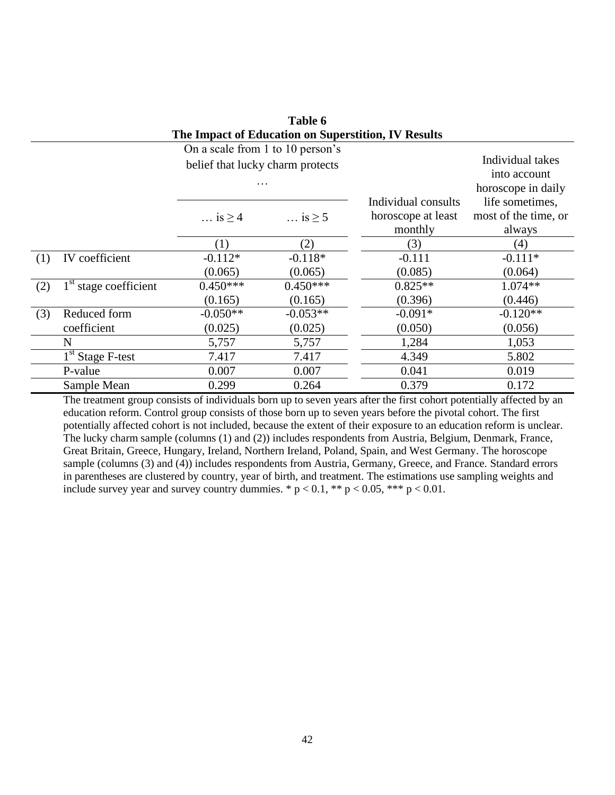|     | The impact of Equication on Superstition, TV Results |                                  |                      |                     |                      |  |  |  |
|-----|------------------------------------------------------|----------------------------------|----------------------|---------------------|----------------------|--|--|--|
|     |                                                      | On a scale from 1 to 10 person's |                      |                     |                      |  |  |  |
|     |                                                      | belief that lucky charm protects |                      |                     | Individual takes     |  |  |  |
|     |                                                      |                                  |                      |                     | into account         |  |  |  |
|     |                                                      | .                                |                      |                     | horoscope in daily   |  |  |  |
|     |                                                      |                                  |                      | Individual consults | life sometimes,      |  |  |  |
|     |                                                      | $\ldots$ is $\geq 4$             | $\ldots$ is $\geq 5$ | horoscope at least  | most of the time, or |  |  |  |
|     |                                                      |                                  |                      | monthly             | always               |  |  |  |
|     |                                                      | (1)                              | (2)                  | (3)                 | (4)                  |  |  |  |
| (1) | IV coefficient                                       | $-0.112*$                        | $-0.118*$            | $-0.111$            | $-0.111*$            |  |  |  |
|     |                                                      | (0.065)                          | (0.065)              | (0.085)             | (0.064)              |  |  |  |
| (2) | $1st$ stage coefficient                              | $0.450***$                       | $0.450***$           | $0.825**$           | $1.074**$            |  |  |  |
|     |                                                      | (0.165)                          | (0.165)              | (0.396)             | (0.446)              |  |  |  |
| (3) | Reduced form                                         | $-0.050**$                       | $-0.053**$           | $-0.091*$           | $-0.120**$           |  |  |  |
|     | coefficient                                          | (0.025)                          | (0.025)              | (0.050)             | (0.056)              |  |  |  |
|     | N                                                    | 5,757                            | 5,757                | 1,284               | 1,053                |  |  |  |
|     | $1st$ Stage F-test                                   | 7.417                            | 7.417                | 4.349               | 5.802                |  |  |  |
|     | P-value                                              | 0.007                            | 0.007                | 0.041               | 0.019                |  |  |  |
|     | Sample Mean                                          | 0.299                            | 0.264                | 0.379               | 0.172                |  |  |  |

| Table 6                                             |  |  |  |  |  |
|-----------------------------------------------------|--|--|--|--|--|
| The Impact of Education on Superstition, IV Results |  |  |  |  |  |

The treatment group consists of individuals born up to seven years after the first cohort potentially affected by an education reform. Control group consists of those born up to seven years before the pivotal cohort. The first potentially affected cohort is not included, because the extent of their exposure to an education reform is unclear. The lucky charm sample (columns (1) and (2)) includes respondents from Austria, Belgium, Denmark, France, Great Britain, Greece, Hungary, Ireland, Northern Ireland, Poland, Spain, and West Germany. The horoscope sample (columns (3) and (4)) includes respondents from Austria, Germany, Greece, and France. Standard errors in parentheses are clustered by country, year of birth, and treatment. The estimations use sampling weights and include survey year and survey country dummies.  $* p < 0.1$ ,  $** p < 0.05$ ,  $*** p < 0.01$ .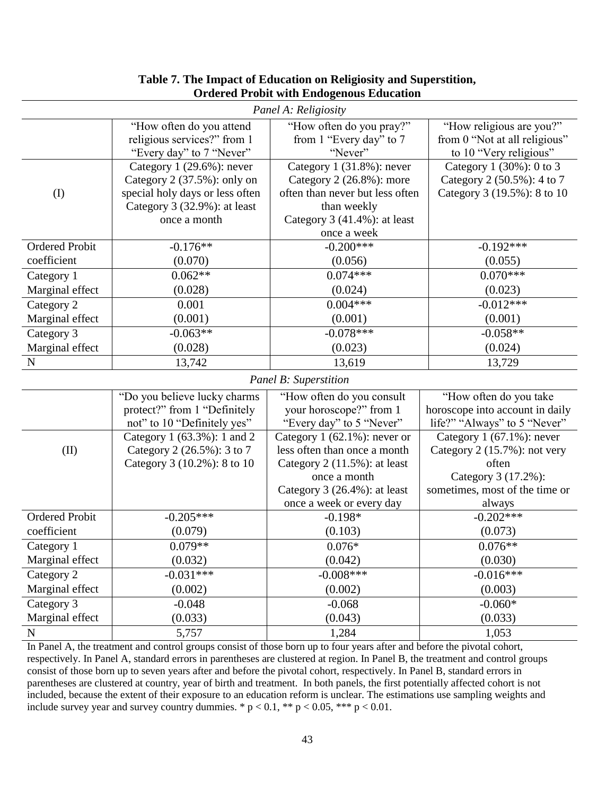| Panel A: Religiosity  |                                 |                                 |                                 |  |  |  |  |
|-----------------------|---------------------------------|---------------------------------|---------------------------------|--|--|--|--|
|                       | "How often do you attend        | "How often do you pray?"        | "How religious are you?"        |  |  |  |  |
|                       | religious services?" from 1     | from 1 "Every day" to 7         | from 0 "Not at all religious"   |  |  |  |  |
|                       | "Every day" to 7 "Never"        | "Never"                         | to 10 "Very religious"          |  |  |  |  |
|                       | Category $1(29.6\%)$ : never    | Category 1 (31.8%): never       | Category 1 (30%): 0 to 3        |  |  |  |  |
|                       | Category $2$ (37.5%): only on   | Category 2 (26.8%): more        | Category 2 (50.5%): 4 to 7      |  |  |  |  |
| (I)                   | special holy days or less often | often than never but less often | Category 3 (19.5%): 8 to 10     |  |  |  |  |
|                       | Category 3 (32.9%): at least    | than weekly                     |                                 |  |  |  |  |
|                       | once a month                    | Category $3(41.4\%)$ : at least |                                 |  |  |  |  |
|                       |                                 | once a week                     |                                 |  |  |  |  |
| <b>Ordered Probit</b> | $-0.176**$                      | $-0.200***$                     | $-0.192***$                     |  |  |  |  |
| coefficient           | (0.070)                         | (0.056)                         | (0.055)                         |  |  |  |  |
| Category 1            | $0.062**$                       | $0.074***$                      | $0.070***$                      |  |  |  |  |
| Marginal effect       | (0.028)                         | (0.024)                         | (0.023)                         |  |  |  |  |
| Category 2            | 0.001                           | $0.004***$                      | $-0.012***$                     |  |  |  |  |
| Marginal effect       | (0.001)                         | (0.001)                         | (0.001)                         |  |  |  |  |
| Category 3            | $-0.063**$                      | $-0.078***$                     | $-0.058**$                      |  |  |  |  |
| Marginal effect       | (0.028)                         | (0.023)                         | (0.024)                         |  |  |  |  |
| ${\bf N}$             | 13,742                          | 13,619                          | 13,729                          |  |  |  |  |
|                       |                                 | Panel B: Superstition           |                                 |  |  |  |  |
|                       | "Do you believe lucky charms    | "How often do you consult       | "How often do you take          |  |  |  |  |
|                       | protect?" from 1 "Definitely    | your horoscope?" from 1         | horoscope into account in daily |  |  |  |  |
|                       | not" to 10 "Definitely yes"     | "Every day" to 5 "Never"        | life?" "Always" to 5 "Never"    |  |  |  |  |
|                       | Category 1 (63.3%): 1 and 2     | Category $1$ (62.1%): never or  | Category $1(67.1\%)$ : never    |  |  |  |  |
| (II)                  | Category 2 (26.5%): 3 to 7      | less often than once a month    | Category 2 (15.7%): not very    |  |  |  |  |
|                       | Category 3 (10.2%): 8 to 10     | Category 2 (11.5%): at least    | often                           |  |  |  |  |
|                       |                                 | once a month                    | Category 3 (17.2%):             |  |  |  |  |
|                       |                                 | Category $3(26.4\%)$ : at least | sometimes, most of the time or  |  |  |  |  |
|                       |                                 | once a week or every day        | always                          |  |  |  |  |
| <b>Ordered Probit</b> | $-0.205***$                     | $-0.198*$                       | $-0.202***$                     |  |  |  |  |
| coefficient           | (0.079)                         | (0.103)                         | (0.073)                         |  |  |  |  |
| Category 1            | $0.079**$                       | $0.076*$                        | $0.076**$                       |  |  |  |  |
| Marginal effect       | (0.032)                         | (0.042)                         | (0.030)                         |  |  |  |  |
| Category 2            | $-0.031***$                     | $-0.008***$                     | $-0.016***$                     |  |  |  |  |
| Marginal effect       | (0.002)                         | (0.002)                         | (0.003)                         |  |  |  |  |
| Category 3            | $-0.048$                        | $-0.068$                        | $-0.060*$                       |  |  |  |  |
| Marginal effect       | (0.033)                         | (0.043)                         | (0.033)                         |  |  |  |  |
| ${\bf N}$             | 5,757                           | 1,284                           | 1,053                           |  |  |  |  |
|                       |                                 |                                 |                                 |  |  |  |  |

## **Table 7. The Impact of Education on Religiosity and Superstition, Ordered Probit with Endogenous Education**

In Panel A, the treatment and control groups consist of those born up to four years after and before the pivotal cohort, respectively. In Panel A, standard errors in parentheses are clustered at region. In Panel B, the treatment and control groups consist of those born up to seven years after and before the pivotal cohort, respectively. In Panel B, standard errors in parentheses are clustered at country, year of birth and treatment. In both panels, the first potentially affected cohort is not included, because the extent of their exposure to an education reform is unclear. The estimations use sampling weights and include survey year and survey country dummies.  $* p < 0.1$ ,  $** p < 0.05$ ,  $*** p < 0.01$ .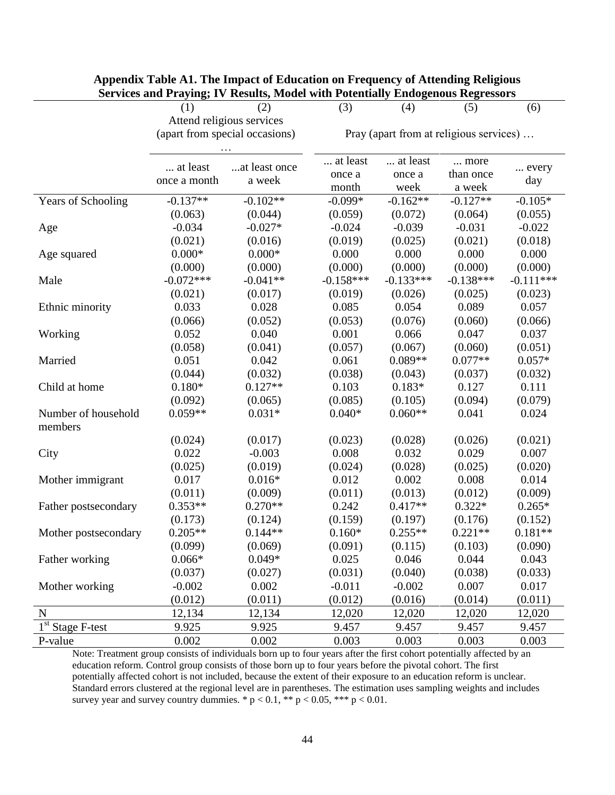|                      | (1)                       | $\frac{1}{2}$<br>(2)           | (3)         | (4)                                     | (5)         | (6)         |  |  |
|----------------------|---------------------------|--------------------------------|-------------|-----------------------------------------|-------------|-------------|--|--|
|                      | Attend religious services |                                |             |                                         |             |             |  |  |
|                      |                           | (apart from special occasions) |             | Pray (apart from at religious services) |             |             |  |  |
|                      |                           |                                |             |                                         |             |             |  |  |
|                      |                           |                                | at least    | at least                                | more        |             |  |  |
|                      | at least                  | at least once                  | once a      | once a                                  | than once   | every       |  |  |
|                      | once a month              | a week                         | month       | week                                    | a week      | day         |  |  |
| Years of Schooling   | $-0.137**$                | $-0.102**$                     | $-0.099*$   | $-0.162**$                              | $-0.127**$  | $-0.105*$   |  |  |
|                      | (0.063)                   | (0.044)                        | (0.059)     | (0.072)                                 | (0.064)     | (0.055)     |  |  |
| Age                  | $-0.034$                  | $-0.027*$                      | $-0.024$    | $-0.039$                                | $-0.031$    | $-0.022$    |  |  |
|                      | (0.021)                   | (0.016)                        | (0.019)     | (0.025)                                 | (0.021)     | (0.018)     |  |  |
| Age squared          | $0.000*$                  | $0.000*$                       | 0.000       | 0.000                                   | 0.000       | 0.000       |  |  |
|                      | (0.000)                   | (0.000)                        | (0.000)     | (0.000)                                 | (0.000)     | (0.000)     |  |  |
| Male                 | $-0.072***$               | $-0.041**$                     | $-0.158***$ | $-0.133***$                             | $-0.138***$ | $-0.111***$ |  |  |
|                      | (0.021)                   | (0.017)                        | (0.019)     | (0.026)                                 | (0.025)     | (0.023)     |  |  |
| Ethnic minority      | 0.033                     | 0.028                          | 0.085       | 0.054                                   | 0.089       | 0.057       |  |  |
|                      | (0.066)                   | (0.052)                        | (0.053)     | (0.076)                                 | (0.060)     | (0.066)     |  |  |
| Working              | 0.052                     | 0.040                          | 0.001       | 0.066                                   | 0.047       | 0.037       |  |  |
|                      | (0.058)                   | (0.041)                        | (0.057)     | (0.067)                                 | (0.060)     | (0.051)     |  |  |
| Married              | 0.051                     | 0.042                          | 0.061       | $0.089**$                               | $0.077**$   | $0.057*$    |  |  |
|                      | (0.044)                   | (0.032)                        | (0.038)     | (0.043)                                 | (0.037)     | (0.032)     |  |  |
| Child at home        | $0.180*$                  | $0.127**$                      | 0.103       | $0.183*$                                | 0.127       | 0.111       |  |  |
|                      | (0.092)                   | (0.065)                        | (0.085)     | (0.105)                                 | (0.094)     | (0.079)     |  |  |
| Number of household  | $0.059**$                 | $0.031*$                       | $0.040*$    | $0.060**$                               | 0.041       | 0.024       |  |  |
| members              |                           |                                |             |                                         |             |             |  |  |
|                      | (0.024)                   | (0.017)                        | (0.023)     | (0.028)                                 | (0.026)     | (0.021)     |  |  |
| City                 | 0.022                     | $-0.003$                       | 0.008       | 0.032                                   | 0.029       | 0.007       |  |  |
|                      | (0.025)                   | (0.019)                        | (0.024)     | (0.028)                                 | (0.025)     | (0.020)     |  |  |
| Mother immigrant     | 0.017                     | $0.016*$                       | 0.012       | 0.002                                   | 0.008       | 0.014       |  |  |
|                      | (0.011)                   | (0.009)                        | (0.011)     | (0.013)                                 | (0.012)     | (0.009)     |  |  |
| Father postsecondary | $0.353**$                 | $0.270**$                      | 0.242       | $0.417**$                               | $0.322*$    | $0.265*$    |  |  |
|                      | (0.173)                   | (0.124)                        | (0.159)     | (0.197)                                 | (0.176)     | (0.152)     |  |  |
| Mother postsecondary | $0.205**$                 | $0.144**$                      | $0.160*$    | $0.255**$                               | $0.221**$   | $0.181**$   |  |  |
|                      | (0.099)                   | (0.069)                        | (0.091)     | (0.115)                                 | (0.103)     | (0.090)     |  |  |
| Father working       | $0.066*$                  | $0.049*$                       | 0.025       | 0.046                                   | 0.044       | 0.043       |  |  |
|                      | (0.037)                   | (0.027)                        | (0.031)     | (0.040)                                 | (0.038)     | (0.033)     |  |  |
| Mother working       | $-0.002$                  | 0.002                          | $-0.011$    | $-0.002$                                | 0.007       | 0.017       |  |  |
|                      | (0.012)                   | (0.011)                        | (0.012)     | (0.016)                                 | (0.014)     | (0.011)     |  |  |
| N                    | 12,134                    | 12,134                         | 12,020      | 12,020                                  | 12,020      | 12,020      |  |  |
| $1st$ Stage F-test   | 9.925                     | 9.925                          | 9.457       | 9.457                                   | 9.457       | 9.457       |  |  |
| P-value              | 0.002                     | 0.002                          | 0.003       | 0.003                                   | 0.003       | 0.003       |  |  |

## **Appendix Table A1. The Impact of Education on Frequency of Attending Religious Services and Praying; IV Results, Model with Potentially Endogenous Regressors**

Note: Treatment group consists of individuals born up to four years after the first cohort potentially affected by an education reform. Control group consists of those born up to four years before the pivotal cohort. The first potentially affected cohort is not included, because the extent of their exposure to an education reform is unclear. Standard errors clustered at the regional level are in parentheses. The estimation uses sampling weights and includes survey year and survey country dummies. \*  $p < 0.1$ , \*\*  $p < 0.05$ , \*\*\*  $p < 0.01$ .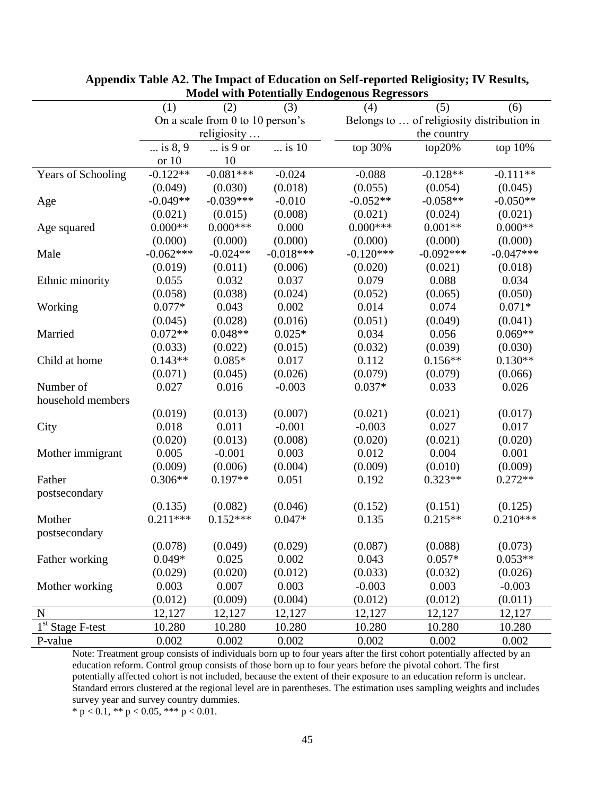|                                         | (1)          | (2)                              | (3)         | (4)         | (5)                                        | (6)         |  |  |
|-----------------------------------------|--------------|----------------------------------|-------------|-------------|--------------------------------------------|-------------|--|--|
|                                         |              | On a scale from 0 to 10 person's |             |             | Belongs to  of religiosity distribution in |             |  |  |
|                                         |              | religiosity                      |             |             | the country                                |             |  |  |
|                                         | $$ is $8, 9$ | $\ldots$ is 9 or                 | is 10       | top 30%     | top20%                                     | top 10%     |  |  |
|                                         | or 10        | 10                               |             |             |                                            |             |  |  |
| Years of Schooling                      | $-0.122**$   | $-0.081***$                      | $-0.024$    | $-0.088$    | $-0.128**$                                 | $-0.111**$  |  |  |
|                                         | (0.049)      | (0.030)                          | (0.018)     | (0.055)     | (0.054)                                    | (0.045)     |  |  |
| Age                                     | $-0.049**$   | $-0.039***$                      | $-0.010$    | $-0.052**$  | $-0.058**$                                 | $-0.050**$  |  |  |
|                                         | (0.021)      | (0.015)                          | (0.008)     | (0.021)     | (0.024)                                    | (0.021)     |  |  |
| Age squared                             | $0.000**$    | $0.000***$                       | 0.000       | $0.000***$  | $0.001**$                                  | $0.000**$   |  |  |
|                                         | (0.000)      | (0.000)                          | (0.000)     | (0.000)     | (0.000)                                    | (0.000)     |  |  |
| Male                                    | $-0.062***$  | $-0.024**$                       | $-0.018***$ | $-0.120***$ | $-0.092***$                                | $-0.047***$ |  |  |
|                                         | (0.019)      | (0.011)                          | (0.006)     | (0.020)     | (0.021)                                    | (0.018)     |  |  |
| Ethnic minority                         | 0.055        | 0.032                            | 0.037       | 0.079       | 0.088                                      | 0.034       |  |  |
|                                         | (0.058)      | (0.038)                          | (0.024)     | (0.052)     | (0.065)                                    | (0.050)     |  |  |
| Working                                 | $0.077*$     | 0.043                            | 0.002       | 0.014       | 0.074                                      | $0.071*$    |  |  |
|                                         | (0.045)      | (0.028)                          | (0.016)     | (0.051)     | (0.049)                                    | (0.041)     |  |  |
| Married                                 | $0.072**$    | $0.048**$                        | $0.025*$    | 0.034       | 0.056                                      | $0.069**$   |  |  |
|                                         | (0.033)      | (0.022)                          | (0.015)     | (0.032)     | (0.039)                                    | (0.030)     |  |  |
| Child at home                           | $0.143**$    | $0.085*$                         | 0.017       | 0.112       | $0.156**$                                  | $0.130**$   |  |  |
|                                         | (0.071)      | (0.045)                          | (0.026)     | (0.079)     | (0.079)                                    | (0.066)     |  |  |
| Number of                               | 0.027        | 0.016                            | $-0.003$    | $0.037*$    | 0.033                                      | 0.026       |  |  |
| household members                       |              |                                  |             |             |                                            |             |  |  |
|                                         | (0.019)      | (0.013)                          | (0.007)     | (0.021)     | (0.021)                                    | (0.017)     |  |  |
| City                                    | 0.018        | 0.011                            | $-0.001$    | $-0.003$    | 0.027                                      | 0.017       |  |  |
|                                         | (0.020)      | (0.013)                          | (0.008)     | (0.020)     | (0.021)                                    | (0.020)     |  |  |
| Mother immigrant                        | 0.005        | $-0.001$                         | 0.003       | 0.012       | 0.004                                      | 0.001       |  |  |
|                                         | (0.009)      | (0.006)                          | (0.004)     | (0.009)     | (0.010)                                    | (0.009)     |  |  |
| Father                                  | $0.306**$    | $0.197**$                        | 0.051       | 0.192       | $0.323**$                                  | $0.272**$   |  |  |
| postsecondary                           |              |                                  |             |             |                                            |             |  |  |
|                                         | (0.135)      | (0.082)                          | (0.046)     | (0.152)     | (0.151)                                    | (0.125)     |  |  |
| Mother                                  | $0.211***$   | $0.152***$                       | $0.047*$    | 0.135       | $0.215**$                                  | $0.210***$  |  |  |
| postsecondary                           |              |                                  |             |             |                                            |             |  |  |
|                                         | (0.078)      | (0.049)                          | (0.029)     | (0.087)     | (0.088)                                    | (0.073)     |  |  |
| Father working                          | $0.049*$     | 0.025                            | 0.002       | 0.043       | $0.057*$                                   | $0.053**$   |  |  |
|                                         | (0.029)      | (0.020)                          | (0.012)     | (0.033)     | (0.032)                                    | (0.026)     |  |  |
| Mother working                          | 0.003        | 0.007                            | 0.003       | $-0.003$    | 0.003                                      | $-0.003$    |  |  |
|                                         | (0.012)      | (0.009)                          | (0.004)     | (0.012)     | (0.012)                                    | (0.011)     |  |  |
| $\mathbf N$                             | 12,127       | 12,127                           | 12,127      | 12,127      | 12,127                                     | 12,127      |  |  |
| $\overline{1}^{\text{st}}$ Stage F-test | 10.280       | 10.280                           | 10.280      | 10.280      | 10.280                                     | 10.280      |  |  |
| P-value                                 | 0.002        | 0.002                            | 0.002       | 0.002       | 0.002                                      | 0.002       |  |  |

**Appendix Table A2. The Impact of Education on Self-reported Religiosity; IV Results, Model with Potentially Endogenous Regressors**

Note: Treatment group consists of individuals born up to four years after the first cohort potentially affected by an education reform. Control group consists of those born up to four years before the pivotal cohort. The first potentially affected cohort is not included, because the extent of their exposure to an education reform is unclear. Standard errors clustered at the regional level are in parentheses. The estimation uses sampling weights and includes survey year and survey country dummies.

\* p < 0.1, \*\* p < 0.05, \*\*\* p < 0.01.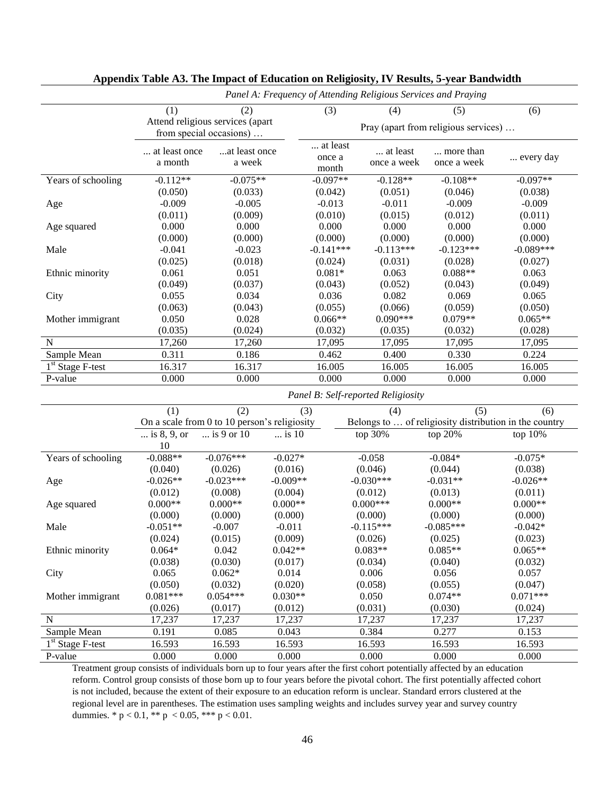|                                         | Panel A: Frequency of Attending Religious Services and Praying |                                  |                |                                      |                                    |             |                                                        |  |
|-----------------------------------------|----------------------------------------------------------------|----------------------------------|----------------|--------------------------------------|------------------------------------|-------------|--------------------------------------------------------|--|
|                                         | (1)                                                            | (2)                              |                | (3)                                  | (4)                                | (5)         | (6)                                                    |  |
|                                         |                                                                | Attend religious services (apart |                |                                      |                                    |             |                                                        |  |
|                                         |                                                                | from special occasions)          |                | Pray (apart from religious services) |                                    |             |                                                        |  |
|                                         | at least once                                                  | at least once                    |                | at least                             | at least                           | more than   |                                                        |  |
|                                         | a month                                                        | a week                           |                | once a<br>month                      | once a week                        | once a week | every day                                              |  |
| Years of schooling                      | $-0.112**$                                                     | $-0.075**$                       |                | $-0.097**$                           | $-0.128**$                         | $-0.108**$  | $-0.097**$                                             |  |
|                                         | (0.050)                                                        | (0.033)                          |                | (0.042)                              | (0.051)                            | (0.046)     | (0.038)                                                |  |
|                                         | $-0.009$                                                       | $-0.005$                         |                | $-0.013$                             | $-0.011$                           | $-0.009$    | $-0.009$                                               |  |
| Age                                     |                                                                | (0.009)                          |                |                                      |                                    | (0.012)     |                                                        |  |
|                                         | (0.011)<br>0.000                                               |                                  |                | (0.010)<br>0.000                     | (0.015)<br>0.000                   | 0.000       | (0.011)<br>0.000                                       |  |
| Age squared                             |                                                                | 0.000                            |                |                                      |                                    |             |                                                        |  |
|                                         | (0.000)                                                        | (0.000)                          |                | (0.000)                              | (0.000)                            | (0.000)     | (0.000)                                                |  |
| Male                                    | $-0.041$                                                       | $-0.023$                         |                | $-0.141***$                          | $-0.113***$                        | $-0.123***$ | $-0.089***$                                            |  |
|                                         | (0.025)                                                        | (0.018)                          |                | (0.024)                              | (0.031)                            | (0.028)     | (0.027)                                                |  |
| Ethnic minority                         | 0.061                                                          | 0.051                            |                | $0.081*$                             | 0.063                              | $0.088**$   | 0.063                                                  |  |
|                                         | (0.049)                                                        | (0.037)                          |                | (0.043)                              | (0.052)                            | (0.043)     | (0.049)                                                |  |
| City                                    | 0.055                                                          | 0.034                            |                | 0.036                                | 0.082                              | 0.069       | 0.065                                                  |  |
|                                         | (0.063)                                                        | (0.043)                          |                | (0.055)                              | (0.066)                            | (0.059)     | (0.050)                                                |  |
| Mother immigrant                        | 0.050                                                          | 0.028                            |                | $0.066**$                            | $0.090***$                         | $0.079**$   | $0.065**$                                              |  |
|                                         | (0.035)                                                        | (0.024)                          |                | (0.032)                              | (0.035)                            | (0.032)     | (0.028)                                                |  |
| $\mathbf N$                             | 17,260                                                         | 17,260                           |                | 17,095                               | 17,095                             | 17,095      | 17,095                                                 |  |
| Sample Mean                             | 0.311                                                          | 0.186                            |                | 0.462                                | 0.400                              | 0.330       | 0.224                                                  |  |
| $\overline{1}^{\text{st}}$ Stage F-test | 16.317                                                         | 16.317                           |                | 16.005                               | 16.005                             | 16.005      | 16.005                                                 |  |
| P-value                                 | 0.000                                                          | 0.000                            |                | 0.000                                | 0.000                              | 0.000       | 0.000                                                  |  |
|                                         |                                                                |                                  |                |                                      | Panel B: Self-reported Religiosity |             |                                                        |  |
|                                         | (1)                                                            | (2)                              | (3)            |                                      | (4)                                | (5)         | (6)                                                    |  |
|                                         | On a scale from 0 to 10 person's religiosity                   |                                  |                |                                      |                                    |             | Belongs to  of religiosity distribution in the country |  |
|                                         | is 8, 9, or                                                    | is 9 or 10                       | $\ldots$ is 10 |                                      | top 30%                            | top 20%     | top 10%                                                |  |
|                                         | 10                                                             |                                  |                |                                      |                                    |             |                                                        |  |
| Years of schooling                      | $-0.088**$                                                     | $-0.076***$                      | $-0.027*$      |                                      | $-0.058$                           | $-0.084*$   | $-0.075*$                                              |  |
|                                         | (0.040)                                                        | (0.026)                          | (0.016)        |                                      | (0.046)                            | (0.044)     | (0.038)                                                |  |
| Age                                     | $-0.026**$                                                     | $-0.023***$                      | $-0.009**$     |                                      | $-0.030***$                        | $-0.031**$  | $-0.026**$                                             |  |
|                                         | (0.012)                                                        | (0.008)                          | (0.004)        |                                      | (0.012)                            | (0.013)     | (0.011)                                                |  |
| Age squared                             | $0.000**$                                                      | $0.000**$                        | $0.000**$      |                                      | $0.000***$                         | $0.000**$   | $0.000**$                                              |  |
|                                         | (0.000)                                                        | (0.000)                          | (0.000)        |                                      | (0.000)                            | (0.000)     | (0.000)                                                |  |
| Male                                    | $-0.051**$                                                     | $-0.007$                         | $-0.011$       |                                      | $-0.115***$                        | $-0.085***$ | $-0.042*$                                              |  |
|                                         | (0.024)                                                        | (0.015)                          | (0.009)        |                                      | (0.026)                            | (0.025)     | (0.023)                                                |  |
| Ethnic minority                         | $0.064*$                                                       | 0.042                            | $0.042**$      |                                      | $0.083**$                          | $0.085**$   | $0.065**$                                              |  |
|                                         | (0.038)                                                        | (0.030)                          | (0.017)        |                                      | (0.034)                            | (0.040)     | (0.032)                                                |  |
| City                                    | 0.065                                                          | $0.062*$                         | 0.014          |                                      | 0.006                              | 0.056       | 0.057                                                  |  |
|                                         | (0.050)                                                        | (0.032)                          | (0.020)        |                                      | (0.058)                            | (0.055)     | (0.047)                                                |  |
| Mother immigrant                        | $0.081***$                                                     | $0.054***$                       | $0.030**$      |                                      | 0.050                              | $0.074**$   | $0.071***$                                             |  |
|                                         | (0.026)                                                        | (0.017)                          | (0.012)        |                                      | (0.031)                            | (0.030)     | (0.024)                                                |  |
| N                                       | 17,237                                                         | 17,237                           | 17,237         |                                      | 17,237                             | 17,237      | 17,237                                                 |  |
| Sample Mean                             |                                                                | 0.085                            |                |                                      |                                    |             |                                                        |  |
|                                         | 0.191                                                          |                                  | 0.043          |                                      | 0.384                              | 0.277       | 0.153                                                  |  |
| $\overline{1}^{st}$ Stage F-test        | 16.593                                                         | 16.593                           | 16.593         |                                      | 16.593                             | 16.593      | 16.593                                                 |  |
| P-value                                 | 0.000                                                          | 0.000                            | 0.000          |                                      | 0.000                              | 0.000       | 0.000                                                  |  |

## **Appendix Table A3. The Impact of Education on Religiosity, IV Results, 5-year Bandwidth**

Treatment group consists of individuals born up to four years after the first cohort potentially affected by an education reform. Control group consists of those born up to four years before the pivotal cohort. The first potentially affected cohort is not included, because the extent of their exposure to an education reform is unclear. Standard errors clustered at the regional level are in parentheses. The estimation uses sampling weights and includes survey year and survey country dummies. \*  $p < 0.1$ , \*\*  $p < 0.05$ , \*\*\*  $p < 0.01$ .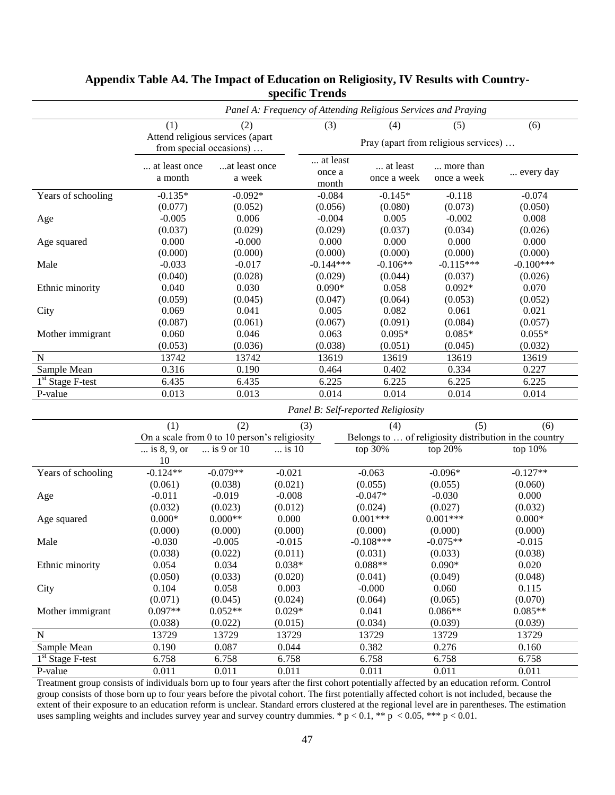|                    | Panel A: Frequency of Attending Religious Services and Praying            |                                              |          |                                      |                                                        |                          |             |
|--------------------|---------------------------------------------------------------------------|----------------------------------------------|----------|--------------------------------------|--------------------------------------------------------|--------------------------|-------------|
|                    | (1)<br>(2)<br>Attend religious services (apart<br>from special occasions) |                                              |          | (3)                                  | (4)                                                    | (5)                      | (6)         |
|                    |                                                                           |                                              |          | Pray (apart from religious services) |                                                        |                          |             |
|                    | at least once<br>a month                                                  | at least once<br>a week                      |          | at least<br>once a<br>month          | at least<br>once a week                                | more than<br>once a week | every day   |
| Years of schooling | $-0.135*$                                                                 | $-0.092*$                                    |          | $-0.084$                             | $-0.145*$                                              | $-0.118$                 | $-0.074$    |
|                    | (0.077)                                                                   | (0.052)                                      |          | (0.056)                              | (0.080)                                                | (0.073)                  | (0.050)     |
| Age                | $-0.005$                                                                  | 0.006                                        |          | $-0.004$                             | 0.005                                                  | $-0.002$                 | 0.008       |
|                    | (0.037)                                                                   | (0.029)                                      |          | (0.029)                              | (0.037)                                                | (0.034)                  | (0.026)     |
| Age squared        | 0.000                                                                     | $-0.000$                                     |          | 0.000                                | 0.000                                                  | 0.000                    | 0.000       |
|                    | (0.000)                                                                   | (0.000)                                      |          | (0.000)                              | (0.000)                                                | (0.000)                  | (0.000)     |
| Male               | $-0.033$                                                                  | $-0.017$                                     |          | $-0.144***$                          | $-0.106**$                                             | $-0.115***$              | $-0.100***$ |
|                    | (0.040)                                                                   | (0.028)                                      |          | (0.029)                              | (0.044)                                                | (0.037)                  | (0.026)     |
| Ethnic minority    | 0.040                                                                     | 0.030                                        |          | $0.090*$                             | 0.058                                                  | $0.092*$                 | 0.070       |
|                    | (0.059)                                                                   | (0.045)                                      |          | (0.047)                              | (0.064)                                                | (0.053)                  | (0.052)     |
| City               | 0.069                                                                     | 0.041                                        |          | 0.005                                | 0.082                                                  | 0.061                    | 0.021       |
|                    | (0.087)                                                                   | (0.061)                                      |          | (0.067)                              | (0.091)                                                | (0.084)                  | (0.057)     |
| Mother immigrant   | 0.060                                                                     | 0.046                                        |          | 0.063                                | $0.095*$                                               | $0.085*$                 | $0.055*$    |
|                    | (0.053)                                                                   | (0.036)                                      |          | (0.038)                              | (0.051)                                                | (0.045)                  | (0.032)     |
| N                  | 13742                                                                     | 13742                                        |          | 13619                                | 13619                                                  | 13619                    | 13619       |
| Sample Mean        | 0.316                                                                     | 0.190                                        |          | 0.464                                | 0.402                                                  | 0.334                    | 0.227       |
| $1st$ Stage F-test | 6.435                                                                     | 6.435                                        |          | 6.225                                | 6.225                                                  | 6.225                    | 6.225       |
| P-value            | 0.013                                                                     | 0.013                                        |          | 0.014                                | 0.014                                                  | 0.014                    | 0.014       |
|                    |                                                                           |                                              |          |                                      | Panel B: Self-reported Religiosity                     |                          |             |
|                    | (1)                                                                       | (2)                                          | (3)      |                                      | (4)                                                    | (5)                      | (6)         |
|                    |                                                                           | On a scale from 0 to 10 person's religiosity |          |                                      | Belongs to  of religiosity distribution in the country |                          |             |
|                    | is 8, 9, or                                                               | is 9 or 10                                   | is 10    |                                      | top 30%                                                | top 20%                  | top 10%     |
|                    | 10                                                                        |                                              |          |                                      |                                                        |                          |             |
| Years of schooling | $-0.124**$                                                                | $-0.079**$                                   | $-0.021$ |                                      | $-0.063$                                               | $-0.096*$                | $-0.127**$  |
|                    | (0.061)                                                                   | (0.038)                                      | (0.021)  |                                      | (0.055)                                                | (0.055)                  | (0.060)     |
| Age                | $-0.011$                                                                  | $-0.019$                                     | $-0.008$ |                                      | $-0.047*$                                              | $-0.030$                 | 0.000       |
|                    | (0.032)                                                                   | (0.023)                                      | (0.012)  |                                      | (0.024)                                                | (0.027)                  | (0.032)     |
| Age squared        | $0.000*$                                                                  | $0.000**$                                    | 0.000    |                                      | $0.001***$                                             | $0.001***$               | $0.000*$    |
|                    | (0.000)                                                                   | (0.000)                                      | (0.000)  |                                      | (0.000)                                                | (0.000)                  | (0.000)     |
| Male               | $-0.030$                                                                  | $-0.005$                                     | $-0.015$ |                                      | $-0.108***$                                            | $-0.075**$               | $-0.015$    |
|                    | (0.038)                                                                   | (0.022)                                      | (0.011)  |                                      | (0.031)                                                | (0.033)                  | (0.038)     |
| Ethnic minority    | 0.054                                                                     | 0.034                                        | $0.038*$ |                                      | $0.088**$                                              | $0.090*$                 | 0.020       |
|                    | (0.050)                                                                   | (0.033)                                      | (0.020)  |                                      | (0.041)                                                | (0.049)                  | (0.048)     |
| City               | 0.104                                                                     | 0.058                                        | 0.003    |                                      | $-0.000$                                               | 0.060                    | 0.115       |
|                    | (0.071)                                                                   | (0.045)                                      | (0.024)  |                                      | (0.064)                                                | (0.065)                  | (0.070)     |
| Mother immigrant   | $0.097**$                                                                 | $0.052**$                                    | $0.029*$ |                                      | 0.041                                                  | $0.086**$                | $0.085**$   |
|                    | (0.038)                                                                   | (0.022)                                      | (0.015)  |                                      | (0.034)                                                | (0.039)                  | (0.039)     |
| $\mathbf N$        | 13729                                                                     | 13729                                        | 13729    |                                      | 13729                                                  | 13729                    | 13729       |

## **Appendix Table A4. The Impact of Education on Religiosity, IV Results with Countryspecific Trends**

Treatment group consists of individuals born up to four years after the first cohort potentially affected by an education reform. Control group consists of those born up to four years before the pivotal cohort. The first potentially affected cohort is not included, because the extent of their exposure to an education reform is unclear. Standard errors clustered at the regional level are in parentheses. The estimation uses sampling weights and includes survey year and survey country dummies. \*  $p < 0.1$ , \*\*  $p < 0.05$ , \*\*\*  $p < 0.01$ .

Sample Mean  $0.190$   $0.087$   $0.044$   $0.382$   $0.276$   $0.160$ 1<sup>st</sup> Stage F-test 6.758 6.758 6.758 6.758 6.758 6.758 6.758 6.758 P-value 0.011 0.011 0.011 0.011 0.011 0.011 0.011 0.011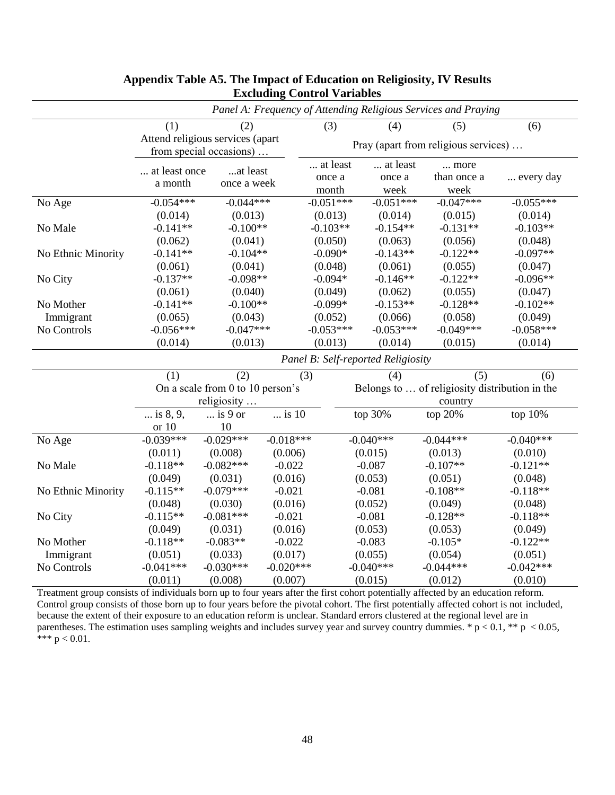|                    | Panel A: Frequency of Attending Religious Services and Praying |                         |             |                                    |             |                                                |             |  |
|--------------------|----------------------------------------------------------------|-------------------------|-------------|------------------------------------|-------------|------------------------------------------------|-------------|--|
|                    | (1)                                                            | (2)                     |             | (3)                                | (4)         | (5)                                            | (6)         |  |
|                    | Attend religious services (apart                               |                         |             |                                    |             |                                                |             |  |
|                    |                                                                | from special occasions) |             |                                    |             | Pray (apart from religious services)           |             |  |
|                    | at least once                                                  | at least                |             | at least                           | at least    | more                                           |             |  |
|                    | a month                                                        | once a week             |             | once a                             | once a      | than once a                                    | every day   |  |
|                    |                                                                |                         |             | month                              | week        | week                                           |             |  |
| No Age             | $-0.054***$                                                    | $-0.044***$             |             | $-0.051***$                        | $-0.051***$ | $-0.047***$                                    | $-0.055***$ |  |
|                    | (0.014)                                                        | (0.013)                 |             | (0.013)                            | (0.014)     | (0.015)                                        | (0.014)     |  |
| No Male            | $-0.141**$                                                     | $-0.100**$              |             | $-0.103**$                         | $-0.154**$  | $-0.131**$                                     | $-0.103**$  |  |
|                    | (0.062)                                                        | (0.041)                 |             | (0.050)                            | (0.063)     | (0.056)                                        | (0.048)     |  |
| No Ethnic Minority | $-0.141**$                                                     | $-0.104**$              |             | $-0.090*$                          | $-0.143**$  | $-0.122**$                                     | $-0.097**$  |  |
|                    | (0.061)                                                        | (0.041)                 |             | (0.048)                            | (0.061)     | (0.055)                                        | (0.047)     |  |
| No City            | $-0.137**$                                                     | $-0.098**$              |             | $-0.094*$                          | $-0.146**$  | $-0.122**$                                     | $-0.096**$  |  |
|                    | (0.061)                                                        | (0.040)                 |             | (0.049)                            | (0.062)     | (0.055)                                        | (0.047)     |  |
| No Mother          | $-0.141**$                                                     | $-0.100**$              |             | $-0.099*$                          | $-0.153**$  | $-0.128**$                                     | $-0.102**$  |  |
| Immigrant          | (0.065)                                                        | (0.043)                 |             | (0.052)                            | (0.066)     | (0.058)                                        | (0.049)     |  |
| No Controls        | $-0.056***$                                                    | $-0.047***$             |             | $-0.053***$                        | $-0.053***$ | $-0.049***$                                    | $-0.058***$ |  |
|                    | (0.014)                                                        | (0.013)                 |             | (0.013)                            | (0.014)     | (0.015)                                        | (0.014)     |  |
|                    |                                                                |                         |             | Panel B: Self-reported Religiosity |             |                                                |             |  |
|                    | (1)                                                            | (2)                     |             | (3)                                | (4)         | (5)                                            | (6)         |  |
|                    | On a scale from 0 to 10 person's                               |                         |             |                                    |             | Belongs to  of religiosity distribution in the |             |  |
|                    |                                                                | religiosity             |             |                                    | country     |                                                |             |  |
|                    | is 8, 9,                                                       | $\ldots$ is 9 or        | is 10       |                                    | top 30%     | top 20%                                        | top 10%     |  |
|                    | or $10$                                                        | 10                      |             |                                    |             |                                                |             |  |
| No Age             | $-0.039***$                                                    | $-0.029***$             | $-0.018***$ |                                    | $-0.040***$ | $-0.044***$                                    | $-0.040***$ |  |
|                    | (0.011)                                                        | (0.008)                 | (0.006)     |                                    | (0.015)     | (0.013)                                        | (0.010)     |  |
| No Male            | $-0.118**$                                                     | $-0.082***$             | $-0.022$    |                                    | $-0.087$    | $-0.107**$                                     | $-0.121**$  |  |
|                    | (0.049)                                                        | (0.031)                 | (0.016)     |                                    | (0.053)     | (0.051)                                        | (0.048)     |  |
| No Ethnic Minority | $-0.115**$                                                     | $-0.079***$             | $-0.021$    |                                    | $-0.081$    | $-0.108**$                                     | $-0.118**$  |  |
|                    | (0.048)                                                        | (0.030)                 | (0.016)     |                                    | (0.052)     | (0.049)                                        | (0.048)     |  |
| No City            | $-0.115**$                                                     | $-0.081***$             | $-0.021$    |                                    | $-0.081$    | $-0.128**$                                     | $-0.118**$  |  |
|                    | (0.049)                                                        | (0.031)                 | (0.016)     |                                    | (0.053)     | (0.053)                                        | (0.049)     |  |
| No Mother          | $-0.118**$                                                     | $-0.083**$              | $-0.022$    |                                    | $-0.083$    | $-0.105*$                                      | $-0.122**$  |  |
| Immigrant          | (0.051)                                                        | (0.033)                 | (0.017)     |                                    | (0.055)     | (0.054)                                        | (0.051)     |  |
| No Controls        | $-0.041***$                                                    | $-0.030***$             | $-0.020***$ |                                    | $-0.040***$ | $-0.044***$                                    | $-0.042***$ |  |
|                    | (0.011)                                                        | (0.008)                 | (0.007)     |                                    | (0.015)     | (0.012)                                        | (0.010)     |  |

## **Appendix Table A5. The Impact of Education on Religiosity, IV Results Excluding Control Variables**

Treatment group consists of individuals born up to four years after the first cohort potentially affected by an education reform. Control group consists of those born up to four years before the pivotal cohort. The first potentially affected cohort is not included, because the extent of their exposure to an education reform is unclear. Standard errors clustered at the regional level are in parentheses. The estimation uses sampling weights and includes survey year and survey country dummies. \*  $p < 0.1$ , \*\*  $p < 0.05$ , \*\*\*  $p < 0.01$ .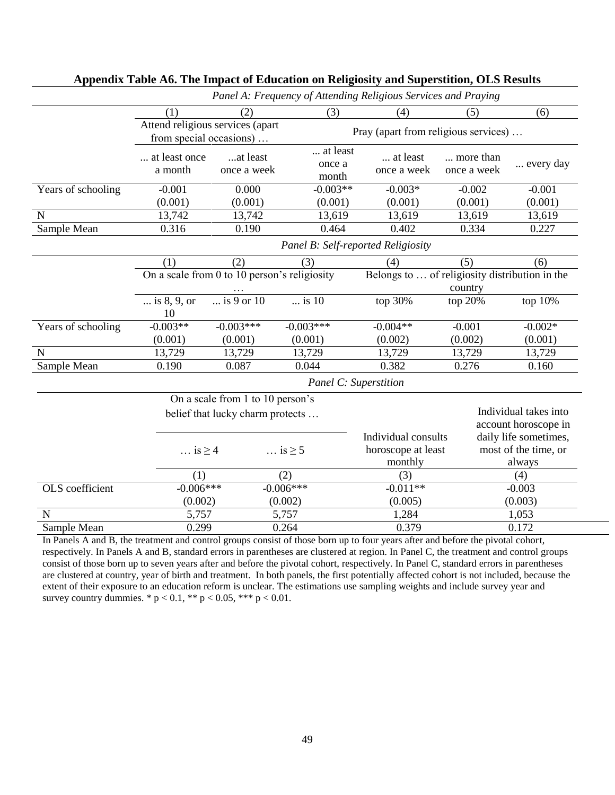|                        | Panel A: Frequency of Attending Religious Services and Praying |                                  |                                                           |                                                      |                          |                                                         |  |  |  |
|------------------------|----------------------------------------------------------------|----------------------------------|-----------------------------------------------------------|------------------------------------------------------|--------------------------|---------------------------------------------------------|--|--|--|
|                        | (1)                                                            | (2)                              | (3)                                                       | (4)                                                  | (5)                      | (6)                                                     |  |  |  |
|                        | Attend religious services (apart                               |                                  |                                                           |                                                      |                          |                                                         |  |  |  |
|                        | from special occasions)                                        |                                  |                                                           | Pray (apart from religious services)                 |                          |                                                         |  |  |  |
|                        | at least once<br>a month                                       | at least<br>once a week          | at least<br>once a<br>month                               | at least<br>once a week                              | more than<br>once a week | every day                                               |  |  |  |
| Years of schooling     | $-0.001$                                                       | 0.000                            | $-0.003**$                                                | $-0.003*$                                            | $-0.002$                 | $-0.001$                                                |  |  |  |
|                        | (0.001)                                                        | (0.001)                          | (0.001)                                                   | (0.001)                                              | (0.001)                  | (0.001)                                                 |  |  |  |
| $\mathbf N$            | 13,742                                                         | 13,742                           | 13,619                                                    | 13,619                                               | 13,619                   | 13,619                                                  |  |  |  |
| Sample Mean            | 0.316                                                          | 0.190                            | 0.464                                                     | 0.402                                                | 0.334                    | 0.227                                                   |  |  |  |
|                        |                                                                |                                  | Panel B: Self-reported Religiosity                        |                                                      |                          |                                                         |  |  |  |
|                        | (1)                                                            | (2)                              | (3)                                                       | (4)                                                  | (5)                      | (6)                                                     |  |  |  |
|                        | On a scale from 0 to 10 person's religiosity                   |                                  | Belongs to  of religiosity distribution in the<br>country |                                                      |                          |                                                         |  |  |  |
|                        | is $8, 9$ , or<br>10                                           | $\overline{}$ is 9 or 10         | $\ldots$ is 10                                            | top 30%                                              | top 20%                  | top 10%                                                 |  |  |  |
| Years of schooling     | $-0.003**$                                                     | $-0.003***$                      | $-0.003***$                                               | $-0.004**$                                           | $-0.001$                 | $-0.002*$                                               |  |  |  |
|                        | (0.001)                                                        | (0.001)                          | (0.001)                                                   | (0.002)                                              | (0.002)                  | (0.001)                                                 |  |  |  |
| $\mathbf N$            | 13,729                                                         | 13,729                           | 13,729                                                    | 13,729                                               | 13,729                   | 13,729                                                  |  |  |  |
| Sample Mean            | 0.190                                                          | 0.087                            | 0.044                                                     | 0.382                                                | 0.276                    | 0.160                                                   |  |  |  |
|                        |                                                                |                                  | Panel C: Superstition                                     |                                                      |                          |                                                         |  |  |  |
|                        |                                                                | On a scale from 1 to 10 person's |                                                           |                                                      |                          |                                                         |  |  |  |
|                        | belief that lucky charm protects                               |                                  |                                                           |                                                      |                          | Individual takes into<br>account horoscope in           |  |  |  |
|                        | $\ldots$ is $\geq 4$                                           |                                  | $\ldots$ is $\geq 5$                                      | Individual consults<br>horoscope at least<br>monthly |                          | daily life sometimes,<br>most of the time, or<br>always |  |  |  |
|                        | (1)                                                            |                                  | (2)                                                       | (3)                                                  |                          | (4)                                                     |  |  |  |
| <b>OLS</b> coefficient | $-0.006***$                                                    |                                  | $-0.006***$                                               | $-0.011**$                                           |                          | $-0.003$                                                |  |  |  |
|                        | (0.002)                                                        |                                  | (0.002)                                                   | (0.005)                                              |                          | (0.003)                                                 |  |  |  |
| N                      | 5,757                                                          |                                  | 5,757                                                     | 1,284                                                |                          | 1,053                                                   |  |  |  |
| Sample Mean            |                                                                | 0.299<br>0.264                   |                                                           | 0.379                                                |                          | 0.172                                                   |  |  |  |

## **Appendix Table A6. The Impact of Education on Religiosity and Superstition, OLS Results**

In Panels A and B, the treatment and control groups consist of those born up to four years after and before the pivotal cohort, respectively. In Panels A and B, standard errors in parentheses are clustered at region. In Panel C, the treatment and control groups consist of those born up to seven years after and before the pivotal cohort, respectively. In Panel C, standard errors in parentheses are clustered at country, year of birth and treatment. In both panels, the first potentially affected cohort is not included, because the extent of their exposure to an education reform is unclear. The estimations use sampling weights and include survey year and survey country dummies. \*  $p < 0.1$ , \*\*  $p < 0.05$ , \*\*\*  $p < 0.01$ .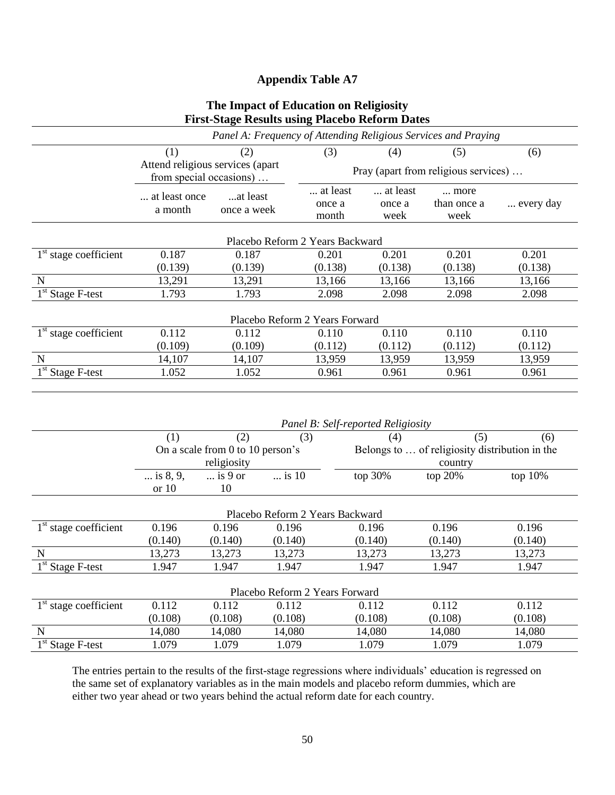## **Appendix Table A7**

## **The Impact of Education on Religiosity First-Stage Results using Placebo Reform Dates**

|                         |                                                             |                                  | riist-biage Kesuns using 1 iacebu Kelurin Dates                |                                                |                             |           |  |  |
|-------------------------|-------------------------------------------------------------|----------------------------------|----------------------------------------------------------------|------------------------------------------------|-----------------------------|-----------|--|--|
|                         |                                                             |                                  | Panel A: Frequency of Attending Religious Services and Praying |                                                |                             |           |  |  |
|                         | (1)                                                         | (2)                              | (3)                                                            | (4)                                            | (5)                         | (6)       |  |  |
|                         | Attend religious services (apart<br>from special occasions) |                                  |                                                                | Pray (apart from religious services)           |                             |           |  |  |
|                         | at least once<br>a month                                    | at least<br>once a week          | at least<br>once a<br>month                                    | at least<br>once a<br>week                     | more<br>than once a<br>week | every day |  |  |
|                         |                                                             |                                  | Placebo Reform 2 Years Backward                                |                                                |                             |           |  |  |
| $1st$ stage coefficient | 0.187                                                       | 0.187                            | 0.201                                                          | 0.201                                          | 0.201                       | 0.201     |  |  |
|                         | (0.139)                                                     | (0.139)                          | (0.138)                                                        | (0.138)                                        | (0.138)                     | (0.138)   |  |  |
| N                       | 13,291                                                      | 13,291                           | 13,166                                                         | 13,166                                         | 13,166                      | 13,166    |  |  |
| $1st$ Stage F-test      | 1.793                                                       | 1.793                            | 2.098                                                          | 2.098                                          | 2.098                       | 2.098     |  |  |
|                         |                                                             |                                  | Placebo Reform 2 Years Forward                                 |                                                |                             |           |  |  |
| $1st$ stage coefficient | 0.112                                                       | 0.112                            | 0.110                                                          | 0.110                                          | 0.110                       | 0.110     |  |  |
|                         | (0.109)                                                     | (0.109)                          | (0.112)                                                        | (0.112)                                        | (0.112)                     | (0.112)   |  |  |
| $\mathbf N$             | 14,107                                                      | 14,107                           | 13,959                                                         | 13,959                                         | 13,959                      | 13,959    |  |  |
| $1st$ Stage F-test      | 1.052                                                       | 1.052                            | 0.961                                                          | 0.961                                          | 0.961                       | 0.961     |  |  |
|                         |                                                             |                                  |                                                                | Panel B: Self-reported Religiosity             |                             |           |  |  |
|                         | (1)                                                         | (2)                              | (3)                                                            | (4)                                            | (5)                         | (6)       |  |  |
|                         |                                                             | On a scale from 0 to 10 person's |                                                                | Belongs to  of religiosity distribution in the |                             |           |  |  |
|                         |                                                             | religiosity                      |                                                                |                                                | country                     |           |  |  |
|                         | $\ldots$ is 8, 9,                                           | $\ldots$ is 9 or                 | $\overline{}$ is 10                                            | top 30%                                        | top 20%                     | top 10%   |  |  |
|                         | or 10                                                       | 10                               |                                                                |                                                |                             |           |  |  |
|                         |                                                             |                                  | Placebo Reform 2 Years Backward                                |                                                |                             |           |  |  |
| $1st$ stage coefficient | 0.196                                                       | 0.196                            | 0.196                                                          | 0.196                                          | 0.196                       | 0.196     |  |  |
|                         | (0.140)                                                     | (0.140)                          | (0.140)                                                        | (0.140)                                        | (0.140)                     | (0.140)   |  |  |
| $\mathbf N$             | 13,273                                                      | 13,273                           | 13,273                                                         | 13,273                                         | 13,273                      | 13,273    |  |  |

| Placebo Reform 2 Years Forward |         |         |         |         |         |         |  |  |
|--------------------------------|---------|---------|---------|---------|---------|---------|--|--|
| $1st$ stage coefficient        | 0.112   | 0.112   | 0.112   | 0.112   | 0.112   | 0.112   |  |  |
|                                | (0.108) | (0.108) | (0.108) | (0.108) | (0.108) | (0.108) |  |  |
|                                | 14,080  | 14.080  | 14,080  | 14,080  | 14.080  | 14,080  |  |  |
| $1st$ Stage F-test             | .079    | .079    | .079    | .079    | . 079   | . 079   |  |  |

1<sup>st</sup> Stage F-test 1.947 1.947 1.947 1.947 1.947 1.947 1.947

The entries pertain to the results of the first-stage regressions where individuals' education is regressed on the same set of explanatory variables as in the main models and placebo reform dummies, which are either two year ahead or two years behind the actual reform date for each country.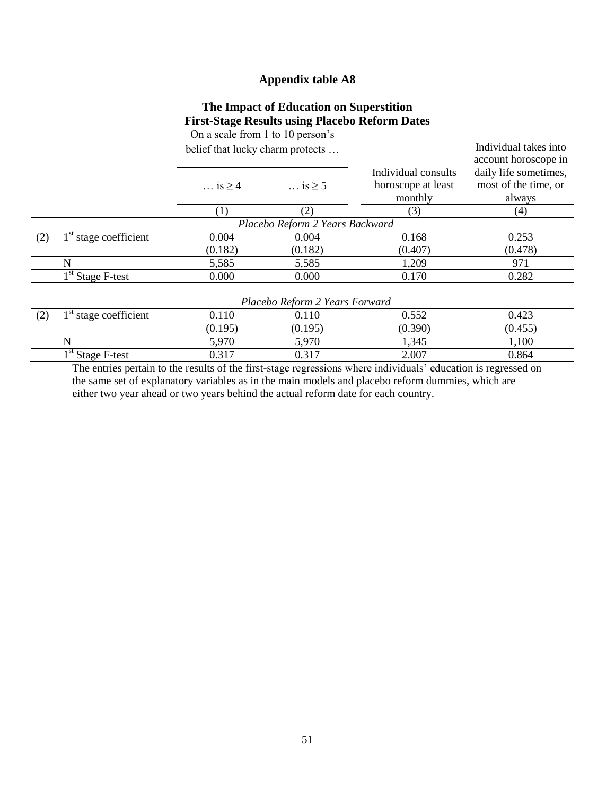## **Appendix table A8**

## **The Impact of Education on Superstition First-Stage Results using Placebo Reform Dates**

|     |                                | On a scale from 1 to 10 person's |                                 |                                                      |                                                         |  |  |  |  |  |
|-----|--------------------------------|----------------------------------|---------------------------------|------------------------------------------------------|---------------------------------------------------------|--|--|--|--|--|
|     |                                | belief that lucky charm protects |                                 |                                                      | Individual takes into<br>account horoscope in           |  |  |  |  |  |
|     |                                | $\ldots$ is $\geq 4$             | $\ldots$ is $\geq 5$            | Individual consults<br>horoscope at least<br>monthly | daily life sometimes,<br>most of the time, or<br>always |  |  |  |  |  |
|     |                                | (1)                              | (2)                             | (3)                                                  | (4)                                                     |  |  |  |  |  |
|     |                                |                                  | Placebo Reform 2 Years Backward |                                                      |                                                         |  |  |  |  |  |
| (2) | $1st$ stage coefficient        | 0.004                            | 0.004                           | 0.168                                                | 0.253                                                   |  |  |  |  |  |
|     |                                | (0.182)                          | (0.182)                         | (0.407)                                              | (0.478)                                                 |  |  |  |  |  |
|     | N                              | 5,585                            | 5,585                           | 1,209                                                | 971                                                     |  |  |  |  |  |
|     | $1st$ Stage F-test             | 0.000                            | 0.000                           | 0.170                                                | 0.282                                                   |  |  |  |  |  |
|     | Placebo Reform 2 Years Forward |                                  |                                 |                                                      |                                                         |  |  |  |  |  |
| (2) | $1st$ stage coefficient        | 0.110                            | 0.110                           | 0.552                                                | 0.423                                                   |  |  |  |  |  |
|     |                                | (0.195)                          | (0.195)                         | (0.390)                                              | (0.455)                                                 |  |  |  |  |  |
|     | N                              | 5,970                            | 5,970                           | 1,345                                                | 1,100                                                   |  |  |  |  |  |
|     | $1st$ Stage F-test             | 0.317                            | 0.317                           | 2.007                                                | 0.864                                                   |  |  |  |  |  |

The entries pertain to the results of the first-stage regressions where individuals' education is regressed on the same set of explanatory variables as in the main models and placebo reform dummies, which are either two year ahead or two years behind the actual reform date for each country.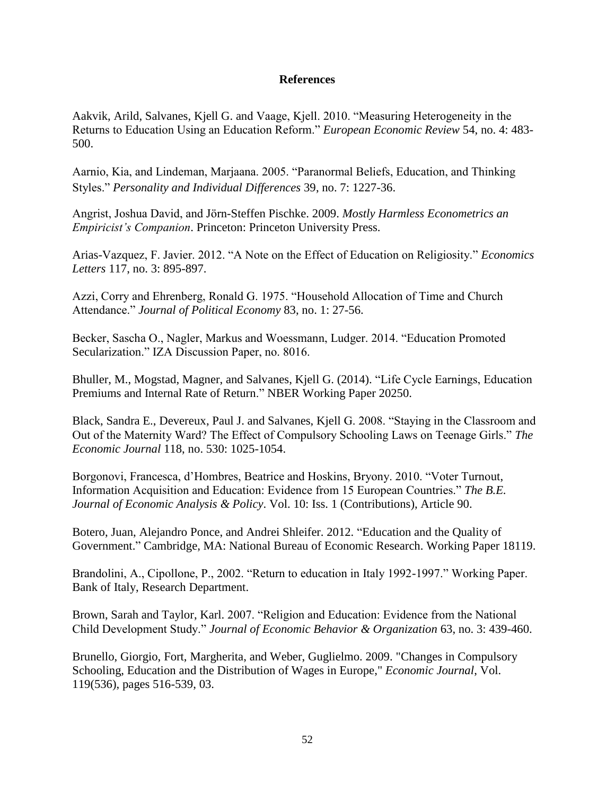## **References**

Aakvik, Arild, Salvanes, Kjell G. and Vaage, Kjell. 2010. "Measuring Heterogeneity in the Returns to Education Using an Education Reform." *European Economic Review* 54, no. 4: 483- 500.

Aarnio, Kia, and Lindeman, Marjaana. 2005. "Paranormal Beliefs, Education, and Thinking Styles." *Personality and Individual Differences* 39, no. 7: 1227-36.

Angrist, Joshua David, and Jörn-Steffen Pischke. 2009. *Mostly Harmless Econometrics an Empiricist's Companion*. Princeton: Princeton University Press.

Arias-Vazquez, F. Javier. 2012. "A Note on the Effect of Education on Religiosity." *Economics Letters* 117, no. 3: 895-897.

Azzi, Corry and Ehrenberg, Ronald G. 1975. "Household Allocation of Time and Church Attendance." *Journal of Political Economy* 83, no. 1: 27-56.

Becker, Sascha O., Nagler, Markus and Woessmann, Ludger. 2014. "Education Promoted Secularization." IZA Discussion Paper, no. 8016.

Bhuller, M., Mogstad, Magner, and Salvanes, Kjell G. (2014). "Life Cycle Earnings, Education Premiums and Internal Rate of Return." NBER Working Paper 20250.

Black, Sandra E., Devereux, Paul J. and Salvanes, Kjell G. 2008. "Staying in the Classroom and Out of the Maternity Ward? The Effect of Compulsory Schooling Laws on Teenage Girls." *The Economic Journal* 118, no. 530: 1025-1054.

Borgonovi, Francesca, d'Hombres, Beatrice and Hoskins, Bryony. 2010. "Voter Turnout, Information Acquisition and Education: Evidence from 15 European Countries." *The B.E. Journal of Economic Analysis & Policy*. Vol. 10: Iss. 1 (Contributions), Article 90.

Botero, Juan, Alejandro Ponce, and Andrei Shleifer. 2012. "Education and the Quality of Government." Cambridge, MA: National Bureau of Economic Research. Working Paper 18119.

Brandolini, A., Cipollone, P., 2002. "Return to education in Italy 1992-1997." Working Paper. Bank of Italy, Research Department.

Brown, Sarah and Taylor, Karl. 2007. "Religion and Education: Evidence from the National Child Development Study." *Journal of Economic Behavior & Organization* 63, no. 3: 439-460.

Brunello, Giorgio, Fort, Margherita, and Weber, Guglielmo. 2009. "Changes in Compulsory Schooling, Education and the Distribution of Wages in Europe," *Economic Journal*, Vol. 119(536), pages 516-539, 03.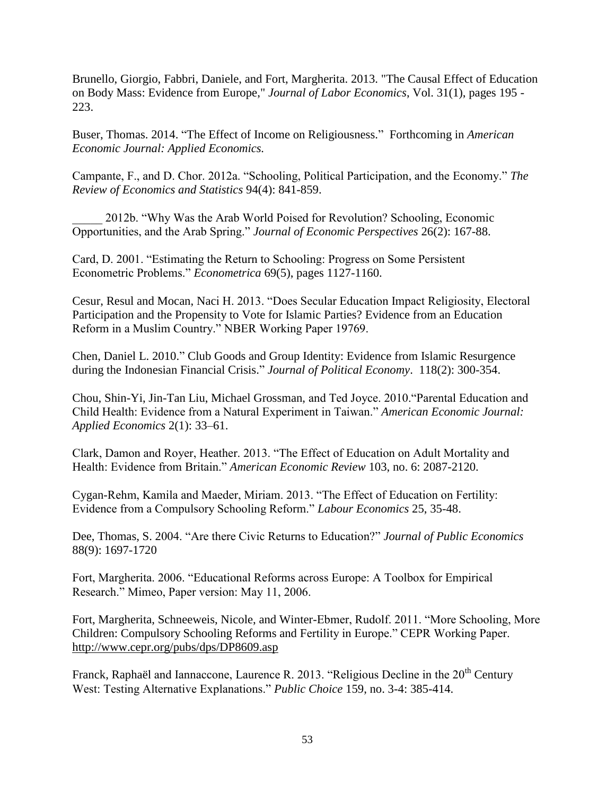Brunello, Giorgio, Fabbri, Daniele, and Fort, Margherita. 2013. "The Causal Effect of Education on Body Mass: Evidence from Europe," *Journal of Labor Economics*, Vol. 31(1), pages 195 - 223.

Buser, Thomas. 2014. "The Effect of Income on Religiousness." Forthcoming in *American Economic Journal: Applied Economics.*

Campante, F., and D. Chor. 2012a. "Schooling, Political Participation, and the Economy." *The Review of Economics and Statistics* 94(4): 841-859.

\_\_\_\_\_ 2012b. "Why Was the Arab World Poised for Revolution? Schooling, Economic Opportunities, and the Arab Spring." *Journal of Economic Perspectives* 26(2): 167-88.

Card, D. 2001. "Estimating the Return to Schooling: Progress on Some Persistent Econometric Problems." *Econometrica* 69(5), pages 1127-1160.

Cesur, Resul and Mocan, Naci H. 2013. "Does Secular Education Impact Religiosity, Electoral Participation and the Propensity to Vote for Islamic Parties? Evidence from an Education Reform in a Muslim Country." NBER Working Paper 19769.

Chen, Daniel L. 2010." Club Goods and Group Identity: Evidence from Islamic Resurgence during the Indonesian Financial Crisis." *Journal of Political Economy*. 118(2): 300-354.

Chou, Shin-Yi, Jin-Tan Liu, Michael Grossman, and Ted Joyce. 2010."Parental Education and Child Health: Evidence from a Natural Experiment in Taiwan." *American Economic Journal: Applied Economics* 2(1): 33–61.

Clark, Damon and Royer, Heather. 2013. "The Effect of Education on Adult Mortality and Health: Evidence from Britain." *American Economic Review* 103, no. 6: 2087-2120.

Cygan-Rehm, Kamila and Maeder, Miriam. 2013. "The Effect of Education on Fertility: Evidence from a Compulsory Schooling Reform." *Labour Economics* 25, 35-48.

Dee, Thomas, S. 2004. "Are there Civic Returns to Education?" *Journal of Public Economics* 88(9): 1697-1720

Fort, Margherita. 2006. "Educational Reforms across Europe: A Toolbox for Empirical Research." Mimeo, Paper version: May 11, 2006.

Fort, Margherita, Schneeweis, Nicole, and Winter-Ebmer, Rudolf. 2011. "More Schooling, More Children: Compulsory Schooling Reforms and Fertility in Europe." CEPR Working Paper. <http://www.cepr.org/pubs/dps/DP8609.asp>

Franck, Raphaël and Iannaccone, Laurence R. 2013. "Religious Decline in the  $20<sup>th</sup>$  Century West: Testing Alternative Explanations." *Public Choice* 159, no. 3-4: 385-414.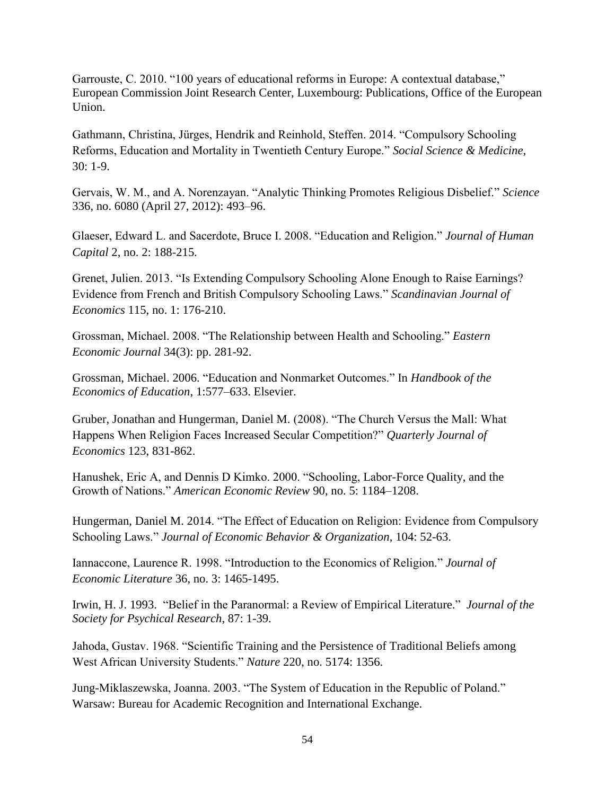Garrouste, C. 2010. "100 years of educational reforms in Europe: A contextual database," European Commission Joint Research Center, Luxembourg: Publications, Office of the European Union.

Gathmann, Christina, Jürges, Hendrik and Reinhold, Steffen. 2014. "Compulsory Schooling Reforms, Education and Mortality in Twentieth Century Europe." *Social Science & Medicine*, 30: 1-9.

Gervais, W. M., and A. Norenzayan. "Analytic Thinking Promotes Religious Disbelief." *Science* 336, no. 6080 (April 27, 2012): 493–96.

Glaeser, Edward L. and Sacerdote, Bruce I. 2008. "Education and Religion." *Journal of Human Capital* 2, no. 2: 188-215.

Grenet, Julien. 2013. "Is Extending Compulsory Schooling Alone Enough to Raise Earnings? Evidence from French and British Compulsory Schooling Laws." *Scandinavian Journal of Economics* 115, no. 1: 176-210.

Grossman, Michael. 2008. "The Relationship between Health and Schooling." *Eastern Economic Journal* 34(3): pp. 281-92.

Grossman, Michael. 2006. "Education and Nonmarket Outcomes." In *Handbook of the Economics of Education*, 1:577–633. Elsevier.

Gruber, Jonathan and Hungerman, Daniel M. (2008). "The Church Versus the Mall: What Happens When Religion Faces Increased Secular Competition?" *Quarterly Journal of Economics* 123, 831-862.

Hanushek, Eric A, and Dennis D Kimko. 2000. "Schooling, Labor-Force Quality, and the Growth of Nations." *American Economic Review* 90, no. 5: 1184–1208.

Hungerman, Daniel M. 2014. "The Effect of Education on Religion: Evidence from Compulsory Schooling Laws." *Journal of Economic Behavior & Organization*, 104: 52-63.

Iannaccone, Laurence R. 1998. "Introduction to the Economics of Religion." *Journal of Economic Literature* 36, no. 3: 1465-1495.

Irwin, H. J. 1993. "Belief in the Paranormal: a Review of Empirical Literature." *Journal of the Society for Psychical Research*, 87: 1-39.

Jahoda, Gustav. 1968. "Scientific Training and the Persistence of Traditional Beliefs among West African University Students." *Nature* 220, no. 5174: 1356.

Jung-Miklaszewska, Joanna. 2003. "The System of Education in the Republic of Poland." Warsaw: Bureau for Academic Recognition and International Exchange.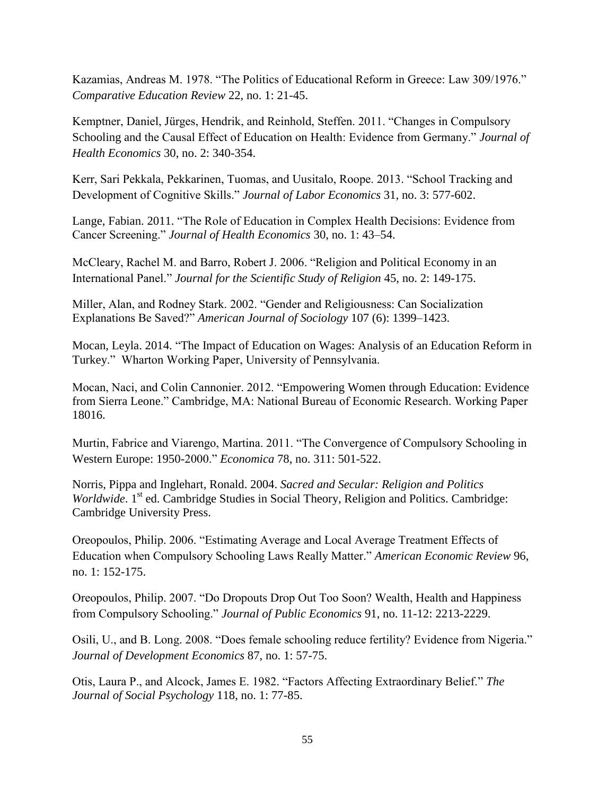Kazamias, Andreas M. 1978. "The Politics of Educational Reform in Greece: Law 309/1976." *Comparative Education Review* 22, no. 1: 21-45.

Kemptner, Daniel, Jürges, Hendrik, and Reinhold, Steffen. 2011. "Changes in Compulsory Schooling and the Causal Effect of Education on Health: Evidence from Germany." *Journal of Health Economics* 30, no. 2: 340-354.

Kerr, Sari Pekkala, Pekkarinen, Tuomas, and Uusitalo, Roope. 2013. "School Tracking and Development of Cognitive Skills." *Journal of Labor Economics* 31, no. 3: 577-602.

Lange, Fabian. 2011. "The Role of Education in Complex Health Decisions: Evidence from Cancer Screening." *Journal of Health Economics* 30, no. 1: 43–54.

McCleary, Rachel M. and Barro, Robert J. 2006. "Religion and Political Economy in an International Panel." *Journal for the Scientific Study of Religion* 45, no. 2: 149-175.

Miller, Alan, and Rodney Stark. 2002. "Gender and Religiousness: Can Socialization Explanations Be Saved?" *American Journal of Sociology* 107 (6): 1399–1423.

Mocan, Leyla. 2014. "The Impact of Education on Wages: Analysis of an Education Reform in Turkey." Wharton Working Paper, University of Pennsylvania.

Mocan, Naci, and Colin Cannonier. 2012. "Empowering Women through Education: Evidence from Sierra Leone." Cambridge, MA: National Bureau of Economic Research. Working Paper 18016.

Murtin, Fabrice and Viarengo, Martina. 2011. "The Convergence of Compulsory Schooling in Western Europe: 1950-2000." *Economica* 78, no. 311: 501-522.

Norris, Pippa and Inglehart, Ronald. 2004. *Sacred and Secular: Religion and Politics*  Worldwide. 1<sup>st</sup> ed. Cambridge Studies in Social Theory, Religion and Politics. Cambridge: Cambridge University Press.

Oreopoulos, Philip. 2006. "Estimating Average and Local Average Treatment Effects of Education when Compulsory Schooling Laws Really Matter." *American Economic Review* 96, no. 1: 152-175.

Oreopoulos, Philip. 2007. "Do Dropouts Drop Out Too Soon? Wealth, Health and Happiness from Compulsory Schooling." *Journal of Public Economics* 91, no. 11-12: 2213-2229.

Osili, U., and B. Long. 2008. "Does female schooling reduce fertility? Evidence from Nigeria." *Journal of Development Economics* 87, no. 1: 57-75.

Otis, Laura P., and Alcock, James E. 1982. "Factors Affecting Extraordinary Belief." *The Journal of Social Psychology* 118, no. 1: 77-85.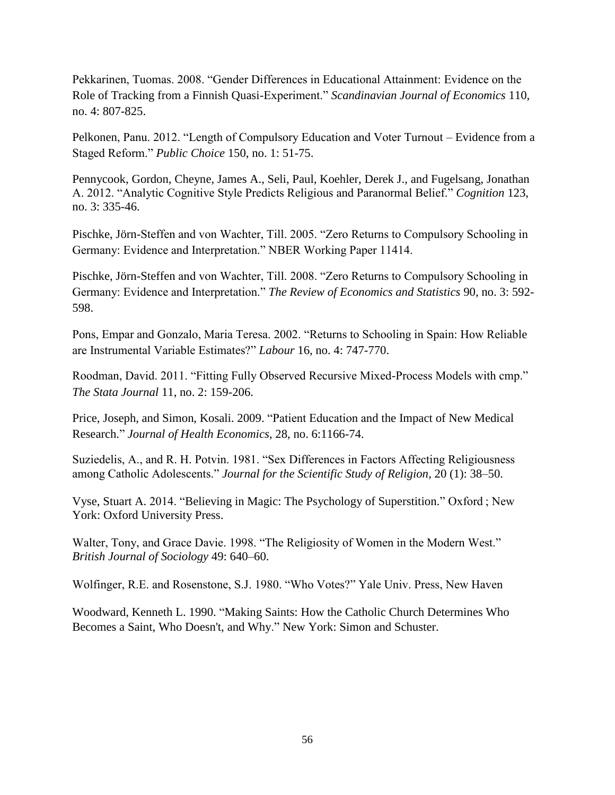Pekkarinen, Tuomas. 2008. "Gender Differences in Educational Attainment: Evidence on the Role of Tracking from a Finnish Quasi-Experiment." *Scandinavian Journal of Economics* 110, no. 4: 807-825.

Pelkonen, Panu. 2012. "Length of Compulsory Education and Voter Turnout – Evidence from a Staged Reform." *Public Choice* 150, no. 1: 51-75.

Pennycook, Gordon, Cheyne, James A., Seli, Paul, Koehler, Derek J., and Fugelsang, Jonathan A. 2012. "Analytic Cognitive Style Predicts Religious and Paranormal Belief." *Cognition* 123, no. 3: 335-46.

Pischke, Jörn-Steffen and von Wachter, Till. 2005. "Zero Returns to Compulsory Schooling in Germany: Evidence and Interpretation." NBER Working Paper 11414.

Pischke, Jörn-Steffen and von Wachter, Till. 2008. "Zero Returns to Compulsory Schooling in Germany: Evidence and Interpretation." *The Review of Economics and Statistics* 90, no. 3: 592- 598.

Pons, Empar and Gonzalo, Maria Teresa. 2002. "Returns to Schooling in Spain: How Reliable are Instrumental Variable Estimates?" *Labour* 16, no. 4: 747-770.

Roodman, David. 2011. "Fitting Fully Observed Recursive Mixed-Process Models with cmp." *The Stata Journal* 11, no. 2: 159-206.

Price, Joseph, and Simon, Kosali. 2009. "Patient Education and the Impact of New Medical Research." *Journal of Health Economics*, 28, no. 6:1166-74.

Suziedelis, A., and R. H. Potvin. 1981. "Sex Differences in Factors Affecting Religiousness among Catholic Adolescents." *Journal for the Scientific Study of Religion*, 20 (1): 38–50.

Vyse, Stuart A. 2014. "Believing in Magic: The Psychology of Superstition." Oxford ; New York: Oxford University Press.

Walter, Tony, and Grace Davie. 1998. "The Religiosity of Women in the Modern West." *British Journal of Sociology* 49: 640–60.

Wolfinger, R.E. and Rosenstone, S.J. 1980. "Who Votes?" Yale Univ. Press, New Haven

Woodward, Kenneth L. 1990. "Making Saints: How the Catholic Church Determines Who Becomes a Saint, Who Doesn't, and Why." New York: Simon and Schuster.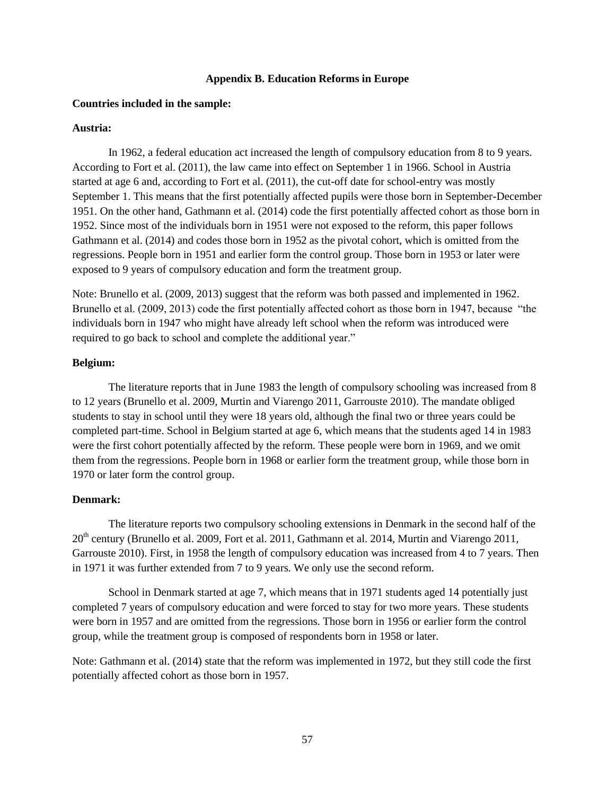#### **Appendix B. Education Reforms in Europe**

#### **Countries included in the sample:**

#### **Austria:**

In 1962, a federal education act increased the length of compulsory education from 8 to 9 years. According to Fort et al. (2011), the law came into effect on September 1 in 1966. School in Austria started at age 6 and, according to Fort et al. (2011), the cut-off date for school-entry was mostly September 1. This means that the first potentially affected pupils were those born in September-December 1951. On the other hand, Gathmann et al. (2014) code the first potentially affected cohort as those born in 1952. Since most of the individuals born in 1951 were not exposed to the reform, this paper follows Gathmann et al. (2014) and codes those born in 1952 as the pivotal cohort, which is omitted from the regressions. People born in 1951 and earlier form the control group. Those born in 1953 or later were exposed to 9 years of compulsory education and form the treatment group.

Note: Brunello et al. (2009, 2013) suggest that the reform was both passed and implemented in 1962. Brunello et al. (2009, 2013) code the first potentially affected cohort as those born in 1947, because "the individuals born in 1947 who might have already left school when the reform was introduced were required to go back to school and complete the additional year."

### **Belgium:**

The literature reports that in June 1983 the length of compulsory schooling was increased from 8 to 12 years (Brunello et al. 2009, Murtin and Viarengo 2011, Garrouste 2010). The mandate obliged students to stay in school until they were 18 years old, although the final two or three years could be completed part-time. School in Belgium started at age 6, which means that the students aged 14 in 1983 were the first cohort potentially affected by the reform. These people were born in 1969, and we omit them from the regressions. People born in 1968 or earlier form the treatment group, while those born in 1970 or later form the control group.

### **Denmark:**

The literature reports two compulsory schooling extensions in Denmark in the second half of the 20<sup>th</sup> century (Brunello et al. 2009, Fort et al. 2011, Gathmann et al. 2014, Murtin and Viarengo 2011, Garrouste 2010). First, in 1958 the length of compulsory education was increased from 4 to 7 years. Then in 1971 it was further extended from 7 to 9 years. We only use the second reform.

School in Denmark started at age 7, which means that in 1971 students aged 14 potentially just completed 7 years of compulsory education and were forced to stay for two more years. These students were born in 1957 and are omitted from the regressions. Those born in 1956 or earlier form the control group, while the treatment group is composed of respondents born in 1958 or later.

Note: Gathmann et al. (2014) state that the reform was implemented in 1972, but they still code the first potentially affected cohort as those born in 1957.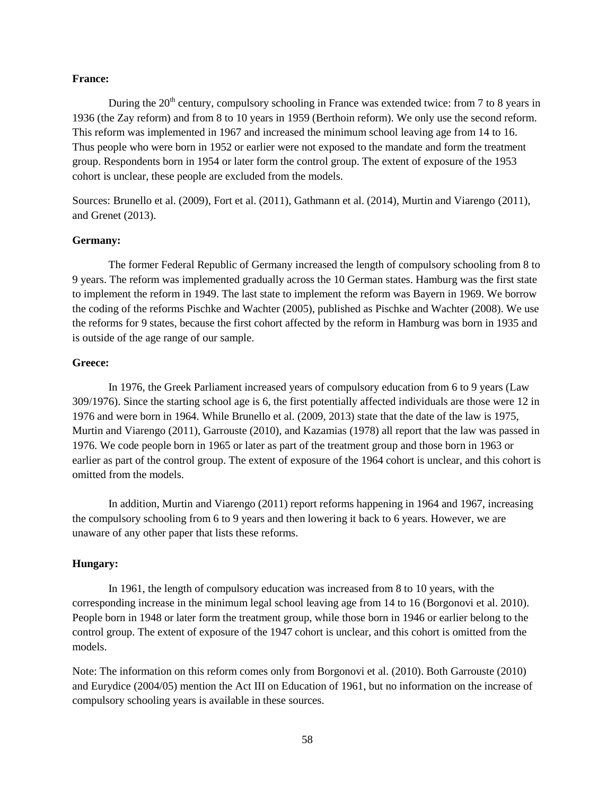#### **France:**

During the  $20<sup>th</sup>$  century, compulsory schooling in France was extended twice: from 7 to 8 years in 1936 (the Zay reform) and from 8 to 10 years in 1959 (Berthoin reform). We only use the second reform. This reform was implemented in 1967 and increased the minimum school leaving age from 14 to 16. Thus people who were born in 1952 or earlier were not exposed to the mandate and form the treatment group. Respondents born in 1954 or later form the control group. The extent of exposure of the 1953 cohort is unclear, these people are excluded from the models.

Sources: Brunello et al. (2009), Fort et al. (2011), Gathmann et al. (2014), Murtin and Viarengo (2011), and Grenet (2013).

### **Germany:**

The former Federal Republic of Germany increased the length of compulsory schooling from 8 to 9 years. The reform was implemented gradually across the 10 German states. Hamburg was the first state to implement the reform in 1949. The last state to implement the reform was Bayern in 1969. We borrow the coding of the reforms Pischke and Wachter (2005), published as Pischke and Wachter (2008). We use the reforms for 9 states, because the first cohort affected by the reform in Hamburg was born in 1935 and is outside of the age range of our sample.

## **Greece:**

In 1976, the Greek Parliament increased years of compulsory education from 6 to 9 years (Law 309/1976). Since the starting school age is 6, the first potentially affected individuals are those were 12 in 1976 and were born in 1964. While Brunello et al. (2009, 2013) state that the date of the law is 1975, Murtin and Viarengo (2011), Garrouste (2010), and Kazamias (1978) all report that the law was passed in 1976. We code people born in 1965 or later as part of the treatment group and those born in 1963 or earlier as part of the control group. The extent of exposure of the 1964 cohort is unclear, and this cohort is omitted from the models.

In addition, Murtin and Viarengo (2011) report reforms happening in 1964 and 1967, increasing the compulsory schooling from 6 to 9 years and then lowering it back to 6 years. However, we are unaware of any other paper that lists these reforms.

## **Hungary:**

In 1961, the length of compulsory education was increased from 8 to 10 years, with the corresponding increase in the minimum legal school leaving age from 14 to 16 (Borgonovi et al. 2010). People born in 1948 or later form the treatment group, while those born in 1946 or earlier belong to the control group. The extent of exposure of the 1947 cohort is unclear, and this cohort is omitted from the models.

Note: The information on this reform comes only from Borgonovi et al. (2010). Both Garrouste (2010) and Eurydice (2004/05) mention the Act III on Education of 1961, but no information on the increase of compulsory schooling years is available in these sources.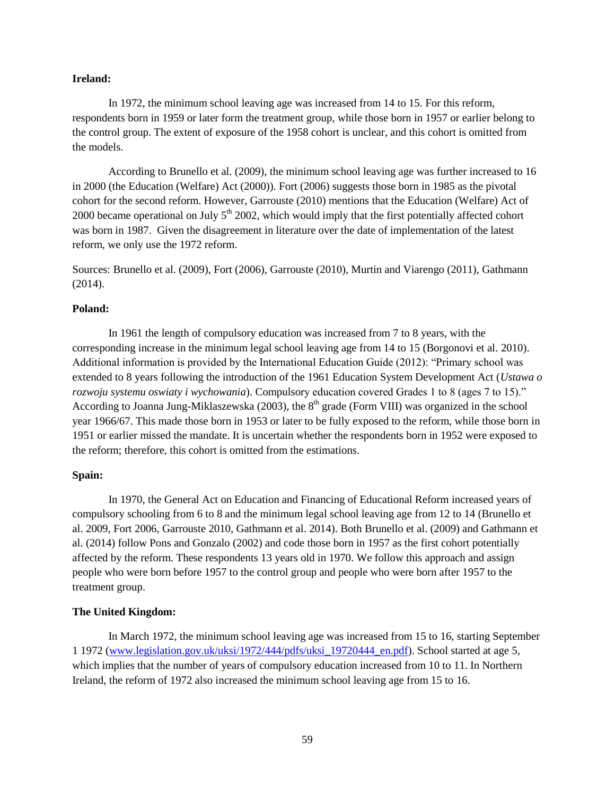#### **Ireland:**

In 1972, the minimum school leaving age was increased from 14 to 15. For this reform, respondents born in 1959 or later form the treatment group, while those born in 1957 or earlier belong to the control group. The extent of exposure of the 1958 cohort is unclear, and this cohort is omitted from the models.

According to Brunello et al. (2009), the minimum school leaving age was further increased to 16 in 2000 (the Education (Welfare) Act (2000)). Fort (2006) suggests those born in 1985 as the pivotal cohort for the second reform. However, Garrouste (2010) mentions that the Education (Welfare) Act of 2000 became operational on July  $5<sup>th</sup>$  2002, which would imply that the first potentially affected cohort was born in 1987. Given the disagreement in literature over the date of implementation of the latest reform, we only use the 1972 reform.

Sources: Brunello et al. (2009), Fort (2006), Garrouste (2010), Murtin and Viarengo (2011), Gathmann (2014).

## **Poland:**

In 1961 the length of compulsory education was increased from 7 to 8 years, with the corresponding increase in the minimum legal school leaving age from 14 to 15 (Borgonovi et al. 2010). Additional information is provided by the International Education Guide (2012): "Primary school was extended to 8 years following the introduction of the 1961 Education System Development Act (*Ustawa o rozwoju systemu oswiaty i wychowania*). Compulsory education covered Grades 1 to 8 (ages 7 to 15)." According to Joanna Jung-Miklaszewska (2003), the  $8<sup>th</sup>$  grade (Form VIII) was organized in the school year 1966/67. This made those born in 1953 or later to be fully exposed to the reform, while those born in 1951 or earlier missed the mandate. It is uncertain whether the respondents born in 1952 were exposed to the reform; therefore, this cohort is omitted from the estimations.

## **Spain:**

In 1970, the General Act on Education and Financing of Educational Reform increased years of compulsory schooling from 6 to 8 and the minimum legal school leaving age from 12 to 14 (Brunello et al. 2009, Fort 2006, Garrouste 2010, Gathmann et al. 2014). Both Brunello et al. (2009) and Gathmann et al. (2014) follow Pons and Gonzalo (2002) and code those born in 1957 as the first cohort potentially affected by the reform. These respondents 13 years old in 1970. We follow this approach and assign people who were born before 1957 to the control group and people who were born after 1957 to the treatment group.

### **The United Kingdom:**

In March 1972, the minimum school leaving age was increased from 15 to 16, starting September 1 1972 [\(www.legislation.gov.uk/uksi/1972/444/pdfs/uksi\\_19720444\\_en.pdf\)](http://www.legislation.gov.uk/uksi/1972/444/pdfs/uksi_19720444_en.pdf). School started at age 5, which implies that the number of years of compulsory education increased from 10 to 11. In Northern Ireland, the reform of 1972 also increased the minimum school leaving age from 15 to 16.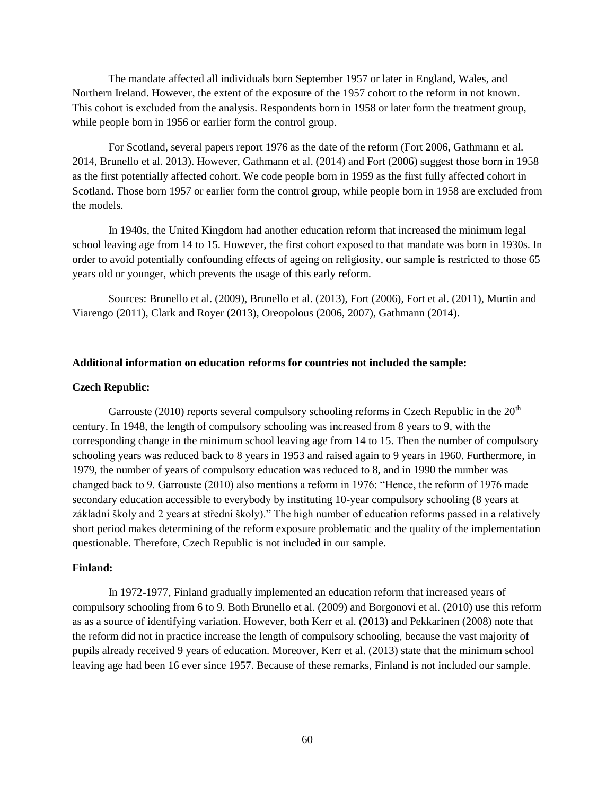The mandate affected all individuals born September 1957 or later in England, Wales, and Northern Ireland. However, the extent of the exposure of the 1957 cohort to the reform in not known. This cohort is excluded from the analysis. Respondents born in 1958 or later form the treatment group, while people born in 1956 or earlier form the control group.

For Scotland, several papers report 1976 as the date of the reform (Fort 2006, Gathmann et al. 2014, Brunello et al. 2013). However, Gathmann et al. (2014) and Fort (2006) suggest those born in 1958 as the first potentially affected cohort. We code people born in 1959 as the first fully affected cohort in Scotland. Those born 1957 or earlier form the control group, while people born in 1958 are excluded from the models.

In 1940s, the United Kingdom had another education reform that increased the minimum legal school leaving age from 14 to 15. However, the first cohort exposed to that mandate was born in 1930s. In order to avoid potentially confounding effects of ageing on religiosity, our sample is restricted to those 65 years old or younger, which prevents the usage of this early reform.

Sources: Brunello et al. (2009), Brunello et al. (2013), Fort (2006), Fort et al. (2011), Murtin and Viarengo (2011), Clark and Royer (2013), Oreopolous (2006, 2007), Gathmann (2014).

#### **Additional information on education reforms for countries not included the sample:**

#### **Czech Republic:**

Garrouste (2010) reports several compulsory schooling reforms in Czech Republic in the  $20<sup>th</sup>$ century. In 1948, the length of compulsory schooling was increased from 8 years to 9, with the corresponding change in the minimum school leaving age from 14 to 15. Then the number of compulsory schooling years was reduced back to 8 years in 1953 and raised again to 9 years in 1960. Furthermore, in 1979, the number of years of compulsory education was reduced to 8, and in 1990 the number was changed back to 9. Garrouste (2010) also mentions a reform in 1976: "Hence, the reform of 1976 made secondary education accessible to everybody by instituting 10-year compulsory schooling (8 years at základní školy and 2 years at střední školy)." The high number of education reforms passed in a relatively short period makes determining of the reform exposure problematic and the quality of the implementation questionable. Therefore, Czech Republic is not included in our sample.

#### **Finland:**

In 1972-1977, Finland gradually implemented an education reform that increased years of compulsory schooling from 6 to 9. Both Brunello et al. (2009) and Borgonovi et al. (2010) use this reform as as a source of identifying variation. However, both Kerr et al. (2013) and Pekkarinen (2008) note that the reform did not in practice increase the length of compulsory schooling, because the vast majority of pupils already received 9 years of education. Moreover, Kerr et al. (2013) state that the minimum school leaving age had been 16 ever since 1957. Because of these remarks, Finland is not included our sample.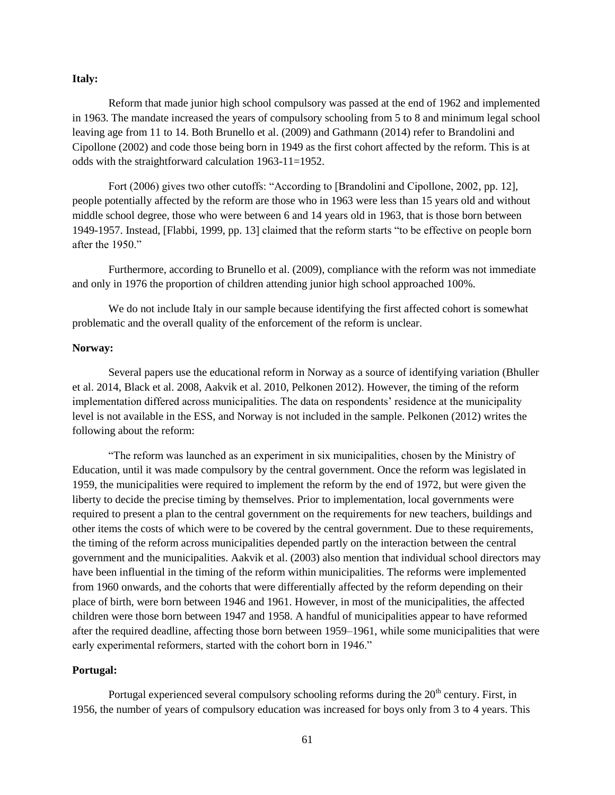#### **Italy:**

Reform that made junior high school compulsory was passed at the end of 1962 and implemented in 1963. The mandate increased the years of compulsory schooling from 5 to 8 and minimum legal school leaving age from 11 to 14. Both Brunello et al. (2009) and Gathmann (2014) refer to Brandolini and Cipollone (2002) and code those being born in 1949 as the first cohort affected by the reform. This is at odds with the straightforward calculation 1963-11=1952.

Fort (2006) gives two other cutoffs: "According to [Brandolini and Cipollone, 2002, pp. 12], people potentially affected by the reform are those who in 1963 were less than 15 years old and without middle school degree, those who were between 6 and 14 years old in 1963, that is those born between 1949-1957. Instead, [Flabbi, 1999, pp. 13] claimed that the reform starts "to be effective on people born after the 1950."

Furthermore, according to Brunello et al. (2009), compliance with the reform was not immediate and only in 1976 the proportion of children attending junior high school approached 100%.

We do not include Italy in our sample because identifying the first affected cohort is somewhat problematic and the overall quality of the enforcement of the reform is unclear.

## **Norway:**

Several papers use the educational reform in Norway as a source of identifying variation (Bhuller et al. 2014, Black et al. 2008, Aakvik et al. 2010, Pelkonen 2012). However, the timing of the reform implementation differed across municipalities. The data on respondents' residence at the municipality level is not available in the ESS, and Norway is not included in the sample. Pelkonen (2012) writes the following about the reform:

"The reform was launched as an experiment in six municipalities, chosen by the Ministry of Education, until it was made compulsory by the central government. Once the reform was legislated in 1959, the municipalities were required to implement the reform by the end of 1972, but were given the liberty to decide the precise timing by themselves. Prior to implementation, local governments were required to present a plan to the central government on the requirements for new teachers, buildings and other items the costs of which were to be covered by the central government. Due to these requirements, the timing of the reform across municipalities depended partly on the interaction between the central government and the municipalities. Aakvik et al. (2003) also mention that individual school directors may have been influential in the timing of the reform within municipalities. The reforms were implemented from 1960 onwards, and the cohorts that were differentially affected by the reform depending on their place of birth, were born between 1946 and 1961. However, in most of the municipalities, the affected children were those born between 1947 and 1958. A handful of municipalities appear to have reformed after the required deadline, affecting those born between 1959–1961, while some municipalities that were early experimental reformers, started with the cohort born in 1946."

#### **Portugal:**

Portugal experienced several compulsory schooling reforms during the  $20<sup>th</sup>$  century. First, in 1956, the number of years of compulsory education was increased for boys only from 3 to 4 years. This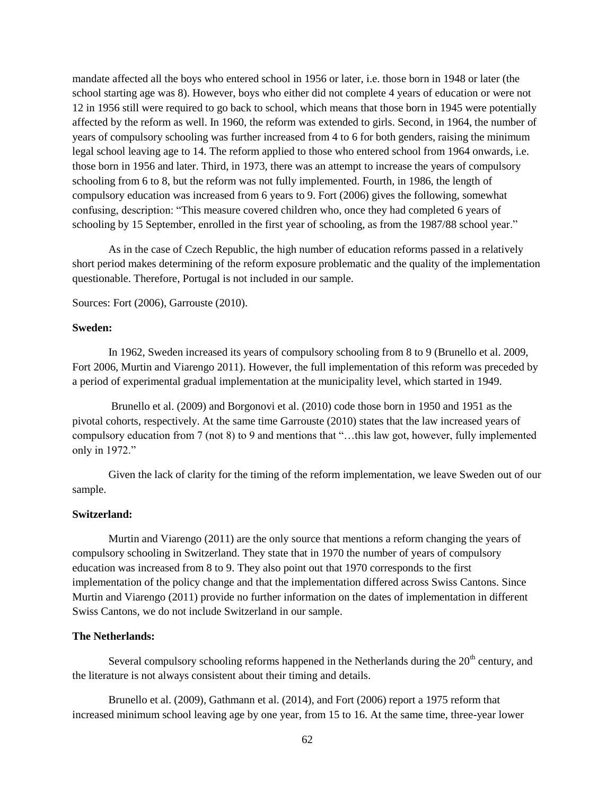mandate affected all the boys who entered school in 1956 or later, i.e. those born in 1948 or later (the school starting age was 8). However, boys who either did not complete 4 years of education or were not 12 in 1956 still were required to go back to school, which means that those born in 1945 were potentially affected by the reform as well. In 1960, the reform was extended to girls. Second, in 1964, the number of years of compulsory schooling was further increased from 4 to 6 for both genders, raising the minimum legal school leaving age to 14. The reform applied to those who entered school from 1964 onwards, i.e. those born in 1956 and later. Third, in 1973, there was an attempt to increase the years of compulsory schooling from 6 to 8, but the reform was not fully implemented. Fourth, in 1986, the length of compulsory education was increased from 6 years to 9. Fort (2006) gives the following, somewhat confusing, description: "This measure covered children who, once they had completed 6 years of schooling by 15 September, enrolled in the first year of schooling, as from the 1987/88 school year."

As in the case of Czech Republic, the high number of education reforms passed in a relatively short period makes determining of the reform exposure problematic and the quality of the implementation questionable. Therefore, Portugal is not included in our sample.

Sources: Fort (2006), Garrouste (2010).

#### **Sweden:**

In 1962, Sweden increased its years of compulsory schooling from 8 to 9 (Brunello et al. 2009, Fort 2006, Murtin and Viarengo 2011). However, the full implementation of this reform was preceded by a period of experimental gradual implementation at the municipality level, which started in 1949.

Brunello et al. (2009) and Borgonovi et al. (2010) code those born in 1950 and 1951 as the pivotal cohorts, respectively. At the same time Garrouste (2010) states that the law increased years of compulsory education from 7 (not 8) to 9 and mentions that "…this law got, however, fully implemented only in 1972."

Given the lack of clarity for the timing of the reform implementation, we leave Sweden out of our sample.

## **Switzerland:**

Murtin and Viarengo (2011) are the only source that mentions a reform changing the years of compulsory schooling in Switzerland. They state that in 1970 the number of years of compulsory education was increased from 8 to 9. They also point out that 1970 corresponds to the first implementation of the policy change and that the implementation differed across Swiss Cantons. Since Murtin and Viarengo (2011) provide no further information on the dates of implementation in different Swiss Cantons, we do not include Switzerland in our sample.

#### **The Netherlands:**

Several compulsory schooling reforms happened in the Netherlands during the  $20<sup>th</sup>$  century, and the literature is not always consistent about their timing and details.

Brunello et al. (2009), Gathmann et al. (2014), and Fort (2006) report a 1975 reform that increased minimum school leaving age by one year, from 15 to 16. At the same time, three-year lower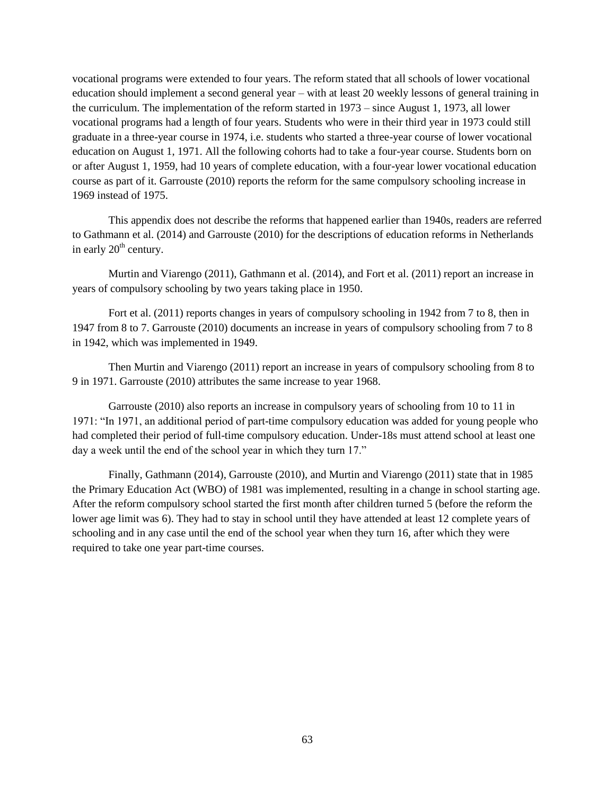vocational programs were extended to four years. The reform stated that all schools of lower vocational education should implement a second general year – with at least 20 weekly lessons of general training in the curriculum. The implementation of the reform started in 1973 – since August 1, 1973, all lower vocational programs had a length of four years. Students who were in their third year in 1973 could still graduate in a three-year course in 1974, i.e. students who started a three-year course of lower vocational education on August 1, 1971. All the following cohorts had to take a four-year course. Students born on or after August 1, 1959, had 10 years of complete education, with a four-year lower vocational education course as part of it. Garrouste (2010) reports the reform for the same compulsory schooling increase in 1969 instead of 1975.

This appendix does not describe the reforms that happened earlier than 1940s, readers are referred to Gathmann et al. (2014) and Garrouste (2010) for the descriptions of education reforms in Netherlands in early  $20<sup>th</sup>$  century.

Murtin and Viarengo (2011), Gathmann et al. (2014), and Fort et al. (2011) report an increase in years of compulsory schooling by two years taking place in 1950.

Fort et al. (2011) reports changes in years of compulsory schooling in 1942 from 7 to 8, then in 1947 from 8 to 7. Garrouste (2010) documents an increase in years of compulsory schooling from 7 to 8 in 1942, which was implemented in 1949.

Then Murtin and Viarengo (2011) report an increase in years of compulsory schooling from 8 to 9 in 1971. Garrouste (2010) attributes the same increase to year 1968.

Garrouste (2010) also reports an increase in compulsory years of schooling from 10 to 11 in 1971: "In 1971, an additional period of part-time compulsory education was added for young people who had completed their period of full-time compulsory education. Under-18s must attend school at least one day a week until the end of the school year in which they turn 17."

Finally, Gathmann (2014), Garrouste (2010), and Murtin and Viarengo (2011) state that in 1985 the Primary Education Act (WBO) of 1981 was implemented, resulting in a change in school starting age. After the reform compulsory school started the first month after children turned 5 (before the reform the lower age limit was 6). They had to stay in school until they have attended at least 12 complete years of schooling and in any case until the end of the school year when they turn 16, after which they were required to take one year part-time courses.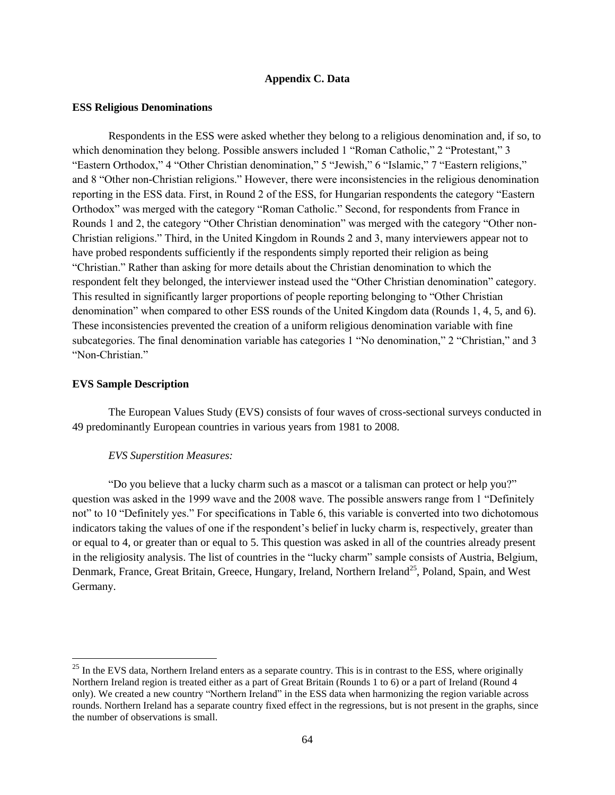### **Appendix C. Data**

#### **ESS Religious Denominations**

Respondents in the ESS were asked whether they belong to a religious denomination and, if so, to which denomination they belong. Possible answers included 1 "Roman Catholic." 2 "Protestant." 3 "Eastern Orthodox," 4 "Other Christian denomination," 5 "Jewish," 6 "Islamic," 7 "Eastern religions," and 8 "Other non-Christian religions." However, there were inconsistencies in the religious denomination reporting in the ESS data. First, in Round 2 of the ESS, for Hungarian respondents the category "Eastern Orthodox" was merged with the category "Roman Catholic." Second, for respondents from France in Rounds 1 and 2, the category "Other Christian denomination" was merged with the category "Other non-Christian religions." Third, in the United Kingdom in Rounds 2 and 3, many interviewers appear not to have probed respondents sufficiently if the respondents simply reported their religion as being "Christian." Rather than asking for more details about the Christian denomination to which the respondent felt they belonged, the interviewer instead used the "Other Christian denomination" category. This resulted in significantly larger proportions of people reporting belonging to "Other Christian denomination" when compared to other ESS rounds of the United Kingdom data (Rounds 1, 4, 5, and 6). These inconsistencies prevented the creation of a uniform religious denomination variable with fine subcategories. The final denomination variable has categories 1 "No denomination," 2 "Christian," and 3 "Non-Christian."

#### **EVS Sample Description**

 $\overline{\phantom{a}}$ 

The European Values Study (EVS) consists of four waves of cross-sectional surveys conducted in 49 predominantly European countries in various years from 1981 to 2008.

#### *EVS Superstition Measures:*

"Do you believe that a lucky charm such as a mascot or a talisman can protect or help you?" question was asked in the 1999 wave and the 2008 wave. The possible answers range from 1 "Definitely not" to 10 "Definitely yes." For specifications in Table 6, this variable is converted into two dichotomous indicators taking the values of one if the respondent's belief in lucky charm is, respectively, greater than or equal to 4, or greater than or equal to 5. This question was asked in all of the countries already present in the religiosity analysis. The list of countries in the "lucky charm" sample consists of Austria, Belgium, Denmark, France, Great Britain, Greece, Hungary, Ireland, Northern Ireland<sup>25</sup>, Poland, Spain, and West Germany.

 $25$  In the EVS data, Northern Ireland enters as a separate country. This is in contrast to the ESS, where originally Northern Ireland region is treated either as a part of Great Britain (Rounds 1 to 6) or a part of Ireland (Round 4 only). We created a new country "Northern Ireland" in the ESS data when harmonizing the region variable across rounds. Northern Ireland has a separate country fixed effect in the regressions, but is not present in the graphs, since the number of observations is small.